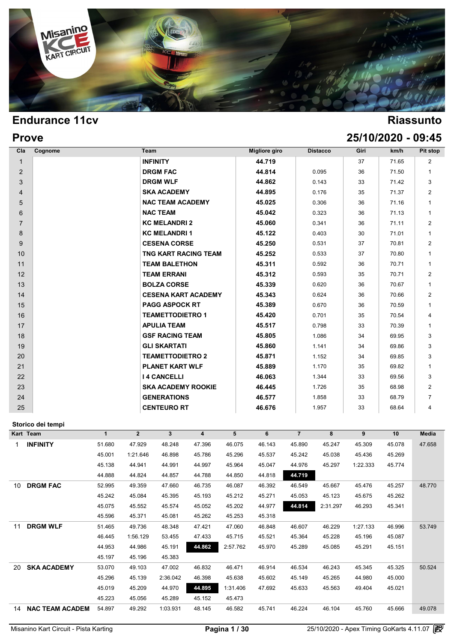

| <b>Prove</b>   |                             |               |                 |      | 25/10/2020 - 09:45 |                |
|----------------|-----------------------------|---------------|-----------------|------|--------------------|----------------|
| Cla<br>Cognome | Team                        | Migliore giro | <b>Distacco</b> | Giri | km/h               | Pit stop       |
| $\mathbf{1}$   | <b>INFINITY</b>             | 44.719        |                 | 37   | 71.65              | $\overline{2}$ |
| $\overline{2}$ | <b>DRGM FAC</b>             | 44.814        | 0.095           | 36   | 71.50              | $\mathbf{1}$   |
| 3              | <b>DRGM WLF</b>             | 44.862        | 0.143           | 33   | 71.42              | 3              |
| $\overline{4}$ | <b>SKA ACADEMY</b>          | 44.895        | 0.176           | 35   | 71.37              | $\overline{2}$ |
| 5              | <b>NAC TEAM ACADEMY</b>     | 45.025        | 0.306           | 36   | 71.16              | $\mathbf{1}$   |
| 6              | <b>NAC TEAM</b>             | 45.042        | 0.323           | 36   | 71.13              | $\mathbf{1}$   |
| $\overline{7}$ | <b>KC MELANDRI 2</b>        | 45.060        | 0.341           | 36   | 71.11              | $\overline{2}$ |
| 8              | <b>KC MELANDRI1</b>         | 45.122        | 0.403           | 30   | 71.01              | $\mathbf{1}$   |
| 9              | <b>CESENA CORSE</b>         | 45.250        | 0.531           | 37   | 70.81              | $\overline{2}$ |
| 10             | <b>TNG KART RACING TEAM</b> | 45.252        | 0.533           | 37   | 70.80              | $\mathbf{1}$   |
| 11             | <b>TEAM BALETHON</b>        | 45.311        | 0.592           | 36   | 70.71              | $\mathbf{1}$   |
| 12             | <b>TEAM ERRANI</b>          | 45.312        | 0.593           | 35   | 70.71              | $\overline{2}$ |
| 13             | <b>BOLZA CORSE</b>          | 45.339        | 0.620           | 36   | 70.67              | $\mathbf{1}$   |
| 14             | <b>CESENA KART ACADEMY</b>  | 45.343        | 0.624           | 36   | 70.66              | $\overline{2}$ |
| 15             | <b>PAGG ASPOCK RT</b>       | 45.389        | 0.670           | 36   | 70.59              | $\mathbf{1}$   |
| 16             | <b>TEAMETTODIETRO 1</b>     | 45.420        | 0.701           | 35   | 70.54              | 4              |
| 17             | <b>APULIA TEAM</b>          | 45.517        | 0.798           | 33   | 70.39              | $\mathbf{1}$   |
| 18             | <b>GSF RACING TEAM</b>      | 45.805        | 1.086           | 34   | 69.95              | 3              |
| 19             | <b>GLI SKARTATI</b>         | 45.860        | 1.141           | 34   | 69.86              | 3              |
| 20             | <b>TEAMETTODIETRO 2</b>     | 45.871        | 1.152           | 34   | 69.85              | 3              |
| 21             | <b>PLANET KART WLF</b>      | 45.889        | 1.170           | 35   | 69.82              | $\mathbf{1}$   |
| 22             | <b>I 4 CANCELLI</b>         | 46.063        | 1.344           | 33   | 69.56              | 3              |
| 23             | <b>SKA ACADEMY ROOKIE</b>   | 46.445        | 1.726           | 35   | 68.98              | $\overline{2}$ |
| 24             | <b>GENERATIONS</b>          | 46.577        | 1.858           | 33   | 68.79              | $\overline{7}$ |
| 25             | <b>CENTEURO RT</b>          | 46.676        | 1.957           | 33   | 68.64              | $\overline{4}$ |

### **Storico dei tempi**

|    | Storico dei tempi      |        |                |              |        |          |        |                |          |          |        |              |
|----|------------------------|--------|----------------|--------------|--------|----------|--------|----------------|----------|----------|--------|--------------|
|    | Kart Team              | 1      | $\overline{2}$ | $\mathbf{3}$ | 4      | 5        | 6      | $\overline{7}$ | 8        | 9        | 10     | <b>Media</b> |
|    | <b>INFINITY</b>        | 51.680 | 47.929         | 48.248       | 47.396 | 46.075   | 46.143 | 45.890         | 45.247   | 45.309   | 45.078 | 47.658       |
|    |                        | 45.001 | 1:21.646       | 46.898       | 45.786 | 45.296   | 45.537 | 45.242         | 45.038   | 45.436   | 45.269 |              |
|    |                        | 45.138 | 44.941         | 44.991       | 44.997 | 45.964   | 45.047 | 44.976         | 45.297   | 1:22.333 | 45.774 |              |
|    |                        | 44.888 | 44.824         | 44.857       | 44.788 | 44.850   | 44.818 | 44.719         |          |          |        |              |
| 10 | <b>DRGM FAC</b>        | 52.995 | 49.359         | 47.660       | 46.735 | 46.087   | 46.392 | 46.549         | 45.667   | 45.476   | 45.257 | 48.770       |
|    |                        | 45.242 | 45.084         | 45.395       | 45.193 | 45.212   | 45.271 | 45.053         | 45.123   | 45.675   | 45.262 |              |
|    |                        | 45.075 | 45.552         | 45.574       | 45.052 | 45.202   | 44.977 | 44.814         | 2:31.297 | 46.293   | 45.341 |              |
|    |                        | 45.596 | 45.371         | 45.081       | 45.262 | 45.253   | 45.318 |                |          |          |        |              |
| 11 | <b>DRGM WLF</b>        | 51.465 | 49.736         | 48.348       | 47.421 | 47.060   | 46.848 | 46.607         | 46.229   | 1:27.133 | 46.996 | 53.749       |
|    |                        | 46.445 | 1:56.129       | 53.455       | 47.433 | 45.715   | 45.521 | 45.364         | 45.228   | 45.196   | 45.087 |              |
|    |                        | 44.953 | 44.986         | 45.191       | 44.862 | 2:57.762 | 45.970 | 45.289         | 45.085   | 45.291   | 45.151 |              |
|    |                        | 45.197 | 45.196         | 45.383       |        |          |        |                |          |          |        |              |
| 20 | <b>SKA ACADEMY</b>     | 53.070 | 49.103         | 47.002       | 46.832 | 46.471   | 46.914 | 46.534         | 46.243   | 45.345   | 45.325 | 50.524       |
|    |                        | 45.296 | 45.139         | 2:36.042     | 46.398 | 45.638   | 45.602 | 45.149         | 45.265   | 44.980   | 45.000 |              |
|    |                        | 45.019 | 45.209         | 44.970       | 44.895 | 1:31.406 | 47.692 | 45.633         | 45.563   | 49.404   | 45.021 |              |
|    |                        | 45.223 | 45.056         | 45.289       | 45.152 | 45.473   |        |                |          |          |        |              |
| 14 | <b>NAC TEAM ACADEM</b> | 54.897 | 49.292         | 1:03.931     | 48.145 | 46.582   | 45.741 | 46.224         | 46.104   | 45.760   | 45.666 | 49.078       |
|    |                        |        |                |              |        |          |        |                |          |          |        |              |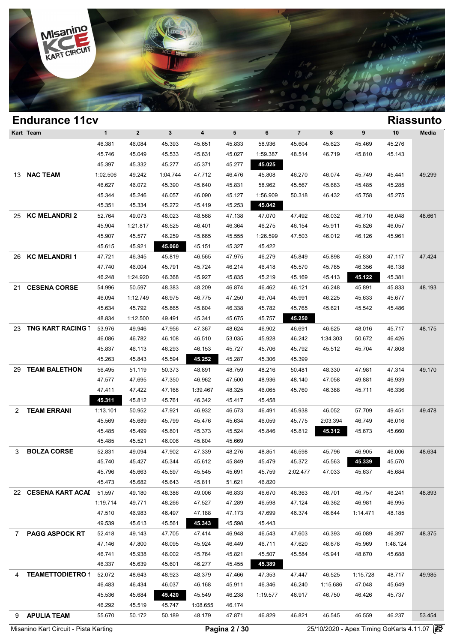

### **Endurance 11cv Riassunto Kart Team 1 2 3 4 5 6 7 8 9 10 Media Riassun**<br>46.381 46.084 45.393 45.651 45.833 58.936 45.604 45.623 45.469 45.276<br>45.746 45.040 45.533 45.651 45.833 58.936 45.604 45.623 45.469 45.276 1 2 3 4 5 6 7 8 9 10 Med<br>46.381 46.084 45.393 45.651 45.833 58.936 45.604 45.623 45.469 45.276<br>45.746 45.049 45.533 45.631 45.027 1:59.387 48.514 46.719 45.810 45.143<br>45.207 45.223 45.277 45.271 45.277 45.277 45.925 1 2 3 4 5 6<br>46.381 46.084 45.393 45.651 45.833 58.936 45<br>45.746 45.049 45.533 45.631 45.027 1:59.387 48<br>45.397 45.332 45.277 45.371 45.277 45.025 13 **NAC TEAM** 1:02.506 49.242 1:04.744 47.712 46.476 45.808 46.270 46.074 45.749 45.441 49.299 46.746 45.049 45.533 45.631 45.027 1:59.387 48.514 46.719 45.810 45.143<br>45.397 45.332 45.277 45.371 45.277 45.025<br>102.506 49.242 1:04.744 47.712 46.476 45.808 46.270 46.074 45.749 45.441 49.29<br>46.627 46.072 45.390 45.640 45 45.397 45.332 45.277 45.371 45.277 45.025<br>
102.506 49.242 1:04.744 47.712 46.476 45.808 46.270 46.074 45.749 45.441 49.29<br>
46.627 46.072 45.390 45.640 45.831 58.962 45.567 45.683 45.485 45.285<br>
45.344 45.246 46.057 46.090 1.02.506 49.242 1.04.744 47.712 46.476 45.808 46<br>46.627 46.072 45.390 45.640 45.831 58.962 45<br>45.344 45.246 46.057 46.090 45.127 1.56.909 50<br>45.351 45.334 45.272 45.419 45.253 45.042 25 **KC MELANDRI 2** 52.764 49.073 48.023 48.568 47.138 47.070 47.492 46.032 46.710 46.048 48.661 45.344 45.246 46.057 46.090 45.127 1:56.909 50.318 46.432 45.758 45.275<br>45.351 45.334 45.272 45.419 45.253 45.042<br>52.764 49.073 48.023 48.568 47.138 47.070 47.492 46.032 46.710 46.048 48.66<br>45.904 1:21.817 48.525 46.401 46. 45.351 45.334 45.272 45.419 45.253 45.042<br>
52.764 49.073 48.023 48.568 47.138 47.070 47.492 46.032 46.710 46.048 48.66<br>
45.904 1:21.817 48.525 46.401 46.364 46.275 46.154 45.911 45.826 46.057<br>
45.907 45.577 46.259 45.665 4 45.904 49.073 48.023 48.568 47.138 47.070 47.49<br>45.904 1:21.817 48.525 46.401 46.364 46.275 46.19<br>45.907 45.577 46.259 45.665 45.555 1:26.599 47.50<br>45.615 45.921 45.060 45.151 45.327 45.422 26 **KC MELANDRI 1** 47.721 46.345 45.819 46.565 47.975 46.279 45.849 45.898 45.830 47.117 47.424 45.907 45.577 46.259 45.665 45.555 1:26.599 47.503 46.012 46.126 45.961<br>45.615 45.921 45.060 45.151 45.327 45.422<br>47.721 46.345 45.819 46.565 47.975 46.279 45.849 45.898 45.830 47.117 47.42<br>47.740 46.004 45.791 45.724 46.2 45.615 45.921 45.060 45.151 45.327 45.422<br>47.721 46.345 45.819 46.565 47.975 46.279 45.849 45.898 45.830 47.117 47<br>47.740 46.004 45.791 45.724 46.214 46.418 45.570 45.785 46.356 46.138<br>46.248 1:24.920 46.368 45.927 45.835 21 **CESENA CORSE** 54.996 50.597 48.383 48.209 46.874 46.462 46.121 46.248 45.891 45.833 48.193 46.248 1:24.920 46.368 45.927 45.835 45.219 45.169 45.413 45.4122 45.381 46.996 50.597 48.383 48.209 46.874 46.462 46.121 46.248 45.891 45.833 48.196 1:12.749 46.975 46.775 47.250 49.704 45.991 46.225 45.633 45.677 45.524 46.248 1:24.920 46.368 45.927 45.835 45.219 45.169 45.413 45.122 45.381<br>54.996 50.597 48.383 48.209 46.874 46.462 46.121 46.248 45.891 45.833 48.19<br>46.094 1:12.749 46.975 46.775 47.250 49.704 45.991 46.225 45.633 45.677<br>45 48.996 50.597 48.383 48.209 46.874 46.462 46.121 46<br>46.094 1:12.749 46.975 46.775 47.250 49.704 45.991 46<br>45.634 45.792 45.865 45.804 46.338 45.782 45.765 45<br>48.834 1:12.500 49.491 45.341 45.675 45.757 45.250 23 **TNG KART RACING TEAM**53.976 49.946 47.956 47.367 48.624 46.902 46.691 46.625 48.016 45.717 48.175 46.634 45.792 45.865 45.804 46.338 45.782 45.765 45.621 45.542 45.486<br>48.834 1:12.500 49.491 45.341 45.675 45.757 45.250<br>53.976 49.946 47.956 47.367 48.624 46.902 46.691 46.625 48.016 45.717 48.11<br>46.086 46.782 46.108 46.51 46.834 1:12.500 49.491 45.341 45.675 45.757 45.250<br>53.976 49.946 47.956 47.367 48.624 46.902 46.691 46.625 48.016 45.717 48.17<br>46.086 46.782 46.108 46.510 53.035 45.928 46.242 1:34.303 50.672 46.426<br>45.837 46.113 46.293 46 46.976 49.946 47.956 47.367 48.624 46.902 46.691 46.63<br>46.086 46.782 46.108 46.510 53.035 45.928 46.242 1:34.3<br>45.837 46.113 46.293 46.153 45.727 45.706 45.792 45.5<br>45.263 45.843 45.594 45.267 45.287 45.306 45.399 29 **TEAM BALETHON** 56.495 51.119 50.373 48.891 48.759 48.216 50.481 48.330 47.981 47.314 49.170 46.263 46.113 46.293 46.153 45.727 45.706 45.792 45.512 45.704 47.808<br>45.263 45.843 45.594 45.252 45.287 45.306 45.399<br>56.495 51.119 50.373 48.891 48.759 48.216 50.481 48.330 47.981 47.314 49.11<br>47.577 47.695 47.350 46.962 45.263 45.843 45.594 45.252 45.287 45.306 45.399<br>56.495 51.119 50.373 48.891 48.759 48.216 50.481 48.330 47.981 47.314 49.11<br>47.577 47.695 47.350 46.962 47.500 48.936 48.140 47.058 49.881 46.939<br>47.411 47.422 47.168 1:39.46 46.495 51.119 50.373 48.891 48.759 48.216 50.48<br>
47.577 47.695 47.350 46.962 47.500 48.936 48.14<br>
47.411 47.422 47.168 1:39.467 48.325 46.065 45.76<br>
45.311 45.812 45.761 46.342 45.417 45.458 2 **TEAM ERRANI** 1:13.101 50.952 47.921 46.932 46.573 46.491 45.938 46.052 57.709 49.451 49.478 47.411 47.422 47.168 1:39.467 48.325 46.065 45.760 46.388 45.711 46.336<br>
45.311 45.812 45.761 46.342 45.417 45.458<br>
1:13.101 50.952 47.921 46.932 46.573 46.491 45.938 46.052 57.709 49.451 49.41<br>
45.569 45.689 45.799 45.476 45.311 45.812 45.761 46.342 45.417 45.458<br>
13.101 50.952 47.921 46.932 46.573 46.491 45.938 46.052 57.709 49.451 49.41<br>
45.569 45.689 45.799 45.476 45.634 46.059 45.775 2:03.394 46.749 46.016<br>
45.485 45.499 45.801 45.373 4  $45.569$   $45.689$   $45.799$   $45.476$   $45.634$   $46.05$ <br>  $45.485$   $45.499$   $45.801$   $45.373$   $45.524$   $45.84$ <br>  $45.485$   $45.521$   $46.006$   $45.804$   $45.669$ <br>  $45.821$   $40.004$   $47.902$   $47.320$   $48.376$   $49.376$   $49.376$ 3 **BOLZA CORSE** 52.831 49.094 47.902 47.339 48.276 48.851 46.598 45.796 46.905 46.006 48.634 45.485 45.499 45.801 45.373 45.524 45.846 45.812 45.312 45.673 45.660<br>45.485 45.521 46.006 45.804 45.669<br>52.831 49.094 47.902 47.339 48.276 48.851 46.598 45.796 46.905 46.006 48<br>45.740 45.427 45.344 45.612 45.849 45.479 45 45.485 45.521 46.006 45.804 45.669<br>52.831 49.094 47.902 47.339 48.276 48.851 46.598 45.796 46.905 46.006 48.6;<br>45.740 45.427 45.344 45.612 45.849 45.479 45.372 45.563 45.684 45.570<br>45.796 45.663 45.597 45.545 45.691 45.759 46.52 46.53 46.642 47.902 47.339 48.276 48.851 46.55<br>45.740 45.427 45.344 45.612 45.849 45.479 45.37<br>45.796 45.663 45.597 45.545 45.691 45.759 2:02.4<br>45.473 45.682 45.643 45.811 51.621 46.820 22 **CESENA KART ACADEMY**51.597 49.180 48.386 49.006 46.833 46.670 46.363 46.701 46.757 46.241 48.893 45.796 45.663 45.597 45.545 45.691 45.759 2:02.477 47.033 45.637 45.684<br>45.473 45.682 45.643 45.811 51.621 46.820<br>51.597 49.180 48.386 49.006 46.833 46.670 46.363 46.701 46.757 46.241 48.89<br>1:19.714 49.771 48.266 47.527 47 45.473 45.682 45.643 45.811 51.621 46.820<br>51.597 49.180 48.386 49.006 46.833 46.670 46.363 46.701 46.757 46.241 48.89<br>:19.714 49.771 48.266 47.527 47.289 46.598 47.124 46.362 46.981 46.995<br>47.510 46.983 46.497 47.188 47.17 49.180 48.386 49.006 46.833 46.670 46.33<br>
19.714 49.771 48.266 47.527 47.289 46.598 47.12<br>
47.510 46.983 46.497 47.188 47.173 47.699 46.33<br>
49.539 45.613 45.561 45.343 45.598 45.443 7 **PAGG ASPOCK RT** 52.418 49.143 47.705 47.414 46.948 46.543 47.603 46.393 46.089 46.397 48.375 47.510 46.983 46.497 47.188 47.173 47.699 46.374 46.644 1:14.471 48.185<br>49.539 45.613 45.561 45.343 45.598 45.443<br>52.418 49.143 47.705 47.414 46.948 46.543 47.603 46.393 46.089 46.397 48.3<br>47.146 47.800 46.095 45.924 46.44 46.539 45.613 45.561 45.343 45.598 45.443<br>
52.418 49.143 47.705 47.414 46.948 46.543 47.603 46.393 46.089 46.397 48.3;<br>
47.146 47.800 46.095 45.924 46.449 46.711 47.620 46.678 45.969 1:48.124<br>
46.741 45.938 46.002 45.764 4 46.48 49.143 47.705 47.414 46.948 46.543 47.146 47.800 46.095 45.924 46.449 46.711 47<br>46.741 45.938 46.002 45.764 45.821 45.507 45<br>46.337 45.639 45.601 46.277 45.455 45.389 4 **TEAMETTODIETRO 1** 52.072 48.643 48.923 48.379 47.466 47.353 47.447 46.525 1:15.728 48.717 49.985 46.741 45.938 46.002 45.764 45.821 45.507 45.584 45.941 48.670 45.688<br>46.337 45.639 45.601 46.277 45.455 45.389<br>52.072 48.643 48.923 48.379 47.466 47.353 47.447 46.525 1:15.728 48.717 49.98<br>46.483 46.434 46.037 46.168 45.9 46.337 45.639 45.601 46.277 45.455 **45.389**<br>
52.072 48.643 48.923 48.379 47.466 47.353 47.447 46.525 1:15.728 48.717 49.9<br>
46.483 46.434 46.037 46.168 45.911 46.346 46.240 1:15.686 47.048 45.649<br>
45.536 45.684 45.420 45.54 52.072 48.643 48.923 48.379 47.466 47.38<br>46.483 46.434 46.037 46.168 45.911 46.34<br>45.536 45.684 45.747 1:08.655 46.174<br>46.292 45.519 45.747 1:08.655 46.174

Misanino Kart Circuit - Pista Karting **Exercise 19 Contract Circuit - Pista Karting** Carting Gokarts 4.11.07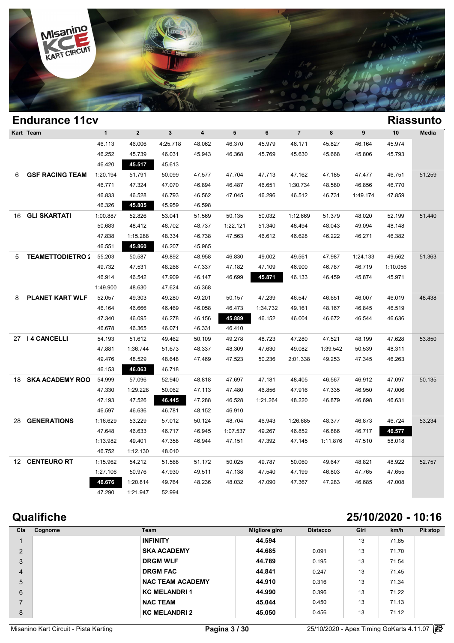

### **Endurance 11cv Riassunto Kart Team 1 2 3 4 5 6 7 8 9 10 Media Riassun**<br>46.113 46.006 4:25.718 48.062 46.370 45.979 46.171 45.827 46.164 45.974<br>46.352 46.252 46.921 45.921 46.370 45.760 45.680 45.668 45.996 45.792 **KICLES (1999)**<br>46.113 46.006 4:25.718 48.062 46.370 45.979 46.171 45.827 46.164 45.974<br>46.252 45.739 46.031 45.943 46.368 45.769 45.630 45.668 45.806 45.793 46.420 **45.517** 45.613 6 **GSF RACING TEAM** 1:20.194 51.791 50.099 47.577 47.704 47.713 47.162 47.185 47.477 46.751 51.259 46.252 45.739 46.031 45.943 46.368 45.769 45.630 45.668 45.806 45.793<br>46.420 45.517 47.613<br>20.194 51.791 50.099 47.577 47.704 47.713 47.162 47.185 47.477 46.751 51.25<br>46.771 47.324 47.070 46.894 46.487 46.651 1:30.734 48.58 46.420 45.517 45.613<br>  $\therefore$ 20.194 51.791 50.099 47.577 47.704 47.713 47.162 47.185 47.477 46.751 51.2<br>
46.771 47.324 47.070 46.894 46.487 46.651 1:30.734 48.580 46.856 46.770<br>
46.833 46.528 46.793 46.562 47.045 46.296 46.51 120.194 51.791 50.099 47.577 47.70<br>46.771 47.324 47.070 46.894 46.48<br>46.833 46.528 46.793 46.562 47.04<br>46.326 45.805 45.959 46.598 16 **GLI SKARTATI** 1:00.887 52.826 53.041 51.569 50.135 50.032 1:12.669 51.379 48.020 52.199 51.440 46.833 46.528 46.793 46.562 47.045 46.296 46.512 46.731 1:49.174 47.859<br>46.326 45.805 45.959 46.598<br>:00.887 52.826 53.041 51.569 50.135 50.032 1:12.669 51.379 48.020 52.199 51.44<br>50.683 48.412 48.702 48.737 1:22.121 51.340 46.326 45.805 45.959 46.598<br>  $\cdot 0.887$  52.826 53.041 51.569 50.135 50.032 1:12.669 51.379 48.020 52.199 51.44<br>
50.683 48.412 48.702 48.737 1:22.121 51.340 48.494 48.043 49.094 48.148<br>
47.838 1:15.288 48.334 46.738 47.563 1.15.286 **53.041 51.569 50.1**<br>
50.683 **48.412 48.702 48.737 1:22.1**<br>
47.838 **1:15.288 48.334 46.738 47.56**<br>
46.551 **45.860 46.207 45.965** 5 **TEAMETTODIETRO 2** 55.203 50.587 49.892 48.958 46.830 49.002 49.561 47.987 1:24.133 49.562 51.363 46.551 46.88 48.334 46.738 47.563 46.612 46.628 46.222 46.271 46.382<br>46.551 45.860 46.207 45.965<br>55.203 50.587 49.892 48.958 46.830 49.002 49.561 47.987 1:24.133 49.562 51.3<br>49.732 47.531 48.266 47.337 47.182 47.109 46.900 46.551 **45.860** 46.207 45.965<br>
55.203 50.587 49.892 48.958 46.830 49.002 49.561 47.987 1:24.133 49.562 51.36<br>
49.732 47.531 48.266 47.337 47.182 47.109 46.900 46.787 46.719 1:10.056<br>
46.914 46.542 47.909 46.147 46.699 45.8 46.83 50.587 49.892 48.958 46.83<br>49.732 47.531 48.266 47.337 47.18<br>46.914 46.542 47.909 46.147 46.69<br>1:49.900 48.630 47.624 46.368 8 **PLANET KART WLF** 52.057 49.303 49.280 49.201 50.157 47.239 46.547 46.651 46.007 46.019 48.438 46.914 46.542 47.909 46.147 46.699 45.871 46.133 46.459 45.874 45.971<br>
49.900 48.630 47.624 46.368<br>
52.057 49.303 49.280 49.201 50.157 47.239 46.547 46.651 46.007 46.019 48.4;<br>
46.164 46.666 46.469 46.058 46.473 1:34.732 4 149.900 48.630 47.624 46.368<br>
52.057 49.303 49.280 49.201 50.157 47.239 46.547 46.651 46.007 46.019 48.41<br>
46.164 46.666 46.469 46.058 46.473 1:34.732 49.161 48.167 46.845 46.519<br>
47.340 46.095 46.278 46.156 45.889 46.152 52.057 49.303 49.280 49.201 50.157 47.23<br>46.164 46.666 46.469 46.058 46.473 1:34.7<br>47.340 46.095 46.278 46.156 45.889 46.18<br>46.678 46.365 46.071 46.331 46.410 27 **I 4 CANCELLI** 54.193 51.612 49.462 50.109 49.278 48.723 47.280 47.521 48.199 47.628 53.850 47.340 46.095 46.278 46.156 45.889 46.152 46.004 46.672 46.544 46.636<br>46.678 46.365 46.071 46.331 46.410<br>54.193 51.612 49.462 50.109 49.278 48.723 47.280 47.521 48.199 47.628 53.8!<br>47.881 1:36.744 51.673 48.337 48.309 47.6 46.678 46.365 46.071 46.331 46.410<br>54.193 51.612 49.462 50.109 49.278 48.723 47.280 47.521 48.199 47.628 53.85<br>47.881 1:36.744 51.673 48.337 48.309 47.630 49.082 1:39.542 50.539 48.311<br>49.476 48.529 48.648 47.469 47.523 50 46.153 **46.063** 46.718 18 **SKA ACADEMY ROOKIE**54.999 57.096 52.940 48.818 47.697 47.181 48.405 46.567 46.912 47.097 50.135 48.476 48.529 48.648 47.469 47.523 50.236 2:01.338 49.253 47.345 46.263<br>46.153 46.063 46.718<br>54.999 57.096 52.940 48.818 47.697 47.181 48.405 46.567 46.912 47.097 50.13<br>47.330 1:29.228 50.062 47.113 47.480 46.856 47.916 47 46.153 46.063 46.718<br>
54.999 57.096 52.940 48.818 47.697 47.181 48.405 46.567 46.912 47.097 50.13<br>
47.330 1:29.228 50.062 47.113 47.480 46.856 47.916 47.335 46.950 47.006<br>
47.193 47.526 46.445 47.288 46.528 1:21.264 48.220 46.999 57.096 52.940 48.818 47.697 47.11<br>
47.330 1:29.228 50.062 47.113 47.480 46.88<br>
47.193 47.526 45.781 47.288 46.528 1:21.2<br>
46.597 46.636 46.781 48.152 46.910 28 **GENERATIONS** 1:16.629 53.229 57.012 50.124 48.704 46.943 1:26.685 48.377 46.873 46.724 53.234 47.193 47.526 46.445 47.288 46.528 1:21.264 48.220 46.879 46.698 46.631<br>46.597 46.636 46.781 48.152 46.910<br>16.629 53.229 57.012 50.124 48.704 46.943 1:26.685 48.377 46.873 46.724 53<br>47.648 46.633 46.717 46.945 1:07.537 49. 46.597 46.636 46.781 48.152 46.910<br>1:16.629 53.229 57.012 50.124 48.704 46.943 1:26.685 48.377 46.873 46.724 53.2<br>47.648 46.633 46.717 46.945 1:07.537 49.267 46.852 46.886 46.717 46.577<br>1:13.982 49.401 47.358 46.944 47.151  $16.629$   $53.229$   $57.012$   $50.12$ <br>  $47.648$   $46.633$   $46.717$   $46.94$ <br>  $48.752$   $41.12.130$   $48.010$ <br>  $45.662$   $54.312$   $54.569$   $54.312$ 12 **CENTEURO RT** 1:15.962 54.212 51.568 51.172 50.025 49.787 50.060 49.647 48.821 48.922 52.757 1:13.982 49.401 47.358 46.944 47.151 47.392 47.145 1:11.876 47.510 58.018<br>
46.752 1:12.130 48.010<br>
1:15.962 54.212 51.568 51.172 50.025 49.787 50.060 49.647 48.821 48.922 52.75<br>
1:27.106 50.976 47.930 49.511 47.138 47.540 46.752 1:12.130 48.010<br>
15.962 54.212 51.568 51.172 50.025 49.787 50.060 49.647 48.821 48.922 52.7<br>
120.814 49.764 48.236 48.032 47.090 47.367 47.283 46.685 47.008<br>
121.91.91 52.994 121.99 115.962 54.212 51.568 51.17<br>
127.106 50.976 47.930 49.5<br>
120.814 49.764 48.23<br>
47.290 1121.947 52.994

### **Qualifiche 25/10/2020 - 10:16**

| Cla            | Cognome | Team                    | Migliore giro | <b>Distacco</b> | Giri | km/h  | Pit stop |
|----------------|---------|-------------------------|---------------|-----------------|------|-------|----------|
|                |         | <b>INFINITY</b>         | 44.594        |                 | 13   | 71.85 |          |
| 2              |         | <b>SKA ACADEMY</b>      | 44.685        | 0.091           | 13   | 71.70 |          |
| 3              |         | <b>DRGM WLF</b>         | 44.789        | 0.195           | 13   | 71.54 |          |
| $\overline{4}$ |         | <b>DRGM FAC</b>         | 44.841        | 0.247           | 13   | 71.45 |          |
| 5              |         | <b>NAC TEAM ACADEMY</b> | 44.910        | 0.316           | 13   | 71.34 |          |
| 6              |         | <b>KC MELANDRI1</b>     | 44.990        | 0.396           | 13   | 71.22 |          |
| $\overline{7}$ |         | <b>NAC TEAM</b>         | 45.044        | 0.450           | 13   | 71.13 |          |
| 8              |         | <b>KC MELANDRI 2</b>    | 45.050        | 0.456           | 13   | 71.12 |          |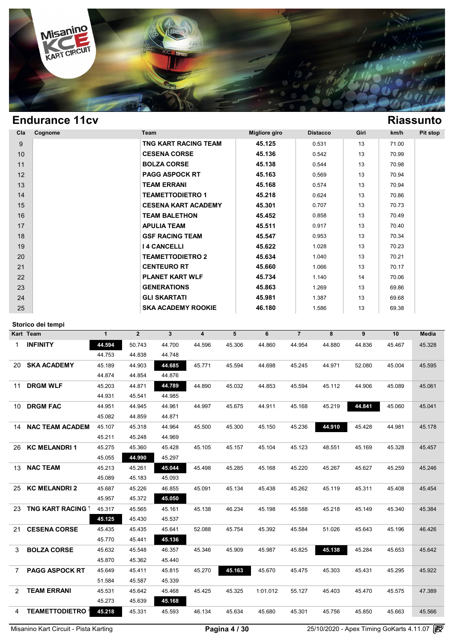

| Cla | Cognome | Team                       | Migliore giro | <b>Distacco</b> | Giri | km/h  | Pit stop |
|-----|---------|----------------------------|---------------|-----------------|------|-------|----------|
| 9   |         | TNG KART RACING TEAM       | 45.125        | 0.531           | 13   | 71.00 |          |
| 10  |         | <b>CESENA CORSE</b>        | 45.136        | 0.542           | 13   | 70.99 |          |
| 11  |         | <b>BOLZA CORSE</b>         | 45.138        | 0.544           | 13   | 70.98 |          |
| 12  |         | <b>PAGG ASPOCK RT</b>      | 45.163        | 0.569           | 13   | 70.94 |          |
| 13  |         | <b>TEAM ERRANI</b>         | 45.168        | 0.574           | 13   | 70.94 |          |
| 14  |         | <b>TEAMETTODIETRO 1</b>    | 45.218        | 0.624           | 13   | 70.86 |          |
| 15  |         | <b>CESENA KART ACADEMY</b> | 45.301        | 0.707           | 13   | 70.73 |          |
| 16  |         | <b>TEAM BALETHON</b>       | 45.452        | 0.858           | 13   | 70.49 |          |
| 17  |         | <b>APULIA TEAM</b>         | 45.511        | 0.917           | 13   | 70.40 |          |
| 18  |         | <b>GSF RACING TEAM</b>     | 45.547        | 0.953           | 13   | 70.34 |          |
| 19  |         | <b>I 4 CANCELLI</b>        | 45.622        | 1.028           | 13   | 70.23 |          |
| 20  |         | <b>TEAMETTODIETRO 2</b>    | 45.634        | 1.040           | 13   | 70.21 |          |
| 21  |         | <b>CENTEURO RT</b>         | 45.660        | 1.066           | 13   | 70.17 |          |
| 22  |         | <b>PLANET KART WLF</b>     | 45.734        | 1.140           | 14   | 70.06 |          |
| 23  |         | <b>GENERATIONS</b>         | 45.863        | 1.269           | 13   | 69.86 |          |
| 24  |         | <b>GLI SKARTATI</b>        | 45.981        | 1.387           | 13   | 69.68 |          |
| 25  |         | <b>SKA ACADEMY ROOKIE</b>  | 46.180        | 1.586           | 13   | 69.38 |          |

### **Storico dei tempi**

|      | Storico dei tempi        |              |              |              |                         |        |          |                |        |        |        |              |
|------|--------------------------|--------------|--------------|--------------|-------------------------|--------|----------|----------------|--------|--------|--------|--------------|
|      | Kart Team                | $\mathbf{1}$ | $\mathbf{2}$ | $\mathbf{3}$ | $\overline{\mathbf{4}}$ | 5      | 6        | $\overline{7}$ | 8      | 9      | 10     | <b>Media</b> |
| 1.   | <b>INFINITY</b>          | 44.594       | 50.743       | 44.700       | 44.596                  | 45.306 | 44.860   | 44.954         | 44.880 | 44.836 | 45.467 | 45.328       |
|      |                          | 44.753       | 44.838       | 44.748       |                         |        |          |                |        |        |        |              |
| 20   | <b>SKA ACADEMY</b>       | 45.189       | 44.903       | 44.685       | 45.771                  | 45.594 | 44.698   | 45.245         | 44.971 | 52.080 | 45.004 | 45.595       |
|      |                          | 44.874       | 44.854       | 44.876       |                         |        |          |                |        |        |        |              |
| 11   | <b>DRGM WLF</b>          | 45.203       | 44.871       | 44.789       | 44.890                  | 45.032 | 44.853   | 45.594         | 45.112 | 44.906 | 45.089 | 45.061       |
|      |                          | 44.931       | 45.541       | 44.985       |                         |        |          |                |        |        |        |              |
| 10   | <b>DRGM FAC</b>          | 44.951       | 44.945       | 44.961       | 44.997                  | 45.675 | 44.911   | 45.168         | 45.219 | 44.841 | 45.060 | 45.041       |
|      |                          | 45.082       | 44.859       | 44.871       |                         |        |          |                |        |        |        |              |
| 14   | <b>NAC TEAM ACADEM</b>   | 45.107       | 45.318       | 44.964       | 45.500                  | 45.300 | 45.150   | 45.236         | 44.910 | 45.428 | 44.981 | 45.178       |
|      |                          | 45.211       | 45.248       | 44.969       |                         |        |          |                |        |        |        |              |
| 26 - | <b>KC MELANDRI 1</b>     | 45.275       | 45.360       | 45.428       | 45.105                  | 45.157 | 45.104   | 45.123         | 48.551 | 45.169 | 45.328 | 45.457       |
|      |                          | 45.055       | 44.990       | 45.297       |                         |        |          |                |        |        |        |              |
| 13.  | <b>NAC TEAM</b>          | 45.213       | 45.261       | 45.044       | 45.498                  | 45.285 | 45.168   | 45.220         | 45.267 | 45.627 | 45.259 | 45.246       |
|      |                          | 45.089       | 45.183       | 45.093       |                         |        |          |                |        |        |        |              |
| 25.  | <b>KC MELANDRI 2</b>     | 45.687       | 45.226       | 46.855       | 45.091                  | 45.134 | 45.438   | 45.262         | 45.119 | 45.311 | 45.408 | 45.454       |
|      |                          | 45.957       | 45.372       | 45.050       |                         |        |          |                |        |        |        |              |
| 23   | <b>TNG KART RACING 1</b> | 45.317       | 45.565       | 45.161       | 45.138                  | 46.234 | 45.198   | 45.588         | 45.218 | 45.149 | 45.340 | 45.384       |
|      |                          | 45.125       | 45.430       | 45.537       |                         |        |          |                |        |        |        |              |
| 21   | <b>CESENA CORSE</b>      | 45.435       | 45.435       | 45.641       | 52.088                  | 45.754 | 45.392   | 45.584         | 51.026 | 45.643 | 45.196 | 46.426       |
|      |                          | 45.770       | 45.441       | 45.136       |                         |        |          |                |        |        |        |              |
| 3    | <b>BOLZA CORSE</b>       | 45.632       | 45.548       | 46.357       | 45.346                  | 45.909 | 45.987   | 45.825         | 45.138 | 45.284 | 45.653 | 45.642       |
|      |                          | 45.870       | 45.362       | 45.440       |                         |        |          |                |        |        |        |              |
| 7    | <b>PAGG ASPOCK RT</b>    | 45.649       | 45.411       | 45.815       | 45.270                  | 45.163 | 45.670   | 45.475         | 45.303 | 45.431 | 45.295 | 45.922       |
|      |                          | 51.584       | 45.587       | 45.339       |                         |        |          |                |        |        |        |              |
| 2    | <b>TEAM ERRANI</b>       | 45.531       | 45.642       | 45.468       | 45.425                  | 45.325 | 1:01.012 | 55.127         | 45.403 | 45.470 | 45.575 | 47.389       |
|      |                          | 45.273       | 45.639       | 45.168       |                         |        |          |                |        |        |        |              |
| 4    | <b>TEAMETTODIETRO</b>    | 45.218       | 45.331       | 45.593       | 46.134                  | 45.634 | 45.680   | 45.301         | 45.756 | 45.850 | 45.663 | 45.566       |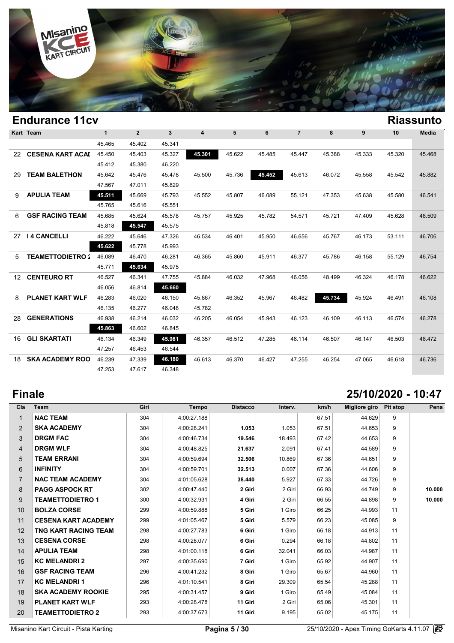

| <b>Endurance 11cv</b><br><b>Riassunto</b><br>Kart Team |                         |              |                |              |        |        |        |                |        |        |        |              |
|--------------------------------------------------------|-------------------------|--------------|----------------|--------------|--------|--------|--------|----------------|--------|--------|--------|--------------|
|                                                        |                         | $\mathbf{1}$ | $\overline{2}$ | $\mathbf{3}$ | 4      | 5      | 6      | $\overline{7}$ | 8      | 9      | 10     | <b>Media</b> |
|                                                        |                         | 45.465       | 45.402         | 45.341       |        |        |        |                |        |        |        |              |
| 22                                                     | <b>CESENA KART ACAI</b> | 45.450       | 45.403         | 45.327       | 45.301 | 45.622 | 45.485 | 45.447         | 45.388 | 45.333 | 45.320 | 45.468       |
|                                                        |                         | 45.412       | 45.380         | 46.220       |        |        |        |                |        |        |        |              |
| 29                                                     | <b>TEAM BALETHON</b>    | 45.642       | 45.476         | 45.478       | 45.500 | 45.736 | 45.452 | 45.613         | 46.072 | 45.558 | 45.542 | 45.882       |
|                                                        |                         | 47.567       | 47.011         | 45.829       |        |        |        |                |        |        |        |              |
| 9                                                      | <b>APULIA TEAM</b>      | 45.511       | 45.669         | 45.793       | 45.552 | 45.807 | 46.089 | 55.121         | 47.353 | 45.638 | 45.580 | 46.541       |
|                                                        |                         | 45.765       | 45.616         | 45.551       |        |        |        |                |        |        |        |              |
| 6                                                      | <b>GSF RACING TEAM</b>  | 45.685       | 45.624         | 45.578       | 45.757 | 45.925 | 45.782 | 54.571         | 45.721 | 47.409 | 45.628 | 46.509       |
|                                                        |                         | 45.818       | 45.547         | 45.575       |        |        |        |                |        |        |        |              |
| 27                                                     | <b>14 CANCELLI</b>      | 46.222       | 45.646         | 47.326       | 46.534 | 46.401 | 45.950 | 46.656         | 45.767 | 46.173 | 53.111 | 46.706       |
|                                                        |                         | 45.622       | 45.778         | 45.993       |        |        |        |                |        |        |        |              |
| 5                                                      | <b>TEAMETTODIETRO:</b>  | 46.089       | 46.470         | 46.281       | 46.365 | 45.860 | 45.911 | 46.377         | 45.786 | 46.158 | 55.129 | 46.754       |
|                                                        |                         | 45.771       | 45.634         | 45.975       |        |        |        |                |        |        |        |              |
| 12 <sup>1</sup>                                        | <b>CENTEURO RT</b>      | 46.527       | 46.341         | 47.755       | 45.884 | 46.032 | 47.968 | 46.056         | 48.499 | 46.324 | 46.178 | 46.622       |
|                                                        |                         | 46.056       | 46.814         | 45.660       |        |        |        |                |        |        |        |              |
| 8                                                      | <b>PLANET KART WLF</b>  | 46.283       | 46.020         | 46.150       | 45.867 | 46.352 | 45.967 | 46.482         | 45.734 | 45.924 | 46.491 | 46.108       |
|                                                        |                         | 46.135       | 46.277         | 46.048       | 45.782 |        |        |                |        |        |        |              |
| 28                                                     | <b>GENERATIONS</b>      | 46.938       | 46.214         | 46.032       | 46.205 | 46.054 | 45.943 | 46.123         | 46.109 | 46.113 | 46.574 | 46.278       |
|                                                        |                         | 45.863       | 46.602         | 46.845       |        |        |        |                |        |        |        |              |
| 16                                                     | <b>GLI SKARTATI</b>     | 46.134       | 46.349         | 45.981       | 46.357 | 46.512 | 47.285 | 46.114         | 46.507 | 46.147 | 46.503 | 46.472       |
|                                                        |                         | 47.257       | 46.453         | 46.544       |        |        |        |                |        |        |        |              |
| 18.                                                    | <b>SKA ACADEMY ROO</b>  | 46.239       | 47.339         | 46.180       | 46.613 | 46.370 | 46.427 | 47.255         | 46.254 | 47.065 | 46.618 | 46.736       |
|                                                        |                         | 47.253       | 47.617         | 46.348       |        |        |        |                |        |        |        |              |

## **Finale 25/10/2020 - 10:47**

| Cla            | <b>Team</b>                | Giri | <b>Tempo</b> | <b>Distacco</b> | Interv. | km/h  | Migliore giro | <b>Pit stop</b> | Pena   |
|----------------|----------------------------|------|--------------|-----------------|---------|-------|---------------|-----------------|--------|
| $\mathbf{1}$   | <b>NAC TEAM</b>            | 304  | 4:00:27.188  |                 |         | 67.51 | 44.629        | 9               |        |
| $\overline{2}$ | <b>SKA ACADEMY</b>         | 304  | 4:00:28.241  | 1.053           | 1.053   | 67.51 | 44.653        | 9               |        |
| 3              | <b>DRGM FAC</b>            | 304  | 4:00:46.734  | 19.546          | 18.493  | 67.42 | 44.653        | 9               |        |
| 4              | <b>DRGM WLF</b>            | 304  | 4:00:48.825  | 21.637          | 2.091   | 67.41 | 44.589        | 9               |        |
| 5              | <b>TEAM ERRANI</b>         | 304  | 4:00:59.694  | 32.506          | 10.869  | 67.36 | 44.651        | 9               |        |
| 6              | <b>INFINITY</b>            | 304  | 4:00:59.701  | 32.513          | 0.007   | 67.36 | 44.606        | 9               |        |
| $\overline{7}$ | <b>NAC TEAM ACADEMY</b>    | 304  | 4:01:05.628  | 38.440          | 5.927   | 67.33 | 44.726        | 9               |        |
| 8              | <b>PAGG ASPOCK RT</b>      | 302  | 4:00:47.440  | 2 Giri          | 2 Giri  | 66.93 | 44.749        | 9               | 10.000 |
| 9              | <b>TEAMETTODIETRO 1</b>    | 300  | 4:00:32.931  | 4 Giri          | 2 Giri  | 66.55 | 44.898        | 9               | 10.000 |
| 10             | <b>BOLZA CORSE</b>         | 299  | 4:00:59.888  | 5 Giri          | 1 Giro  | 66.25 | 44.993        | 11              |        |
| 11             | <b>CESENA KART ACADEMY</b> | 299  | 4:01:05.467  | 5 Giri          | 5.579   | 66.23 | 45.085        | 9               |        |
| 12             | TNG KART RACING TEAM       | 298  | 4:00:27.783  | 6 Giri          | 1 Giro  | 66.18 | 44.913        | 11              |        |
| 13             | <b>CESENA CORSE</b>        | 298  | 4:00:28.077  | 6 Giri          | 0.294   | 66.18 | 44.802        | 11              |        |
| 14             | <b>APULIA TEAM</b>         | 298  | 4:01:00.118  | 6 Giri          | 32.041  | 66.03 | 44.987        | 11              |        |
| 15             | <b>KC MELANDRI 2</b>       | 297  | 4:00:35.690  | 7 Giri          | 1 Giro  | 65.92 | 44.907        | 11              |        |
| 16             | <b>GSF RACING TEAM</b>     | 296  | 4:00:41.232  | 8 Giri          | 1 Giro  | 65.67 | 44.960        | 11              |        |
| 17             | <b>KC MELANDRI1</b>        | 296  | 4:01:10.541  | 8 Giri          | 29.309  | 65.54 | 45.288        | 11              |        |
| 18             | <b>SKA ACADEMY ROOKIE</b>  | 295  | 4:00:31.457  | 9 Giri          | 1 Giro  | 65.49 | 45.084        | 11              |        |
| 19             | <b>PLANET KART WLF</b>     | 293  | 4:00:28.478  | 11 Giri         | 2 Giri  | 65.06 | 45.301        | 11              |        |
| 20             | <b>TEAMETTODIETRO 2</b>    | 293  | 4:00:37.673  | 11 Giri         | 9.195   | 65.02 | 45.175        | 11              |        |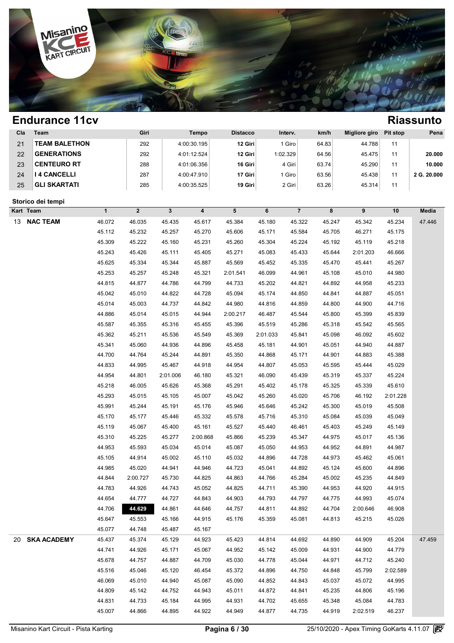

| Cla       | Team                 |                  | Giri         |              | <b>Tempo</b>     | <b>Distacco</b> |                  | Interv.        | km/h   | <b>Migliore giro</b> | <b>Pit stop</b>  | Pena        |
|-----------|----------------------|------------------|--------------|--------------|------------------|-----------------|------------------|----------------|--------|----------------------|------------------|-------------|
| 21        | <b>TEAM BALETHON</b> |                  | 292          |              | 4:00:30.195      | 12 Giri         |                  | 1 Giro         | 64.83  | 44.788               | 11               |             |
| 22        | <b>GENERATIONS</b>   |                  | 292          |              | 4:01:12.524      | 12 Giri         |                  | 1:02.329       | 64.56  | 45.475               | 11               | 20.000      |
| 23        | <b>CENTEURO RT</b>   |                  | 288          |              | 4:01:06.356      | 16 Giri         |                  | 4 Giri         | 63.74  | 45.290               | 11               | 10.000      |
| 24        | <b>I 4 CANCELLI</b>  |                  | 287          |              | 4:00:47.910      | 17 Giri         |                  | 1 Giro         | 63.56  | 45.438               | 11               | 2 G. 20.000 |
| 25        | <b>GLI SKARTATI</b>  |                  | 285          |              | 4:00:35.525      | 19 Giri         |                  | 2 Giri         | 63.26  | 45.314               | 11               |             |
|           | Storico dei tempi    |                  |              |              |                  |                 |                  |                |        |                      |                  |             |
| Kart Team |                      | $\mathbf{1}$     | $\mathbf{2}$ | $\mathbf{3}$ | 4                | 5               | 6                | $\overline{7}$ | 8      | 9                    | $10$             | Media       |
| 13        | <b>NAC TEAM</b>      | 46.072           | 46.035       | 45.435       | 45.617           | 45.384          | 45.180           | 45.322         | 45.247 | 45.342               | 45.234           | 47.446      |
|           |                      | 45.112           | 45.232       | 45.257       | 45.270           | 45.606          | 45.171           | 45.584         | 45.705 | 46.271               | 45.175           |             |
|           |                      | 45.309           | 45.222       | 45.160       | 45.231           | 45.260          | 45.304           | 45.224         | 45.192 | 45.119               | 45.218           |             |
|           |                      | 45.243           | 45.426       | 45.111       | 45.405           | 45.271          | 45.083           | 45.433         | 45.644 | 2:01.203             | 46.666           |             |
|           |                      | 45.625           | 45.334       | 45.344       | 45.887           | 45.569          | 45.452           | 45.335         | 45.470 | 45.441               | 45.267           |             |
|           |                      | 45.253           | 45.257       | 45.248       | 45.321           | 2:01.541        | 46.099           | 44.961         | 45.108 | 45.010               | 44.980           |             |
|           |                      | 44.815           | 44.877       | 44.786       | 44.799           | 44.733          | 45.202           | 44.821         | 44.892 | 44.958               | 45.233           |             |
|           |                      | 45.042           | 45.010       | 44.822       | 44.728           | 45.094          | 45.174           | 44.850         | 44.841 | 44.887               | 45.051           |             |
|           |                      | 45.014           | 45.003       | 44.737       | 44.842           | 44.980          | 44.816           | 44.859         | 44.800 | 44.900               | 44.716           |             |
|           |                      | 44.886           | 45.014       | 45.015       | 44.944           | 2:00.217        | 46.487           | 45.544         | 45.800 | 45.399               | 45.839           |             |
|           |                      | 45.587           | 45.355       | 45.316       | 45.455           | 45.396          | 45.519           | 45.286         | 45.318 | 45.542               | 45.565           |             |
|           |                      | 45.362           | 45.211       | 45.536       | 45.549           | 45.369          | 2:01.033         | 45.841         | 45.098 | 46.092               | 45.602           |             |
|           |                      | 45.341           | 45.060       | 44.936       | 44.896           | 45.458          | 45.181           | 44.901         | 45.051 | 44.940               | 44.887           |             |
|           |                      | 44.700           | 44.764       | 45.244       | 44.891           | 45.350          | 44.868           | 45.171         | 44.901 | 44.883               | 45.388           |             |
|           |                      | 44.833           | 44.995       | 45.467       | 44.918           | 44.954          | 44.807           | 45.053         | 45.595 | 45.444               | 45.029           |             |
|           |                      | 44.954           | 44.801       | 2:01.006     | 46.180           | 45.321          | 46.090           | 45.439         | 45.319 | 45.337               | 45.224           |             |
|           |                      | 45.218           | 46.005       | 45.626       | 45.368           | 45.291          | 45.402           | 45.178         | 45.325 | 45.339               | 45.610           |             |
|           |                      | 45.293           | 45.015       | 45.105       | 45.007           | 45.042          | 45.260           | 45.020         | 45.706 | 46.192               | 2:01.228         |             |
|           |                      | 45.991           | 45.244       | 45.191       | 45.176           | 45.946          | 45.646           | 45.242         | 45.300 | 45.019               | 45.508           |             |
|           |                      | 45.170           | 45.177       | 45.446       | 45.332           | 45.578          | 45.716           | 45.310         | 45.084 | 45.039               | 45.049           |             |
|           |                      | 45.119           | 45.067       | 45.400       | 45.161           | 45.527          | 45.440           | 46.461         | 45.403 | 45.249               | 45.149           |             |
|           |                      | 45.310           | 45.225       | 45.277       | 2:00.868         | 45.866          | 45.239           | 45.347         | 44.975 | 45.017               | 45.136           |             |
|           |                      | 44.953           | 45.593       | 45.034       | 45.014           | 45.087          | 45.050           | 44.953         | 44.952 | 44.891               | 44.987           |             |
|           |                      | 45.105           | 44.914       | 45.002       | 45.110           | 45.032          | 44.896           | 44.728         | 44.973 | 45.462               | 45.061           |             |
|           |                      | 44.985           | 45.020       | 44.941       | 44.946           | 44.723          | 45.041           | 44.892         | 45.124 | 45.600               | 44.896           |             |
|           |                      | 44.844           | 2:00.727     | 45.730       | 44.825           | 44.863          | 44.766           | 45.284         | 45.002 | 45.235               | 44.849           |             |
|           |                      | 44.783           | 44.926       | 44.743       | 45.052           | 44.825          | 44.711           | 45.390         | 44.953 | 44.920               | 44.915           |             |
|           |                      | 44.654           | 44.777       | 44.727       | 44.843           | 44.903          | 44.793           | 44.797         | 44.775 | 44.993               | 45.074           |             |
|           |                      | 44.706           | 44.629       | 44.861       | 44.646           | 44.757          | 44.811           | 44.892         | 44.704 | 2:00.646             | 46.908           |             |
|           |                      | 45.647           | 45.553       | 45.166       | 44.915           | 45.176          | 45.359           | 45.081         | 44.813 | 45.215               | 45.026           |             |
|           | <b>SKA ACADEMY</b>   | 45.077           | 44.748       | 45.487       | 45.167           |                 |                  |                |        |                      |                  |             |
| 20        |                      | 45.437           | 45.374       | 45.129       | 44.923           | 45.423          | 44.814           | 44.692         | 44.890 | 44.909               | 45.204           | 47.459      |
|           |                      | 44.741<br>45.678 | 44.926       | 45.171       | 45.067<br>44.709 | 44.952          | 45.142<br>44.778 | 45.009         | 44.931 | 44.900               | 44.779<br>45.240 |             |
|           |                      |                  | 44.757       | 44.887       |                  | 45.030          |                  | 45.044         | 44.971 | 44.712               |                  |             |
|           |                      | 45.516           | 45.046       | 45.120       | 46.454           | 45.372          | 44.896           | 44.750         | 44.848 | 45.799               | 2:02.589         |             |
|           |                      | 46.069           | 45.010       | 44.940       | 45.087           | 45.090          | 44.852           | 44.843         | 45.037 | 45.072               | 44.995           |             |
|           |                      | 44.809           | 45.142       | 44.752       | 44.943           | 45.011          | 44.872           | 44.841         | 45.235 | 44.806               | 45.196           |             |
|           |                      | 44.831           | 44.733       | 45.184       | 44.995           | 44.931          | 44.702           | 45.655         | 45.348 | 45.084               | 44.783           |             |
|           |                      | 45.007           | 44.866       | 44.895       | 44.922           | 44.949          | 44.877           | 44.735         | 44.919 | 2:02.519             | 46.237           |             |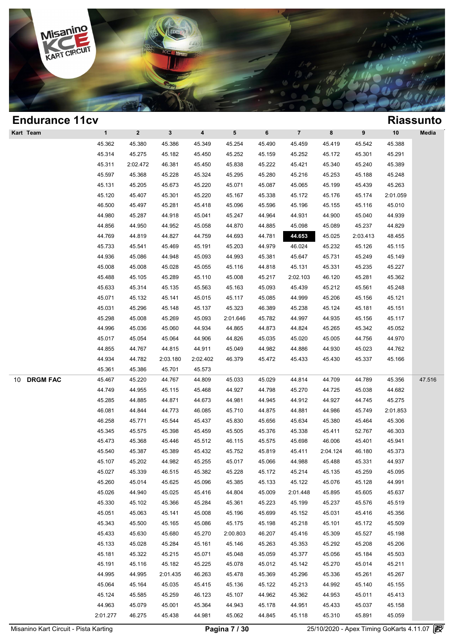

| <b>Endurance 11cv</b> |              |              |              |                         |                 |        |                |          |          |          | <b>Riassunto</b> |
|-----------------------|--------------|--------------|--------------|-------------------------|-----------------|--------|----------------|----------|----------|----------|------------------|
| Kart Team             | $\mathbf{1}$ | $\mathbf{2}$ | $\mathbf{3}$ | $\overline{\mathbf{4}}$ | $5\phantom{.0}$ | 6      | $\overline{7}$ | 8        | 9        | 10       | Media            |
|                       | 45.362       | 45.380       | 45.386       | 45.349                  | 45.254          | 45.490 | 45.459         | 45.419   | 45.542   | 45.388   |                  |
|                       | 45.314       | 45.275       | 45.182       | 45.450                  | 45.252          | 45.159 | 45.252         | 45.172   | 45.301   | 45.291   |                  |
|                       | 45.311       | 2:02.472     | 46.381       | 45.450                  | 45.838          | 45.222 | 45.421         | 45.340   | 45.240   | 45.389   |                  |
|                       | 45.597       | 45.368       | 45.228       | 45.324                  | 45.295          | 45.280 | 45.216         | 45.253   | 45.188   | 45.248   |                  |
|                       | 45.131       | 45.205       | 45.673       | 45.220                  | 45.071          | 45.087 | 45.065         | 45.199   | 45.439   | 45.263   |                  |
|                       | 45.120       | 45.407       | 45.301       | 45.220                  | 45.167          | 45.338 | 45.172         | 45.176   | 45.174   | 2:01.059 |                  |
|                       | 46.500       | 45.497       | 45.281       | 45.418                  | 45.096          | 45.596 | 45.196         | 45.155   | 45.116   | 45.010   |                  |
|                       | 44.980       | 45.287       | 44.918       | 45.041                  | 45.247          | 44.964 | 44.931         | 44.900   | 45.040   | 44.939   |                  |
|                       | 44.856       | 44.950       | 44.952       | 45.058                  | 44.870          | 44.885 | 45.098         | 45.089   | 45.237   | 44.829   |                  |
|                       | 44.769       | 44.819       | 44.827       | 44.759                  | 44.693          | 44.781 | 44.653         | 45.025   | 2:03.413 | 48.455   |                  |
|                       | 45.733       | 45.541       | 45.469       | 45.191                  | 45.203          | 44.979 | 46.024         | 45.232   | 45.126   | 45.115   |                  |
|                       | 44.936       | 45.086       | 44.948       | 45.093                  | 44.993          | 45.381 | 45.647         | 45.731   | 45.249   | 45.149   |                  |
|                       | 45.008       | 45.008       | 45.028       | 45.055                  | 45.116          | 44.818 | 45.131         | 45.331   | 45.235   | 45.227   |                  |
|                       | 45.488       | 45.105       | 45.289       | 45.110                  | 45.008          | 45.217 | 2:02.103       | 46.120   | 45.281   | 45.362   |                  |
|                       | 45.633       | 45.314       | 45.135       | 45.563                  | 45.163          | 45.093 | 45.439         | 45.212   | 45.561   | 45.248   |                  |
|                       | 45.071       | 45.132       | 45.141       | 45.015                  | 45.117          | 45.085 | 44.999         | 45.206   | 45.156   | 45.121   |                  |
|                       | 45.031       | 45.296       | 45.148       | 45.137                  | 45.323          | 46.389 | 45.238         | 45.124   | 45.181   | 45.151   |                  |
|                       | 45.298       | 45.008       | 45.269       | 45.093                  | 2:01.646        | 45.782 | 44.997         | 44.935   | 45.156   | 45.117   |                  |
|                       | 44.996       | 45.036       | 45.060       | 44.934                  | 44.865          | 44.873 | 44.824         | 45.265   | 45.342   | 45.052   |                  |
|                       | 45.017       | 45.054       | 45.064       | 44.906                  | 44.826          | 45.035 | 45.020         | 45.005   | 44.756   | 44.970   |                  |
|                       | 44.855       | 44.767       | 44.815       | 44.911                  | 45.049          | 44.982 | 44.886         | 44.930   | 45.023   | 44.762   |                  |
|                       | 44.934       | 44.782       | 2:03.180     | 2:02.402                | 46.379          | 45.472 | 45.433         | 45.430   | 45.337   | 45.166   |                  |
|                       | 45.361       | 45.386       | 45.701       | 45.573                  |                 |        |                |          |          |          |                  |
| <b>DRGM FAC</b><br>10 | 45.467       | 45.220       | 44.767       | 44.809                  | 45.033          | 45.029 | 44.814         | 44.709   | 44.789   | 45.356   | 47.516           |
|                       | 44.749       | 44.955       | 45.115       | 45.468                  | 44.927          | 44.798 | 45.270         | 44.725   | 45.038   | 44.682   |                  |
|                       | 45.285       | 44.885       | 44.871       | 44.673                  | 44.981          | 44.945 | 44.912         | 44.927   | 44.745   | 45.275   |                  |
|                       | 46.081       | 44.844       | 44.773       | 46.085                  | 45.710          | 44.875 | 44.881         | 44.986   | 45.749   | 2:01.853 |                  |
|                       | 46.258       | 45.771       | 45.544       | 45.437                  | 45.830          | 45.656 | 45.634         | 45.380   | 45.464   | 45.306   |                  |
|                       | 45.345       | 45.575       | 45.398       | 45.459                  | 45.505          | 45.376 | 45.338         | 45.411   | 52.767   | 46.303   |                  |
|                       | 45.473       | 45.368       | 45.446       | 45.512                  | 46.115          | 45.575 | 45.698         | 46.006   | 45.401   | 45.941   |                  |
|                       | 45.540       | 45.387       | 45.389       | 45.432                  | 45.752          | 45.819 | 45.411         | 2:04.124 | 46.180   | 45.373   |                  |
|                       | 45.107       | 45.202       | 44.982       | 45.255                  | 45.017          | 45.066 | 44.988         | 45.488   | 45.331   | 44.937   |                  |
|                       | 45.027       | 45.339       | 46.515       | 45.382                  | 45.228          | 45.172 | 45.214         | 45.135   | 45.259   | 45.095   |                  |
|                       | 45.260       | 45.014       | 45.625       | 45.096                  | 45.385          | 45.133 | 45.122         | 45.076   | 45.128   | 44.991   |                  |
|                       | 45.026       | 44.940       | 45.025       | 45.416                  | 44.804          | 45.009 | 2:01.448       | 45.895   | 45.605   | 45.637   |                  |
|                       | 45.330       | 45.102       | 45.366       | 45.284                  | 45.361          | 45.223 | 45.199         | 45.237   | 45.576   | 45.519   |                  |
|                       | 45.051       | 45.063       | 45.141       | 45.008                  | 45.196          | 45.699 | 45.152         | 45.031   | 45.416   | 45.356   |                  |
|                       | 45.343       | 45.500       | 45.165       | 45.086                  | 45.175          | 45.198 | 45.218         | 45.101   | 45.172   | 45.509   |                  |
|                       | 45.433       | 45.630       | 45.680       | 45.270                  | 2:00.803        | 46.207 | 45.416         | 45.309   | 45.527   | 45.198   |                  |
|                       | 45.133       | 45.028       | 45.284       | 45.161                  | 45.146          | 45.263 | 45.353         | 45.292   | 45.208   | 45.206   |                  |
|                       | 45.181       | 45.322       | 45.215       | 45.071                  | 45.048          | 45.059 | 45.377         | 45.056   | 45.184   | 45.503   |                  |
|                       | 45.191       | 45.116       | 45.182       | 45.225                  | 45.078          | 45.012 | 45.142         | 45.270   | 45.014   | 45.211   |                  |
|                       | 44.995       | 44.995       | 2:01.435     | 46.263                  | 45.478          | 45.369 | 45.296         | 45.336   | 45.261   | 45.267   |                  |
|                       | 45.064       | 45.164       | 45.035       | 45.415                  | 45.136          | 45.122 | 45.213         | 44.992   | 45.140   | 45.155   |                  |
|                       | 45.124       | 45.585       | 45.259       | 46.123                  | 45.107          | 44.962 | 45.362         | 44.953   | 45.011   | 45.413   |                  |
|                       | 44.963       | 45.079       | 45.001       | 45.364                  | 44.943          | 45.178 | 44.951         | 45.433   | 45.037   | 45.158   |                  |
|                       | 2:01.277     | 46.275       | 45.438       | 44.981                  | 45.062          | 44.845 | 45.118         | 45.310   | 45.891   | 45.059   |                  |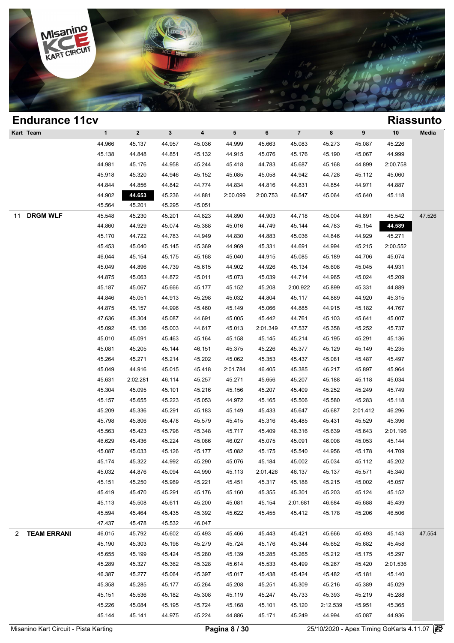

| <b>Endurance 11cv</b> |              |              |              |                         |                 |          |                         |          |          |          | <b>Riassunto</b> |
|-----------------------|--------------|--------------|--------------|-------------------------|-----------------|----------|-------------------------|----------|----------|----------|------------------|
| Kart Team             | $\mathbf{1}$ | $\mathbf{2}$ | $\mathbf{3}$ | $\overline{\mathbf{4}}$ | $5\phantom{.0}$ | 6        | $\overline{\mathbf{7}}$ | 8        | 9        | 10       | Media            |
|                       | 44.966       | 45.137       | 44.957       | 45.036                  | 44.999          | 45.663   | 45.083                  | 45.273   | 45.087   | 45.226   |                  |
|                       | 45.138       | 44.848       | 44.851       | 45.132                  | 44.915          | 45.076   | 45.176                  | 45.190   | 45.067   | 44.999   |                  |
|                       | 44.981       | 45.176       | 44.958       | 45.244                  | 45.418          | 44.783   | 45.687                  | 45.168   | 44.899   | 2:00.758 |                  |
|                       | 45.918       | 45.320       | 44.946       | 45.152                  | 45.085          | 45.058   | 44.942                  | 44.728   | 45.112   | 45.060   |                  |
|                       | 44.844       | 44.856       | 44.842       | 44.774                  | 44.834          | 44.816   | 44.831                  | 44.854   | 44.971   | 44.887   |                  |
|                       | 44.902       | 44.653       | 45.236       | 44.881                  | 2:00.099        | 2:00.753 | 46.547                  | 45.064   | 45.640   | 45.118   |                  |
|                       | 45.564       | 45.201       | 45.295       | 45.051                  |                 |          |                         |          |          |          |                  |
| <b>DRGM WLF</b><br>11 | 45.548       | 45.230       | 45.201       | 44.823                  | 44.890          | 44.903   | 44.718                  | 45.004   | 44.891   | 45.542   | 47.526           |
|                       | 44.860       | 44.929       | 45.074       | 45.388                  | 45.016          | 44.749   | 45.144                  | 44.783   | 45.154   | 44.589   |                  |
|                       | 45.170       | 44.722       | 44.783       | 44.949                  | 44.830          | 44.883   | 45.036                  | 44.846   | 44.929   | 45.271   |                  |
|                       | 45.453       | 45.040       | 45.145       | 45.369                  | 44.969          | 45.331   | 44.691                  | 44.994   | 45.215   | 2:00.552 |                  |
|                       | 46.044       | 45.154       | 45.175       | 45.168                  | 45.040          | 44.915   | 45.085                  | 45.189   | 44.706   | 45.074   |                  |
|                       | 45.049       | 44.896       | 44.739       | 45.615                  | 44.902          | 44.926   | 45.134                  | 45.608   | 45.045   | 44.931   |                  |
|                       | 44.875       | 45.063       | 44.872       | 45.011                  | 45.073          | 45.039   | 44.714                  | 44.965   | 45.024   | 45.209   |                  |
|                       | 45.187       | 45.067       | 45.666       | 45.177                  | 45.152          | 45.208   | 2:00.922                | 45.899   | 45.331   | 44.889   |                  |
|                       | 44.846       | 45.051       | 44.913       | 45.298                  | 45.032          | 44.804   | 45.117                  | 44.889   | 44.920   | 45.315   |                  |
|                       | 44.875       | 45.157       | 44.996       | 45.460                  | 45.149          | 45.066   | 44.885                  | 44.915   | 45.182   | 44.767   |                  |
|                       | 47.636       | 45.304       | 45.087       | 44.691                  | 45.005          | 45.442   | 44.761                  | 45.103   | 45.641   | 45.007   |                  |
|                       | 45.092       | 45.136       | 45.003       | 44.617                  | 45.013          | 2:01.349 | 47.537                  | 45.358   | 45.252   | 45.737   |                  |
|                       | 45.010       | 45.091       | 45.463       | 45.164                  | 45.158          | 45.145   | 45.214                  | 45.195   | 45.291   | 45.136   |                  |
|                       | 45.081       | 45.205       | 45.144       | 46.151                  | 45.375          | 45.226   | 45.377                  | 45.129   | 45.149   | 45.235   |                  |
|                       | 45.264       | 45.271       | 45.214       | 45.202                  | 45.062          | 45.353   | 45.437                  | 45.081   | 45.487   | 45.497   |                  |
|                       | 45.049       | 44.916       | 45.015       | 45.418                  | 2:01.784        | 46.405   | 45.385                  | 46.217   | 45.897   | 45.964   |                  |
|                       | 45.631       | 2:02.281     | 46.114       | 45.257                  | 45.271          | 45.656   | 45.207                  | 45.188   | 45.118   | 45.034   |                  |
|                       | 45.304       | 45.095       | 45.101       | 45.216                  | 45.156          | 45.207   | 45.409                  | 45.252   | 45.249   | 45.749   |                  |
|                       | 45.157       | 45.655       | 45.223       | 45.053                  | 44.972          | 45.165   | 45.506                  | 45.580   | 45.283   | 45.118   |                  |
|                       | 45.209       | 45.336       | 45.291       | 45.183                  | 45.149          | 45.433   | 45.647                  | 45.687   | 2:01.412 | 46.296   |                  |
|                       | 45.798       | 45.806       | 45.478       | 45.579                  | 45.415          | 45.316   | 45.485                  | 45.431   | 45.529   | 45.396   |                  |
|                       | 45.563       | 45.423       | 45.798       | 45.348                  | 45.717          | 45.409   | 46.316                  | 45.639   | 45.643   | 2:01.196 |                  |
|                       | 46.629       | 45.436       | 45.224       | 45.086                  | 46.027          | 45.075   | 45.091                  | 46.008   | 45.053   | 45.144   |                  |
|                       | 45.087       | 45.033       | 45.126       | 45.177                  | 45.082          | 45.175   | 45.540                  | 44.956   | 45.178   | 44.709   |                  |
|                       | 45.174       | 45.322       | 44.992       | 45.290                  | 45.076          | 45.184   | 45.002                  | 45.034   | 45.112   | 45.202   |                  |
|                       | 45.032       | 44.876       | 45.094       | 44.990                  | 45.113          | 2:01.426 | 46.137                  | 45.137   | 45.571   | 45.340   |                  |
|                       | 45.151       | 45.250       | 45.989       | 45.221                  | 45.451          | 45.317   | 45.188                  | 45.215   | 45.002   | 45.057   |                  |
|                       | 45.419       | 45.470       | 45.291       | 45.176                  | 45.160          | 45.355   | 45.301                  | 45.203   | 45.124   | 45.152   |                  |
|                       | 45.113       | 45.508       | 45.611       | 45.200                  | 45.081          | 45.154   | 2:01.681                | 46.684   | 45.688   | 45.439   |                  |
|                       | 45.594       | 45.464       | 45.435       | 45.392                  | 45.622          | 45.455   | 45.412                  | 45.178   | 45.206   | 46.506   |                  |
|                       | 47.437       | 45.478       | 45.532       | 46.047                  |                 |          |                         |          |          |          |                  |
| 2 TEAM ERRANI         | 46.015       | 45.792       | 45.602       | 45.493                  | 45.466          | 45.443   | 45.421                  | 45.666   | 45.493   | 45.143   | 47.554           |
|                       | 45.190       | 45.303       | 45.198       | 45.279                  | 45.724          | 45.176   | 45.344                  | 45.652   | 45.682   | 45.458   |                  |
|                       | 45.655       | 45.199       | 45.424       | 45.280                  | 45.139          | 45.285   | 45.265                  | 45.212   | 45.175   | 45.297   |                  |
|                       | 45.289       | 45.327       | 45.362       | 45.328                  | 45.614          | 45.533   | 45.499                  | 45.267   | 45.420   | 2:01.536 |                  |
|                       | 46.387       | 45.277       | 45.064       | 45.397                  | 45.017          | 45.438   | 45.424                  | 45.482   | 45.181   | 45.140   |                  |
|                       | 45.358       | 45.285       | 45.177       | 45.264                  | 45.208          | 45.251   | 45.309                  | 45.216   | 45.389   | 45.029   |                  |
|                       | 45.151       | 45.536       | 45.182       | 45.308                  | 45.119          | 45.247   | 45.733                  | 45.393   | 45.219   | 45.288   |                  |
|                       | 45.226       | 45.084       | 45.195       | 45.724                  | 45.168          | 45.101   | 45.120                  | 2:12.539 | 45.951   | 45.365   |                  |
|                       | 45.144       | 45.141       | 44.975       | 45.224                  | 44.886          | 45.171   | 45.249                  | 44.994   | 45.087   | 44.936   |                  |
|                       |              |              |              |                         |                 |          |                         |          |          |          |                  |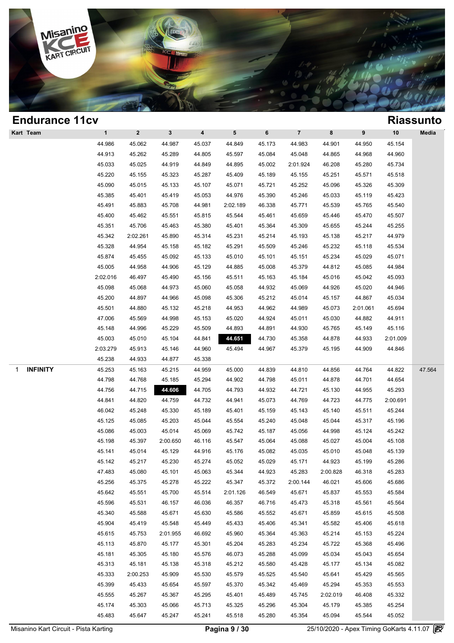

| <b>Endurance 11cv</b> |              |              |              |                         |                 |        |                         |          |          |          | <b>Riassunto</b> |
|-----------------------|--------------|--------------|--------------|-------------------------|-----------------|--------|-------------------------|----------|----------|----------|------------------|
| Kart Team             | $\mathbf{1}$ | $\mathbf{2}$ | $\mathbf{3}$ | $\overline{\mathbf{4}}$ | $5\phantom{.0}$ | 6      | $\overline{\mathbf{7}}$ | 8        | 9        | 10       | Media            |
|                       | 44.986       | 45.062       | 44.987       | 45.037                  | 44.849          | 45.173 | 44.983                  | 44.901   | 44.950   | 45.154   |                  |
|                       | 44.913       | 45.262       | 45.289       | 44.805                  | 45.597          | 45.084 | 45.048                  | 44.865   | 44.968   | 44.960   |                  |
|                       | 45.033       | 45.025       | 44.919       | 44.849                  | 44.895          | 45.002 | 2:01.924                | 46.208   | 45.280   | 45.734   |                  |
|                       | 45.220       | 45.155       | 45.323       | 45.287                  | 45.409          | 45.189 | 45.155                  | 45.251   | 45.571   | 45.518   |                  |
|                       | 45.090       | 45.015       | 45.133       | 45.107                  | 45.071          | 45.721 | 45.252                  | 45.096   | 45.326   | 45.309   |                  |
|                       | 45.385       | 45.401       | 45.419       | 45.053                  | 44.976          | 45.390 | 45.246                  | 45.033   | 45.119   | 45.423   |                  |
|                       | 45.491       | 45.883       | 45.708       | 44.981                  | 2:02.189        | 46.338 | 45.771                  | 45.539   | 45.765   | 45.540   |                  |
|                       | 45.400       | 45.462       | 45.551       | 45.815                  | 45.544          | 45.461 | 45.659                  | 45.446   | 45.470   | 45.507   |                  |
|                       | 45.351       | 45.706       | 45.463       | 45.380                  | 45.401          | 45.364 | 45.309                  | 45.655   | 45.244   | 45.255   |                  |
|                       | 45.342       | 2:02.261     | 45.890       | 45.314                  | 45.231          | 45.214 | 45.193                  | 45.138   | 45.217   | 44.979   |                  |
|                       | 45.328       | 44.954       | 45.158       | 45.182                  | 45.291          | 45.509 | 45.246                  | 45.232   | 45.118   | 45.534   |                  |
|                       | 45.874       | 45.455       | 45.092       | 45.133                  | 45.010          | 45.101 | 45.151                  | 45.234   | 45.029   | 45.071   |                  |
|                       | 45.005       | 44.958       | 44.906       | 45.129                  | 44.885          | 45.008 | 45.379                  | 44.812   | 45.085   | 44.984   |                  |
|                       | 2:02.016     | 46.497       | 45.490       | 45.156                  | 45.511          | 45.163 | 45.184                  | 45.016   | 45.042   | 45.093   |                  |
|                       | 45.098       | 45.068       | 44.973       | 45.060                  | 45.058          | 44.932 | 45.069                  | 44.926   | 45.020   | 44.946   |                  |
|                       | 45.200       | 44.897       | 44.966       | 45.098                  | 45.306          | 45.212 | 45.014                  | 45.157   | 44.867   | 45.034   |                  |
|                       | 45.501       | 44.880       | 45.132       | 45.218                  | 44.953          | 44.962 | 44.989                  | 45.073   | 2:01.061 | 45.694   |                  |
|                       | 47.006       | 45.569       | 44.998       | 45.153                  | 45.020          | 44.924 | 45.011                  | 45.030   | 44.882   | 44.911   |                  |
|                       | 45.148       | 44.996       | 45.229       | 45.509                  | 44.893          | 44.891 | 44.930                  | 45.765   | 45.149   | 45.116   |                  |
|                       | 45.003       | 45.010       | 45.104       | 44.841                  | 44.651          | 44.730 | 45.358                  | 44.878   | 44.933   | 2:01.009 |                  |
|                       | 2:03.279     | 45.913       | 45.146       | 44.960                  | 45.494          | 44.967 | 45.379                  | 45.195   | 44.909   | 44.846   |                  |
|                       | 45.238       | 44.933       | 44.877       | 45.338                  |                 |        |                         |          |          |          |                  |
| <b>INFINITY</b><br>1  | 45.253       | 45.163       | 45.215       | 44.959                  | 45.000          | 44.839 | 44.810                  | 44.856   | 44.764   | 44.822   | 47.564           |
|                       | 44.798       | 44.768       | 45.185       | 45.294                  | 44.902          | 44.798 | 45.011                  | 44.878   | 44.701   | 44.654   |                  |
|                       | 44.756       | 44.715       | 44.606       | 44.705                  | 44.793          | 44.932 | 44.721                  | 45.130   | 44.955   | 45.293   |                  |
|                       | 44.841       | 44.820       | 44.759       | 44.732                  | 44.941          | 45.073 | 44.769                  | 44.723   | 44.775   | 2:00.691 |                  |
|                       | 46.042       | 45.248       | 45.330       | 45.189                  | 45.401          | 45.159 | 45.143                  | 45.140   | 45.511   | 45.244   |                  |
|                       | 45.125       | 45.085       | 45.203       | 45.044                  | 45.554          | 45.240 | 45.048                  | 45.044   | 45.317   | 45.196   |                  |
|                       | 45.086       | 45.003       | 45.014       | 45.069                  | 45.742          | 45.187 | 45.056                  | 44.998   | 45.124   | 45.242   |                  |
|                       | 45.198       | 45.397       | 2:00.650     | 46.116                  | 45.547          | 45.064 | 45.088                  | 45.027   | 45.004   | 45.108   |                  |
|                       | 45.141       | 45.014       | 45.129       | 44.916                  | 45.176          | 45.082 | 45.035                  | 45.010   | 45.048   | 45.139   |                  |
|                       | 45.142       | 45.217       | 45.230       | 45.274                  | 45.052          | 45.029 | 45.171                  | 44.923   | 45.199   | 45.286   |                  |
|                       | 47.483       | 45.080       | 45.101       | 45.063                  | 45.344          | 44.923 | 45.283                  | 2:00.828 | 46.318   | 45.283   |                  |
|                       | 45.256       | 45.375       | 45.278       | 45.222                  | 45.347          | 45.372 | 2:00.144                | 46.021   | 45.606   | 45.686   |                  |
|                       | 45.642       | 45.551       | 45.700       | 45.514                  | 2:01.126        | 46.549 | 45.671                  | 45.837   | 45.553   | 45.584   |                  |
|                       | 45.596       | 45.531       | 46.157       | 46.036                  | 46.357          | 46.716 | 45.473                  | 45.318   | 45.561   | 45.564   |                  |
|                       | 45.340       | 45.588       | 45.671       | 45.630                  | 45.586          | 45.552 | 45.671                  | 45.859   | 45.615   | 45.508   |                  |
|                       | 45.904       | 45.419       | 45.548       | 45.449                  | 45.433          | 45.406 | 45.341                  | 45.582   | 45.406   | 45.618   |                  |
|                       | 45.615       | 45.753       | 2:01.955     | 46.692                  | 45.960          | 45.364 | 45.363                  | 45.214   | 45.153   | 45.224   |                  |
|                       | 45.113       | 45.870       | 45.177       | 45.301                  | 45.204          | 45.283 | 45.234                  | 45.722   | 45.368   | 45.496   |                  |
|                       | 45.181       | 45.305       | 45.180       | 45.576                  | 46.073          | 45.288 | 45.099                  | 45.034   | 45.043   | 45.654   |                  |
|                       | 45.313       | 45.181       | 45.138       | 45.318                  | 45.212          | 45.580 | 45.428                  | 45.177   | 45.134   | 45.082   |                  |
|                       | 45.333       | 2:00.253     | 45.909       | 45.530                  | 45.579          | 45.525 | 45.540                  | 45.641   | 45.429   | 45.565   |                  |
|                       | 45.399       | 45.433       | 45.654       | 45.597                  | 45.370          | 45.342 | 45.469                  | 45.294   | 45.353   | 45.553   |                  |
|                       | 45.555       | 45.267       | 45.367       | 45.295                  | 45.401          | 45.489 | 45.745                  | 2:02.019 | 46.408   | 45.332   |                  |
|                       | 45.174       | 45.303       | 45.066       | 45.713                  | 45.325          | 45.296 | 45.304                  | 45.179   | 45.385   | 45.254   |                  |
|                       | 45.483       | 45.647       | 45.247       | 45.241                  | 45.518          | 45.280 | 45.354                  | 45.094   | 45.544   | 45.052   |                  |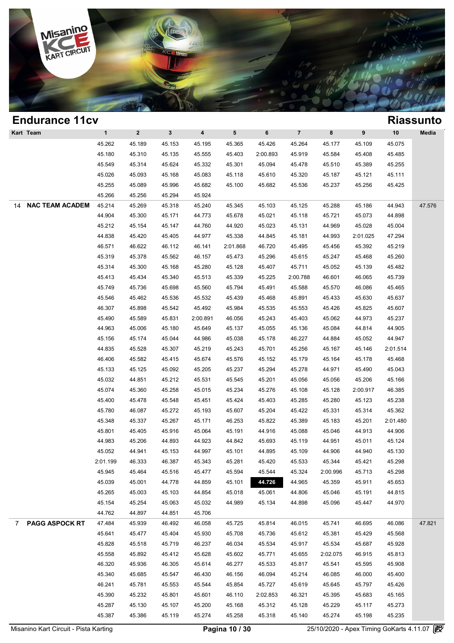

### **Endurance 11cv Riassunto Kart Team 1 2 3 4 5 6 7 8 9 10 Media Riassun**<br>
45.262 45.189 45.153 45.195 45.365 45.426 45.264 45.177 45.109 45.075<br>
45.480 45.310 45.325 45.355 45.426 45.264 45.177 45.109 45.075 1 2 3 4 5 6 7 8 9 10 Med<br>45.262 45.189 45.153 45.195 45.365 45.426 45.264 45.177 45.109 45.075<br>45.180 45.310 45.135 45.555 45.403 2:00.893 45.919 45.584 45.408 45.485<br>45.540 45.314 45.634 45.332 45.323 45.304 45.904 45.478 1 2 3 4 5 6 7 8 9 10 Med<br>45.262 45.189 45.153 45.195 45.365 45.426 45.264 45.177 45.109 45.075<br>45.180 45.310 45.135 45.555 45.403 2:00.893 45.919 45.584 45.408 45.485<br>45.549 45.314 45.624 45.332 45.301 45.094 45.478 45.510 45.262 45.189 45.153 45.195 45.365 45.426 45.264 45.177 45.109 45.075<br>45.180 45.310 45.135 45.555 45.403 2:00.893 45.919 45.584 45.408 45.485<br>45.549 45.314 45.624 45.332 45.301 45.094 45.478 45.510 45.389 45.255<br>45.026 45. 45.180 45.310 45.135 45.555 45.403 2:00.893 45.919 45.584 45.408 45.485<br>45.549 45.314 45.624 45.332 45.301 45.094 45.478 45.510 45.389 45.255<br>45.026 45.093 45.168 45.083 45.118 45.610 45.320 45.187 45.121 45.111<br>45.255 45. 45.549 45.314 45.624 45.332 45.34<br>45.026 45.093 45.168 45.083 45.11<br>45.255 45.089 45.996 45.682 45.10<br>45.266 45.256 45.294 45.924 14 **NAC TEAM ACADEMY** 45.214 45.269 45.318 45.240 45.345 45.103 45.125 45.288 45.186 44.943 47.576 45.255 45.089 45.996 45.682 45.100 45.682 45.536 45.237 45.256 45.425<br>45.266 45.256 45.294 45.924<br>45.214 45.269 45.318 45.240 45.345 45.103 45.125 45.288 45.186 44.943 47.5;<br>44.904 45.300 45.171 44.773 45.678 45.021 45.118 45.266 45.266 45.294 45.924 45.318 45.345 45.103 45.125 45.288 45.186 44.943 47.5<br>44.904 45.300 45.171 44.773 45.678 45.021 45.118 45.721 45.073 44.898<br>45.212 45.154 45.147 44.760 44.920 45.023 45.131 44.969 45.028 45.004<br> 45.214 45.269 45.318 45.240 45.345 45.103 45.125 45.288 45.186 44.943 47.5;<br>44.904 45.300 45.171 44.773 45.678 45.021 45.118 45.721 45.073 44.898<br>45.212 45.154 45.147 44.760 44.920 45.023 45.131 44.969 45.028 45.004<br>44.838 44.904 45.300 45.171 44.773 45.678 45.021 45.118 45.721 45.073 44.898<br>45.212 45.154 45.147 44.760 44.920 45.023 45.131 44.969 45.028 45.004<br>44.838 45.420 45.405 44.977 45.338 44.845 45.181 44.993 2:01.025 47.294<br>46.571 46. 46.212 45.154 45.147 44.760 44.920 45.023 45.131 44.969 45.028 45.004<br>44.838 45.420 45.405 44.977 45.338 44.845 45.181 44.993 2:01.025 47.294<br>46.571 46.622 46.112 46.141 2:01.868 46.720 45.495 45.456 45.392 45.219<br>45.319 4 44.838 45.420 45.405 44.977 45.338 44.845 45.181 44.993 2:01.025 47.294<br>46.571 46.622 46.112 46.141 2:01.868 46.720 45.495 45.456 45.392 45.219<br>45.319 45.378 45.562 46.157 45.473 45.296 45.615 45.247 45.468 45.260<br>45.314 4 46.571 46.622 46.112 46.141 2:01.868 46.720 45.495 45.456 45.392 45.219<br>45.319 45.378 45.562 46.157 45.473 45.296 45.615 45.247 45.468 45.260<br>45.314 45.300 45.168 45.280 45.128 45.407 45.711 45.052 45.139 45.482<br>45.413 45. 45.319 45.378 45.562 46.157 45.473 45.296 45.615 45.247 45.468 45.260<br>45.314 45.300 45.168 45.280 45.128 45.407 45.711 45.052 45.139 45.482<br>45.413 45.434 45.340 45.513 45.339 45.225 2:00.788 46.601 46.065 45.739<br>45.749 45. 45.314 45.300 45.168 45.280 45.128 45.407 45.711 45.052 45.139 45.482<br>45.413 45.434 45.340 45.513 45.339 45.225 2:00.788 46.601 46.065 45.739<br>45.749 45.736 45.698 45.560 45.794 45.491 45.588 45.570 46.086 45.465<br>45.546 45. 45.413 45.434 45.340 45.513 45.339 45.225 2:00.788 46.601 46.065 45.739<br>45.749 45.736 45.698 45.560 45.794 45.491 45.588 45.570 46.086 45.465<br>45.546 45.462 45.536 45.532 45.439 45.468 45.891 45.433 45.630 45.637<br>46.307 45. 45.749 45.736 45.698 45.560 45.794 45.491 45.588 45.570 46.086 45.465<br>45.546 45.462 45.536 45.532 45.439 45.468 45.891 45.433 45.630 45.637<br>46.307 45.898 45.542 45.492 45.984 45.535 45.553 45.426 45.825 45.607<br>45.490 45.58 45.546 45.462 45.536 45.532 45.439 45.468 45.891 45.433 45.630 45.637<br>46.307 45.898 45.542 45.492 45.984 45.535 45.553 45.426 45.825 45.607<br>45.490 45.589 45.831 2:00.891 46.056 45.243 45.403 45.062 44.973 45.237<br>44.963 45. 46.307 45.898 45.542 45.492 45.984 45.535 45.553 45.426 45.825 45.607<br>45.490 45.589 45.831 2:00.891 46.056 45.243 45.403 45.062 44.973 45.237<br>44.963 45.006 45.180 45.649 45.137 45.055 45.136 45.084 44.814 44.905<br>45.156 45. 44.963 45.589 45.831 2:00.891 46.056 45.243 45.403 45.062 44.973 45.237<br>44.963 45.006 45.180 45.649 45.137 45.055 45.136 45.084 44.814 44.905<br>45.156 45.174 45.044 44.986 45.038 45.178 46.227 44.884 45.052 44.947<br>44.835 45.5 44.963 45.006 45.180 45.649 45.137 45.055 45.136 45.084 44.814 44.905<br>45.156 45.174 45.044 44.986 45.038 45.178 46.227 44.884 45.052 44.947<br>44.835 45.528 45.307 45.219 45.243 45.701 45.256 45.167 45.146 2:01.514<br>46.406 45. 45.156 45.174 45.044 44.986 45.038 45.178 46.227 44.884 45.052 44.947<br>44.835 45.528 45.307 45.219 45.243 45.701 45.256 45.167 45.146 2:01.514<br>46.406 45.582 45.415 45.674 45.576 45.152 45.179 45.164 45.178 45.468<br>45.133 45. 44.835 45.528 45.307 45.219 45.243 45.701 45.256 45.167 45.146 2:01.514<br>46.406 45.582 45.415 45.674 45.576 45.152 45.179 45.164 45.178 45.468<br>45.133 45.125 45.092 45.205 45.237 45.294 45.278 44.971 45.490 45.043<br>45.032 44. 46.406 45.582 45.415 45.674 45.576 45.152 45.179 45.164 45.178 45.468<br>45.133 45.125 45.092 45.205 45.237 45.294 45.278 44.971 45.490 45.043<br>45.032 44.851 45.212 45.531 45.545 45.201 45.056 45.056 45.206 45.166<br>45.074 45.36 45.133 45.125 45.092 45.205 45.237 45.294 45.278 44.971 45.490 45.043<br>45.032 44.851 45.212 45.531 45.545 45.201 45.056 45.056 45.206 45.166<br>45.074 45.360 45.258 45.015 45.234 45.276 45.108 45.128 2:00.917 46.385<br>45.400 45. 46.032 44.851 45.212 45.531 45.545 45.201 45.056 45.056 45.206 45.166<br>45.074 45.360 45.258 45.015 45.234 45.276 45.108 45.128 2:00.917 46.385<br>45.400 45.478 45.548 45.451 45.424 45.403 45.285 45.280 45.123 45.238<br>45.780 46. 45.074 45.360 45.258 45.015 45.234 45.276 45.108 45.128 2:00.917 46.385<br>45.400 45.478 45.548 45.451 45.424 45.403 45.285 45.280 45.123 45.238<br>45.780 46.087 45.272 45.193 45.607 45.204 45.422 45.331 45.314 45.362<br>45.348 45. 45.400 45.478 45.548 45.451 45.424 45.403 45.285 45.280 45.123 45.238<br>45.780 46.087 45.272 45.193 45.607 45.204 45.422 45.331 45.314 45.362<br>45.348 45.337 45.267 45.171 46.253 45.822 45.389 45.183 45.201 2:01.480<br>45.801 45. 45.780 46.087 45.272 45.193 45.607 45.204 45.422 45.331 45.314 45.362<br>45.348 45.337 45.267 45.171 46.253 45.822 45.389 45.183 45.201 2:01.480<br>45.801 45.405 45.916 45.064 45.191 44.916 45.088 45.046 44.913 44.906<br>44.983 45. 45.348 45.337 45.267 45.171 46.253 45.822 45.389 45.183 45.201 2:01.480<br>45.801 45.405 45.916 45.064 45.191 44.916 45.088 45.046 44.913 44.906<br>44.983 45.206 44.893 44.923 44.842 45.693 45.119 44.951 45.011 45.124<br>45.052 44. 45.801 45.405 45.916 45.064 45.191 44.916 45.088 45.046 44.913 44.906<br>44.983 45.206 44.893 44.923 44.842 45.693 45.119 44.951 45.011 45.124<br>45.052 44.941 45.153 44.997 45.101 44.895 45.109 44.906 44.940 45.130<br>2:01.199 46. 46.983 45.206 44.893 44.923 44.842 45.693 45.119 44.951 45.011 45.124<br>45.052 44.941 45.153 44.997 45.101 44.895 45.109 44.906 44.940 45.130<br>:01.199 46.333 46.387 45.343 45.281 45.420 45.533 45.344 45.421 45.298<br>45.945 45.4 45.052 44.941 45.153 44.997 45.101 44.895 45.109 44.906 44.940 45.130<br>
1.01.199 46.333 46.387 45.343 45.281 45.420 45.533 45.344 45.421 45.298<br>
45.945 45.464 45.516 45.477 45.594 45.544 45.324 2:00.996 45.713 45.298<br>
45.03 46.333 46.387 45.343 45.281 45.420 45.533 45.344 45.421 45.298<br>45.945 45.464 45.516 45.477 45.594 45.544 45.324 2:00.996 45.713 45.298<br>45.039 45.001 44.778 44.859 45.101 44.778 44.965 45.359 45.911 45.653<br>45.265 45.003 45 45.945 45.464 45.516 45.477 45.594 45.544 45.324 2:00.996 45.713 45.298<br>45.039 45.001 44.778 44.859 45.101 44.726 44.965 45.359 45.911 45.653<br>45.265 45.003 45.103 44.854 45.018 45.061 44.806 45.046 45.191 44.815<br>45.154 45. 45.039 45.001 44.778 44.859 45.10<br>45.265 45.003 45.103 44.854 45.0<br>45.154 45.254 45.063 45.032 44.98<br>44.762 44.897 44.851 45.706 7 **PAGG ASPOCK RT** 47.484 45.939 46.492 46.058 45.725 45.814 46.015 45.741 46.695 46.086 47.821 45.154 45.254 45.063 45.032 44.989 45.134 44.898 45.096 45.447 44.970<br>44.762 44.897 44.851 45.706<br>47.484 45.939 46.492 46.058 45.725 45.814 46.015 45.741 46.695 46.086 47.82<br>45.641 45.477 45.404 45.930 45.708 45.736 45.612 44.762 44.897 44.851 45.706<br>47.484 45.939 46.492 46.058 45.725 45.814 46.015 45.741 46.695 46.086 47.82<br>45.641 45.477 45.404 45.930 45.708 45.736 45.612 45.381 45.429 45.568<br>45.828 45.518 45.719 46.237 46.034 45.534 45.917 46.893 46.492 46.058 45.725 45.814 46.015 45.741 46.695 46.086 47.82<br>45.641 45.477 45.404 45.930 45.708 45.736 45.612 45.381 45.429 45.568<br>45.828 45.518 45.719 46.237 46.034 45.534 45.917 45.534 45.687 45.928<br>45.558 45.892 45.641 45.477 45.404 45.930 45.708 45.736 45.612 45.381 45.429 45.568<br>45.828 45.518 45.719 46.237 46.034 45.534 45.917 45.534 45.687 45.928<br>45.558 45.892 45.412 45.628 45.602 45.771 45.655 2:02.075 46.915 45.813<br>46.320 45. 45.828 45.518 45.719 46.237 46.034 45.534 45.917 45.534 45.687 45.928<br>45.558 45.892 45.412 45.628 45.602 45.771 45.655 2:02.075 46.915 45.813<br>46.320 45.936 46.305 45.614 46.277 45.533 45.817 45.541 45.595 45.908<br>45.340 45. 46.320 45.892 45.412 45.628 45.602 45.771 45.655 2:02.075 46.915 45.813<br>46.320 45.936 46.305 45.614 46.277 45.533 45.817 45.541 45.595 45.908<br>45.340 45.685 45.547 46.430 46.156 46.094 45.214 46.085 46.000 45.400<br>46.241 45. 46.320 45.936 46.305 45.614 46.277 45.533 45.817 45.541 45.595 45.908<br>45.340 45.685 45.547 46.430 46.156 46.094 45.214 46.085 46.000 45.400<br>46.241 45.781 45.553 45.544 45.854 45.727 45.619 45.645 45.797 45.426<br>45.390 45.23 45.340 45.685 45.547 46.430 46.156 46.094 45.214 46.085 46.000 45.400<br>46.241 45.781 45.553 45.544 45.854 45.727 45.619 45.645 45.797 45.426<br>45.390 45.232 45.801 45.601 46.110 2:02.853 46.321 45.395 45.683 45.165<br>45.287 45. 46.241 45.781 45.553 45.544 45.854 45.727 45.619 45.645 45.797 45.426<br>45.390 45.232 45.801 45.601 46.110 2:02.853 46.321 45.395 45.683 45.165<br>45.287 45.130 45.107 45.200 45.168 45.312 45.128 45.229 45.117 45.273<br>45.387 45.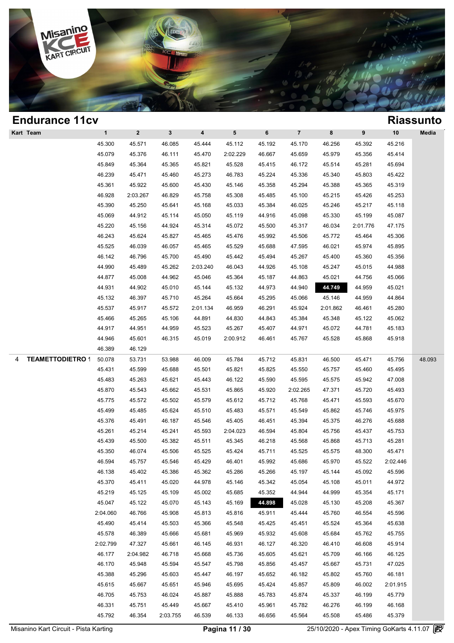

| <b>Endurance 11cv</b>        |              |                         |             |                         |          |        |                |          |          |          | <b>Riassunto</b> |
|------------------------------|--------------|-------------------------|-------------|-------------------------|----------|--------|----------------|----------|----------|----------|------------------|
| Kart Team                    | $\mathbf{1}$ | $\overline{\mathbf{2}}$ | $\mathbf 3$ | $\overline{\mathbf{4}}$ | 5        | 6      | $\overline{7}$ | 8        | 9        | 10       | Media            |
|                              | 45.300       | 45.571                  | 46.085      | 45.444                  | 45.112   | 45.192 | 45.170         | 46.256   | 45.392   | 45.216   |                  |
|                              | 45.079       | 45.376                  | 46.111      | 45.470                  | 2:02.229 | 46.667 | 45.659         | 45.979   | 45.356   | 45.414   |                  |
|                              | 45.849       | 45.364                  | 45.365      | 45.821                  | 45.528   | 45.415 | 46.172         | 45.514   | 45.281   | 45.694   |                  |
|                              | 46.239       | 45.471                  | 45.460      | 45.273                  | 46.783   | 45.224 | 45.336         | 45.340   | 45.803   | 45.422   |                  |
|                              | 45.361       | 45.922                  | 45.600      | 45.430                  | 45.146   | 45.358 | 45.294         | 45.388   | 45.365   | 45.319   |                  |
|                              | 46.928       | 2:03.267                | 46.829      | 45.758                  | 45.308   | 45.485 | 45.100         | 45.215   | 45.426   | 45.253   |                  |
|                              | 45.390       | 45.250                  | 45.641      | 45.168                  | 45.033   | 45.384 | 46.025         | 45.246   | 45.217   | 45.118   |                  |
|                              | 45.069       | 44.912                  | 45.114      | 45.050                  | 45.119   | 44.916 | 45.098         | 45.330   | 45.199   | 45.087   |                  |
|                              | 45.220       | 45.156                  | 44.924      | 45.314                  | 45.072   | 45.500 | 45.317         | 46.034   | 2:01.776 | 47.175   |                  |
|                              | 46.243       | 45.624                  | 45.827      | 45.465                  | 45.476   | 45.992 | 45.506         | 45.772   | 45.464   | 45.306   |                  |
|                              | 45.525       | 46.039                  | 46.057      | 45.465                  | 45.529   | 45.688 | 47.595         | 46.021   | 45.974   | 45.895   |                  |
|                              | 46.142       | 46.796                  | 45.700      | 45.490                  | 45.442   | 45.494 | 45.267         | 45.400   | 45.360   | 45.356   |                  |
|                              | 44.990       | 45.489                  | 45.262      | 2:03.240                | 46.043   | 44.926 | 45.108         | 45.247   | 45.015   | 44.988   |                  |
|                              | 44.877       | 45.008                  | 44.962      | 45.046                  | 45.364   | 45.187 | 44.863         | 45.021   | 44.756   | 45.066   |                  |
|                              | 44.931       | 44.902                  | 45.010      | 45.144                  | 45.132   | 44.973 | 44.940         | 44.749   | 44.959   | 45.021   |                  |
|                              | 45.132       | 46.397                  | 45.710      | 45.264                  | 45.664   | 45.295 | 45.066         | 45.146   | 44.959   | 44.864   |                  |
|                              | 45.537       | 45.917                  | 45.572      | 2:01.134                | 46.959   | 46.291 | 45.924         | 2:01.862 | 46.461   | 45.280   |                  |
|                              | 45.466       | 45.265                  | 45.106      | 44.891                  | 44.830   | 44.843 | 45.384         | 45.348   | 45.122   | 45.062   |                  |
|                              | 44.917       | 44.951                  | 44.959      | 45.523                  | 45.267   | 45.407 | 44.971         | 45.072   | 44.781   | 45.183   |                  |
|                              | 44.946       | 45.601                  | 46.315      | 45.019                  | 2:00.912 | 46.461 | 45.767         | 45.528   | 45.868   | 45.918   |                  |
|                              | 46.389       | 46.129                  |             |                         |          |        |                |          |          |          |                  |
| <b>TEAMETTODIETRO 1</b><br>4 | 50.078       | 53.731                  | 53.988      | 46.009                  | 45.784   | 45.712 | 45.831         | 46.500   | 45.471   | 45.756   | 48.093           |
|                              | 45.431       | 45.599                  | 45.688      | 45.501                  | 45.821   | 45.825 | 45.550         | 45.757   | 45.460   | 45.495   |                  |
|                              | 45.483       | 45.263                  | 45.621      | 45.443                  | 46.122   | 45.590 | 45.595         | 45.575   | 45.942   | 47.008   |                  |
|                              | 45.870       | 45.543                  | 45.662      | 45.531                  | 45.865   | 45.920 | 2:02.265       | 47.371   | 45.720   | 45.493   |                  |
|                              | 45.775       | 45.572                  | 45.502      | 45.579                  | 45.612   | 45.712 | 45.768         | 45.471   | 45.593   | 45.670   |                  |
|                              | 45.499       | 45.485                  | 45.624      | 45.510                  | 45.483   | 45.571 | 45.549         | 45.862   | 45.746   | 45.975   |                  |
|                              | 45.376       | 45.491                  | 46.187      | 45.546                  | 45.405   | 46.451 | 45.394         | 45.375   | 46.276   | 45.688   |                  |
|                              | 45.261       | 45.214                  | 45.241      | 45.593                  | 2:04.023 | 46.594 | 45.804         | 45.756   | 45.437   | 45.753   |                  |
|                              | 45.439       | 45.500                  | 45.382      | 45.511                  | 45.345   | 46.218 | 45.568         | 45.868   | 45.713   | 45.281   |                  |
|                              | 45.350       | 46.074                  | 45.506      | 45.525                  | 45.424   | 45.711 | 45.525         | 45.575   | 48.300   | 45.471   |                  |
|                              | 46.594       | 45.757                  | 45.546      | 45.429                  | 46.401   | 45.992 | 45.686         | 45.970   | 45.522   | 2:02.446 |                  |
|                              | 46.138       | 45.402                  | 45.386      | 45.362                  | 45.286   | 45.266 | 45.197         | 45.144   | 45.092   | 45.596   |                  |
|                              | 45.370       | 45.411                  | 45.020      | 44.978                  | 45.146   | 45.342 | 45.054         | 45.108   | 45.011   | 44.972   |                  |
|                              | 45.219       | 45.125                  | 45.109      | 45.002                  | 45.685   | 45.352 | 44.944         | 44.999   | 45.354   | 45.171   |                  |
|                              | 45.047       | 45.122                  | 45.070      | 45.143                  | 45.169   | 44.898 | 45.028         | 45.130   | 45.208   | 45.367   |                  |
|                              | 2:04.060     | 46.766                  | 45.908      | 45.813                  | 45.816   | 45.911 | 45.444         | 45.760   | 46.554   | 45.596   |                  |
|                              | 45.490       | 45.414                  | 45.503      | 45.366                  | 45.548   | 45.425 | 45.451         | 45.524   | 45.364   | 45.638   |                  |
|                              | 45.578       | 46.389                  | 45.666      | 45.681                  | 45.969   | 45.932 | 45.608         | 45.684   | 45.762   | 45.755   |                  |
|                              | 2:02.799     | 47.327                  | 45.661      | 46.145                  | 46.931   | 46.127 | 46.320         | 46.410   | 46.608   | 45.914   |                  |
|                              | 46.177       | 2:04.982                | 46.718      | 45.668                  | 45.736   | 45.605 | 45.621         | 45.709   | 46.166   | 46.125   |                  |
|                              | 46.170       | 45.948                  | 45.594      | 45.547                  | 45.798   | 45.856 | 45.457         | 45.667   | 45.731   | 47.025   |                  |
|                              | 45.388       | 45.296                  | 45.603      | 45.447                  | 46.197   | 45.652 | 46.182         | 45.802   | 45.760   | 46.181   |                  |
|                              | 45.615       | 45.667                  | 45.651      | 45.946                  | 45.695   | 45.424 | 45.857         | 45.809   | 46.002   | 2:01.915 |                  |
|                              | 46.705       | 45.753                  | 46.024      | 45.887                  | 45.888   | 45.783 | 45.874         | 45.337   | 46.199   | 45.779   |                  |
|                              | 46.331       | 45.751                  | 45.449      | 45.667                  | 45.410   | 45.961 | 45.782         | 46.276   | 46.199   | 46.168   |                  |
|                              | 45.792       | 46.354                  | 2:03.755    | 46.539                  | 46.133   | 46.656 | 45.564         | 45.508   | 45.486   | 45.379   |                  |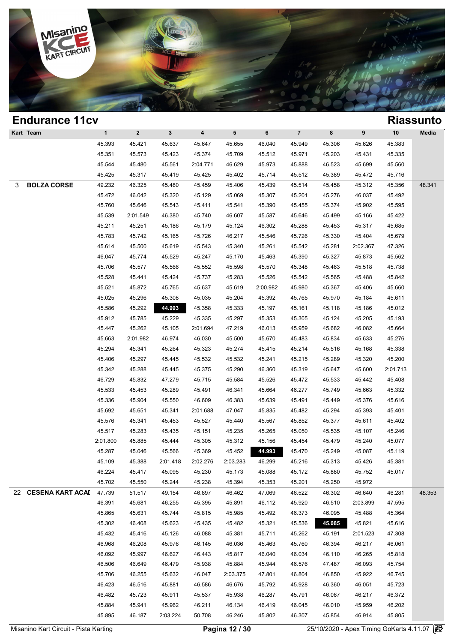

| <b>Endurance 11cv</b>   |              |              |              |                         |                 |          |                |        |          |          | <b>Riassunto</b> |
|-------------------------|--------------|--------------|--------------|-------------------------|-----------------|----------|----------------|--------|----------|----------|------------------|
| Kart Team               | $\mathbf{1}$ | $\mathbf{2}$ | $\mathbf{3}$ | $\overline{\mathbf{4}}$ | $5\phantom{.0}$ | 6        | $\overline{7}$ | 8      | 9        | 10       | Media            |
|                         | 45.393       | 45.421       | 45.637       | 45.647                  | 45.655          | 46.040   | 45.949         | 45.306 | 45.626   | 45.383   |                  |
|                         | 45.351       | 45.573       | 45.423       | 45.374                  | 45.709          | 45.512   | 45.971         | 45.203 | 45.431   | 45.335   |                  |
|                         | 45.544       | 45.480       | 45.561       | 2:04.771                | 46.629          | 45.973   | 45.888         | 46.523 | 45.699   | 45.560   |                  |
|                         | 45.425       | 45.317       | 45.419       | 45.425                  | 45.402          | 45.714   | 45.512         | 45.389 | 45.472   | 45.716   |                  |
| <b>BOLZA CORSE</b><br>3 | 49.232       | 46.325       | 45.480       | 45.459                  | 45.406          | 45.439   | 45.514         | 45.458 | 45.312   | 45.356   | 48.341           |
|                         | 45.472       | 46.042       | 45.320       | 45.129                  | 45.069          | 45.307   | 45.201         | 45.276 | 46.037   | 45.492   |                  |
|                         | 45.760       | 45.646       | 45.543       | 45.411                  | 45.541          | 45.390   | 45.455         | 45.374 | 45.902   | 45.595   |                  |
|                         | 45.539       | 2:01.549     | 46.380       | 45.740                  | 46.607          | 45.587   | 45.646         | 45.499 | 45.166   | 45.422   |                  |
|                         | 45.211       | 45.251       | 45.186       | 45.179                  | 45.124          | 46.302   | 45.288         | 45.453 | 45.317   | 45.685   |                  |
|                         | 45.783       | 45.742       | 45.165       | 45.726                  | 46.217          | 45.546   | 45.726         | 45.330 | 45.404   | 45.679   |                  |
|                         | 45.614       | 45.500       | 45.619       | 45.543                  | 45.340          | 45.261   | 45.542         | 45.281 | 2:02.367 | 47.326   |                  |
|                         | 46.047       | 45.774       | 45.529       | 45.247                  | 45.170          | 45.463   | 45.390         | 45.327 | 45.873   | 45.562   |                  |
|                         | 45.706       | 45.577       | 45.566       | 45.552                  | 45.598          | 45.570   | 45.348         | 45.463 | 45.518   | 45.738   |                  |
|                         | 45.528       | 45.441       | 45.424       | 45.737                  | 45.283          | 45.526   | 45.542         | 45.565 | 45.488   | 45.842   |                  |
|                         | 45.521       | 45.872       | 45.765       | 45.637                  | 45.619          | 2:00.982 | 45.980         | 45.367 | 45.406   | 45.660   |                  |
|                         | 45.025       | 45.296       | 45.308       | 45.035                  | 45.204          | 45.392   | 45.765         | 45.970 | 45.184   | 45.611   |                  |
|                         | 45.586       | 45.292       | 44.993       | 45.358                  | 45.333          | 45.197   | 45.161         | 45.118 | 45.186   | 45.012   |                  |
|                         | 45.912       | 45.785       | 45.229       | 45.335                  | 45.297          | 45.353   | 45.305         | 45.124 | 45.205   | 45.193   |                  |
|                         | 45.447       | 45.262       | 45.105       | 2:01.694                | 47.219          | 46.013   | 45.959         | 45.682 | 46.082   | 45.664   |                  |
|                         | 45.663       | 2:01.982     | 46.974       | 46.030                  | 45.500          | 45.670   | 45.483         | 45.834 | 45.633   | 45.276   |                  |
|                         | 45.294       | 45.341       | 45.264       | 45.323                  | 45.274          | 45.415   | 45.214         | 45.516 | 45.168   | 45.338   |                  |
|                         | 45.406       | 45.297       | 45.445       | 45.532                  | 45.532          | 45.241   | 45.215         | 45.289 | 45.320   | 45.200   |                  |
|                         | 45.342       | 45.288       | 45.445       | 45.375                  | 45.290          | 46.360   | 45.319         | 45.647 | 45.600   | 2:01.713 |                  |
|                         | 46.729       | 45.832       | 47.279       | 45.715                  | 45.584          | 45.526   | 45.472         | 45.533 | 45.442   | 45.408   |                  |
|                         | 45.533       | 45.453       | 45.289       | 45.491                  | 46.341          | 45.664   | 46.277         | 45.749 | 45.663   | 45.332   |                  |
|                         | 45.336       | 45.904       | 45.550       | 46.609                  | 46.383          | 45.639   | 45.491         | 45.449 | 45.376   | 45.616   |                  |
|                         | 45.692       | 45.651       | 45.341       | 2:01.688                | 47.047          | 45.835   | 45.482         | 45.294 | 45.393   | 45.401   |                  |
|                         | 45.576       | 45.341       | 45.453       | 45.527                  | 45.440          | 45.567   | 45.852         | 45.377 | 45.611   | 45.402   |                  |
|                         | 45.517       | 45.283       | 45.435       | 45.151                  | 45.235          | 45.265   | 45.050         | 45.535 | 45.107   | 45.246   |                  |
|                         | 2:01.800     | 45.885       | 45.444       | 45.305                  | 45.312          | 45.156   | 45.454         | 45.479 | 45.240   | 45.077   |                  |
|                         | 45.287       | 45.046       | 45.566       | 45.369                  | 45.452          | 44.993   | 45.470         | 45.249 | 45.087   | 45.119   |                  |
|                         | 45.109       | 45.388       | 2:01.418     | 2:02.276                | 2:03.283        | 46.299   | 45.216         | 45.313 | 45.426   | 45.381   |                  |
|                         | 46.224       | 45.417       | 45.095       | 45.230                  | 45.173          | 45.088   | 45.172         | 45.880 | 45.752   | 45.017   |                  |
|                         | 45.702       | 45.550       | 45.244       | 45.238                  | 45.394          | 45.353   | 45.201         | 45.250 | 45.972   |          |                  |
| 22 CESENA KART ACAI     | 47.739       | 51.517       | 49.154       | 46.897                  | 46.462          | 47.069   | 46.522         | 46.302 | 46.640   | 46.281   | 48.353           |
|                         | 46.391       | 45.681       | 46.255       | 45.395                  | 45.891          | 46.112   | 45.920         | 46.510 | 2:03.899 | 47.595   |                  |
|                         | 45.865       | 45.631       | 45.744       | 45.815                  | 45.985          | 45.492   | 46.373         | 46.095 | 45.488   | 45.364   |                  |
|                         | 45.302       | 46.408       | 45.623       | 45.435                  | 45.482          | 45.321   | 45.536         | 45.085 | 45.821   | 45.616   |                  |
|                         | 45.432       | 45.416       | 45.126       | 46.088                  | 45.381          | 45.711   | 45.262         | 45.191 | 2:01.523 | 47.308   |                  |
|                         | 46.968       | 46.208       | 45.976       | 46.145                  | 46.036          | 45.463   | 45.760         | 46.394 | 46.217   | 46.061   |                  |
|                         | 46.092       | 45.997       | 46.627       | 46.443                  | 45.817          | 46.040   | 46.034         | 46.110 | 46.265   | 45.818   |                  |
|                         | 46.506       | 46.649       | 46.479       | 45.938                  | 45.884          | 45.944   | 46.576         | 47.487 | 46.093   | 45.754   |                  |
|                         | 45.706       | 46.255       | 45.632       | 46.047                  | 2:03.375        | 47.801   | 46.804         | 46.850 | 45.922   | 46.745   |                  |
|                         | 46.423       | 46.516       | 45.881       | 46.586                  | 46.676          | 45.792   | 45.928         | 46.360 | 46.051   | 45.723   |                  |
|                         | 46.482       | 45.723       | 45.911       | 45.537                  | 45.938          | 46.287   | 45.791         | 46.067 | 46.217   | 46.372   |                  |
|                         | 45.884       | 45.941       | 45.962       | 46.211                  | 46.134          | 46.419   | 46.045         | 46.010 | 45.959   | 46.202   |                  |
|                         | 45.895       | 46.187       | 2:03.224     | 50.708                  | 46.246          | 45.802   | 46.307         | 45.854 | 46.914   | 45.805   |                  |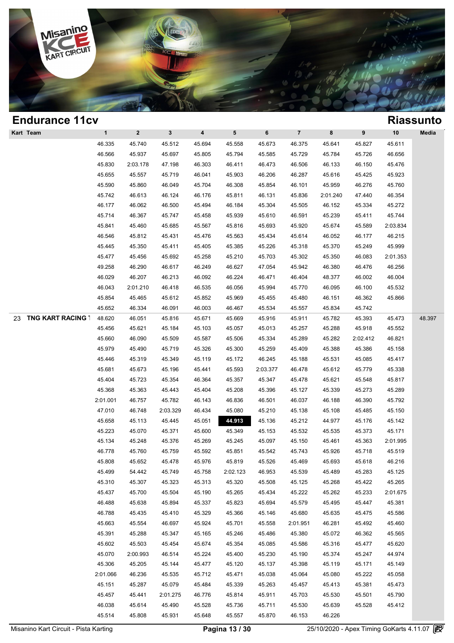

| $\mathbf{1}$<br>46.335 | $\boldsymbol{2}$                                                                                                                                     | $\mathbf{3}$                                                                                                                     |                                                                                                                                                                |                                                                                                                                                                                  |                                                                                                                                                    |                                                                                                                                                              |                                                                                                                                                                                    |                                                                                                                                |                                                                                                                                          |                                                                                                                                                        |
|------------------------|------------------------------------------------------------------------------------------------------------------------------------------------------|----------------------------------------------------------------------------------------------------------------------------------|----------------------------------------------------------------------------------------------------------------------------------------------------------------|----------------------------------------------------------------------------------------------------------------------------------------------------------------------------------|----------------------------------------------------------------------------------------------------------------------------------------------------|--------------------------------------------------------------------------------------------------------------------------------------------------------------|------------------------------------------------------------------------------------------------------------------------------------------------------------------------------------|--------------------------------------------------------------------------------------------------------------------------------|------------------------------------------------------------------------------------------------------------------------------------------|--------------------------------------------------------------------------------------------------------------------------------------------------------|
|                        |                                                                                                                                                      |                                                                                                                                  | $\overline{\mathbf{4}}$                                                                                                                                        | 5                                                                                                                                                                                | 6                                                                                                                                                  | $\overline{7}$                                                                                                                                               | 8                                                                                                                                                                                  | 9                                                                                                                              | 10                                                                                                                                       | Media                                                                                                                                                  |
|                        | 45.740                                                                                                                                               | 45.512                                                                                                                           | 45.694                                                                                                                                                         | 45.558                                                                                                                                                                           | 45.673                                                                                                                                             | 46.375                                                                                                                                                       | 45.641                                                                                                                                                                             | 45.827                                                                                                                         | 45.611                                                                                                                                   |                                                                                                                                                        |
| 46.566                 | 45.937                                                                                                                                               | 45.697                                                                                                                           | 45.805                                                                                                                                                         | 45.794                                                                                                                                                                           | 45.585                                                                                                                                             | 45.729                                                                                                                                                       | 45.784                                                                                                                                                                             | 45.726                                                                                                                         | 46.656                                                                                                                                   |                                                                                                                                                        |
| 45.830                 | 2:03.178                                                                                                                                             | 47.198                                                                                                                           | 46.303                                                                                                                                                         | 46.411                                                                                                                                                                           | 46.473                                                                                                                                             | 46.506                                                                                                                                                       | 46.133                                                                                                                                                                             | 46.150                                                                                                                         | 45.476                                                                                                                                   |                                                                                                                                                        |
| 45.655                 | 45.557                                                                                                                                               | 45.719                                                                                                                           | 46.041                                                                                                                                                         | 45.903                                                                                                                                                                           | 46.206                                                                                                                                             | 46.287                                                                                                                                                       | 45.616                                                                                                                                                                             | 45.425                                                                                                                         | 45.923                                                                                                                                   |                                                                                                                                                        |
| 45.590                 | 45.860                                                                                                                                               | 46.049                                                                                                                           | 45.704                                                                                                                                                         | 46.308                                                                                                                                                                           | 45.854                                                                                                                                             | 46.101                                                                                                                                                       | 45.959                                                                                                                                                                             | 46.276                                                                                                                         | 45.760                                                                                                                                   |                                                                                                                                                        |
| 45.742                 | 46.613                                                                                                                                               | 46.124                                                                                                                           | 46.176                                                                                                                                                         | 45.811                                                                                                                                                                           | 46.131                                                                                                                                             | 45.836                                                                                                                                                       | 2:01.240                                                                                                                                                                           | 47.440                                                                                                                         | 46.354                                                                                                                                   |                                                                                                                                                        |
| 46.177                 | 46.062                                                                                                                                               | 46.500                                                                                                                           | 45.494                                                                                                                                                         | 46.184                                                                                                                                                                           | 45.304                                                                                                                                             | 45.505                                                                                                                                                       | 46.152                                                                                                                                                                             | 45.334                                                                                                                         | 45.272                                                                                                                                   |                                                                                                                                                        |
| 45.714                 | 46.367                                                                                                                                               | 45.747                                                                                                                           | 45.458                                                                                                                                                         | 45.939                                                                                                                                                                           | 45.610                                                                                                                                             | 46.591                                                                                                                                                       | 45.239                                                                                                                                                                             | 45.411                                                                                                                         | 45.744                                                                                                                                   |                                                                                                                                                        |
| 45.841                 | 45.460                                                                                                                                               | 45.685                                                                                                                           | 45.567                                                                                                                                                         | 45.816                                                                                                                                                                           | 45.693                                                                                                                                             | 45.920                                                                                                                                                       | 45.674                                                                                                                                                                             | 45.589                                                                                                                         | 2:03.834                                                                                                                                 |                                                                                                                                                        |
| 46.546                 | 45.812                                                                                                                                               | 45.431                                                                                                                           | 45.476                                                                                                                                                         | 45.563                                                                                                                                                                           | 45.434                                                                                                                                             | 45.614                                                                                                                                                       | 46.052                                                                                                                                                                             | 46.177                                                                                                                         | 46.215                                                                                                                                   |                                                                                                                                                        |
| 45.445                 | 45.350                                                                                                                                               | 45.411                                                                                                                           | 45.405                                                                                                                                                         | 45.385                                                                                                                                                                           | 45.226                                                                                                                                             | 45.318                                                                                                                                                       | 45.370                                                                                                                                                                             | 45.249                                                                                                                         | 45.999                                                                                                                                   |                                                                                                                                                        |
| 45.477                 | 45.456                                                                                                                                               | 45.692                                                                                                                           | 45.258                                                                                                                                                         | 45.210                                                                                                                                                                           | 45.703                                                                                                                                             | 45.302                                                                                                                                                       | 45.350                                                                                                                                                                             | 46.083                                                                                                                         | 2:01.353                                                                                                                                 |                                                                                                                                                        |
| 49.258                 | 46.290                                                                                                                                               | 46.617                                                                                                                           | 46.249                                                                                                                                                         | 46.627                                                                                                                                                                           | 47.054                                                                                                                                             | 45.942                                                                                                                                                       | 46.380                                                                                                                                                                             | 46.476                                                                                                                         | 46.256                                                                                                                                   |                                                                                                                                                        |
| 46.029                 | 46.207                                                                                                                                               | 46.213                                                                                                                           | 46.092                                                                                                                                                         | 46.224                                                                                                                                                                           | 46.471                                                                                                                                             | 46.404                                                                                                                                                       | 48.377                                                                                                                                                                             | 46.002                                                                                                                         | 46.004                                                                                                                                   |                                                                                                                                                        |
| 46.043                 | 2:01.210                                                                                                                                             | 46.418                                                                                                                           | 46.535                                                                                                                                                         | 46.056                                                                                                                                                                           | 45.994                                                                                                                                             | 45.770                                                                                                                                                       | 46.095                                                                                                                                                                             | 46.100                                                                                                                         | 45.532                                                                                                                                   |                                                                                                                                                        |
| 45.854                 | 45.465                                                                                                                                               | 45.612                                                                                                                           | 45.852                                                                                                                                                         | 45.969                                                                                                                                                                           | 45.455                                                                                                                                             | 45.480                                                                                                                                                       | 46.151                                                                                                                                                                             | 46.362                                                                                                                         | 45.866                                                                                                                                   |                                                                                                                                                        |
| 45.652                 | 46.334                                                                                                                                               | 46.091                                                                                                                           | 46.003                                                                                                                                                         | 46.467                                                                                                                                                                           | 45.534                                                                                                                                             | 45.557                                                                                                                                                       | 45.834                                                                                                                                                                             | 45.742                                                                                                                         |                                                                                                                                          |                                                                                                                                                        |
| 48.620                 | 46.051                                                                                                                                               | 45.816                                                                                                                           | 45.671                                                                                                                                                         | 45.669                                                                                                                                                                           | 45.916                                                                                                                                             | 45.911                                                                                                                                                       | 45.782                                                                                                                                                                             | 45.393                                                                                                                         | 45.473                                                                                                                                   | 48.397                                                                                                                                                 |
| 45.456                 | 45.621                                                                                                                                               | 45.184                                                                                                                           | 45.103                                                                                                                                                         | 45.057                                                                                                                                                                           | 45.013                                                                                                                                             | 45.257                                                                                                                                                       | 45.288                                                                                                                                                                             | 45.918                                                                                                                         | 45.552                                                                                                                                   |                                                                                                                                                        |
| 45.660                 | 46.090                                                                                                                                               | 45.509                                                                                                                           | 45.587                                                                                                                                                         | 45.506                                                                                                                                                                           | 45.334                                                                                                                                             | 45.289                                                                                                                                                       | 45.282                                                                                                                                                                             | 2:02.412                                                                                                                       | 46.821                                                                                                                                   |                                                                                                                                                        |
| 45.979                 | 45.490                                                                                                                                               | 45.719                                                                                                                           | 45.326                                                                                                                                                         | 45.300                                                                                                                                                                           | 45.259                                                                                                                                             | 45.409                                                                                                                                                       | 45.388                                                                                                                                                                             | 45.386                                                                                                                         | 45.158                                                                                                                                   |                                                                                                                                                        |
| 45.446                 | 45.319                                                                                                                                               | 45.349                                                                                                                           | 45.119                                                                                                                                                         | 45.172                                                                                                                                                                           | 46.245                                                                                                                                             | 45.188                                                                                                                                                       | 45.531                                                                                                                                                                             | 45.085                                                                                                                         | 45.417                                                                                                                                   |                                                                                                                                                        |
| 45.681                 | 45.673                                                                                                                                               | 45.196                                                                                                                           | 45.441                                                                                                                                                         | 45.593                                                                                                                                                                           | 2:03.377                                                                                                                                           | 46.478                                                                                                                                                       | 45.612                                                                                                                                                                             | 45.779                                                                                                                         | 45.338                                                                                                                                   |                                                                                                                                                        |
| 45.404                 | 45.723                                                                                                                                               | 45.354                                                                                                                           | 46.364                                                                                                                                                         | 45.357                                                                                                                                                                           | 45.347                                                                                                                                             | 45.478                                                                                                                                                       | 45.621                                                                                                                                                                             | 45.548                                                                                                                         | 45.817                                                                                                                                   |                                                                                                                                                        |
| 45.368                 | 45.363                                                                                                                                               | 45.443                                                                                                                           | 45.404                                                                                                                                                         | 45.208                                                                                                                                                                           | 45.396                                                                                                                                             | 45.127                                                                                                                                                       | 45.339                                                                                                                                                                             | 45.273                                                                                                                         | 45.289                                                                                                                                   |                                                                                                                                                        |
| 2:01.001               | 46.757                                                                                                                                               | 45.782                                                                                                                           | 46.143                                                                                                                                                         | 46.836                                                                                                                                                                           | 46.501                                                                                                                                             | 46.037                                                                                                                                                       | 46.188                                                                                                                                                                             | 46.390                                                                                                                         | 45.792                                                                                                                                   |                                                                                                                                                        |
| 47.010                 | 46.748                                                                                                                                               | 2:03.329                                                                                                                         | 46.434                                                                                                                                                         | 45.080                                                                                                                                                                           | 45.210                                                                                                                                             | 45.138                                                                                                                                                       | 45.108                                                                                                                                                                             | 45.485                                                                                                                         | 45.150                                                                                                                                   |                                                                                                                                                        |
| 45.658                 | 45.113                                                                                                                                               |                                                                                                                                  |                                                                                                                                                                |                                                                                                                                                                                  |                                                                                                                                                    |                                                                                                                                                              | 44.977                                                                                                                                                                             | 45.176                                                                                                                         |                                                                                                                                          |                                                                                                                                                        |
|                        | 45.070                                                                                                                                               |                                                                                                                                  |                                                                                                                                                                |                                                                                                                                                                                  |                                                                                                                                                    |                                                                                                                                                              | 45.535                                                                                                                                                                             |                                                                                                                                |                                                                                                                                          |                                                                                                                                                        |
|                        |                                                                                                                                                      |                                                                                                                                  |                                                                                                                                                                |                                                                                                                                                                                  |                                                                                                                                                    |                                                                                                                                                              |                                                                                                                                                                                    |                                                                                                                                |                                                                                                                                          |                                                                                                                                                        |
| 46.778                 | 45.760                                                                                                                                               | 45.759                                                                                                                           | 45.592                                                                                                                                                         | 45.851                                                                                                                                                                           | 45.542                                                                                                                                             | 45.743                                                                                                                                                       | 45.926                                                                                                                                                                             | 45.718                                                                                                                         | 45.519                                                                                                                                   |                                                                                                                                                        |
| 45.808                 |                                                                                                                                                      |                                                                                                                                  |                                                                                                                                                                |                                                                                                                                                                                  |                                                                                                                                                    | 45.469                                                                                                                                                       | 45.693                                                                                                                                                                             | 45.618                                                                                                                         | 46.216                                                                                                                                   |                                                                                                                                                        |
|                        | 54.442                                                                                                                                               | 45.749                                                                                                                           |                                                                                                                                                                | 2:02.123                                                                                                                                                                         | 46.953                                                                                                                                             |                                                                                                                                                              | 45.489                                                                                                                                                                             |                                                                                                                                |                                                                                                                                          |                                                                                                                                                        |
| 45.310                 | 45.307                                                                                                                                               | 45.323                                                                                                                           | 45.313                                                                                                                                                         | 45.320                                                                                                                                                                           | 45.508                                                                                                                                             |                                                                                                                                                              | 45.268                                                                                                                                                                             | 45.422                                                                                                                         | 45.265                                                                                                                                   |                                                                                                                                                        |
|                        | 45.700                                                                                                                                               |                                                                                                                                  |                                                                                                                                                                | 45.265                                                                                                                                                                           |                                                                                                                                                    |                                                                                                                                                              |                                                                                                                                                                                    |                                                                                                                                |                                                                                                                                          |                                                                                                                                                        |
| 46.488                 | 45.638                                                                                                                                               | 45.894                                                                                                                           |                                                                                                                                                                | 45.823                                                                                                                                                                           | 45.694                                                                                                                                             |                                                                                                                                                              | 45.495                                                                                                                                                                             | 45.447                                                                                                                         | 45.381                                                                                                                                   |                                                                                                                                                        |
|                        |                                                                                                                                                      |                                                                                                                                  |                                                                                                                                                                |                                                                                                                                                                                  |                                                                                                                                                    |                                                                                                                                                              |                                                                                                                                                                                    |                                                                                                                                |                                                                                                                                          |                                                                                                                                                        |
|                        |                                                                                                                                                      |                                                                                                                                  |                                                                                                                                                                |                                                                                                                                                                                  |                                                                                                                                                    |                                                                                                                                                              |                                                                                                                                                                                    |                                                                                                                                |                                                                                                                                          |                                                                                                                                                        |
|                        |                                                                                                                                                      |                                                                                                                                  |                                                                                                                                                                |                                                                                                                                                                                  |                                                                                                                                                    |                                                                                                                                                              |                                                                                                                                                                                    |                                                                                                                                |                                                                                                                                          |                                                                                                                                                        |
|                        |                                                                                                                                                      |                                                                                                                                  |                                                                                                                                                                |                                                                                                                                                                                  |                                                                                                                                                    |                                                                                                                                                              |                                                                                                                                                                                    |                                                                                                                                |                                                                                                                                          |                                                                                                                                                        |
|                        |                                                                                                                                                      |                                                                                                                                  |                                                                                                                                                                |                                                                                                                                                                                  |                                                                                                                                                    |                                                                                                                                                              |                                                                                                                                                                                    |                                                                                                                                |                                                                                                                                          |                                                                                                                                                        |
|                        |                                                                                                                                                      |                                                                                                                                  |                                                                                                                                                                |                                                                                                                                                                                  |                                                                                                                                                    |                                                                                                                                                              |                                                                                                                                                                                    |                                                                                                                                |                                                                                                                                          |                                                                                                                                                        |
|                        |                                                                                                                                                      |                                                                                                                                  |                                                                                                                                                                |                                                                                                                                                                                  |                                                                                                                                                    |                                                                                                                                                              |                                                                                                                                                                                    |                                                                                                                                |                                                                                                                                          |                                                                                                                                                        |
|                        |                                                                                                                                                      |                                                                                                                                  |                                                                                                                                                                |                                                                                                                                                                                  |                                                                                                                                                    |                                                                                                                                                              |                                                                                                                                                                                    |                                                                                                                                |                                                                                                                                          |                                                                                                                                                        |
|                        |                                                                                                                                                      |                                                                                                                                  |                                                                                                                                                                |                                                                                                                                                                                  |                                                                                                                                                    |                                                                                                                                                              |                                                                                                                                                                                    |                                                                                                                                |                                                                                                                                          |                                                                                                                                                        |
|                        |                                                                                                                                                      |                                                                                                                                  |                                                                                                                                                                |                                                                                                                                                                                  |                                                                                                                                                    |                                                                                                                                                              |                                                                                                                                                                                    |                                                                                                                                |                                                                                                                                          |                                                                                                                                                        |
|                        |                                                                                                                                                      |                                                                                                                                  |                                                                                                                                                                |                                                                                                                                                                                  |                                                                                                                                                    |                                                                                                                                                              |                                                                                                                                                                                    |                                                                                                                                |                                                                                                                                          |                                                                                                                                                        |
|                        | 45.223<br>45.134<br>45.499<br>45.437<br>46.788<br>45.663<br>45.391<br>45.602<br>45.070<br>45.306<br>2:01.066<br>45.151<br>45.457<br>46.038<br>45.514 | 45.248<br>45.652<br>45.435<br>45.554<br>45.288<br>45.503<br>2:00.993<br>45.205<br>46.236<br>45.287<br>45.441<br>45.614<br>45.808 | 45.445<br>45.371<br>45.376<br>45.478<br>45.504<br>45.410<br>46.697<br>45.347<br>45.454<br>46.514<br>45.144<br>45.535<br>45.079<br>2:01.275<br>45.490<br>45.931 | 45.051<br>45.600<br>45.269<br>45.976<br>45.758<br>45.190<br>45.337<br>45.329<br>45.924<br>45.165<br>45.674<br>45.224<br>45.477<br>45.712<br>45.484<br>46.776<br>45.528<br>45.648 | 44.913<br>45.349<br>45.245<br>45.819<br>45.366<br>45.701<br>45.246<br>45.354<br>45.400<br>45.120<br>45.471<br>45.339<br>45.814<br>45.736<br>45.557 | 45.136<br>45.153<br>45.097<br>45.526<br>45.434<br>45.146<br>45.558<br>45.486<br>45.085<br>45.230<br>45.137<br>45.038<br>45.263<br>45.911<br>45.711<br>45.870 | 45.212<br>45.532<br>45.150<br>45.539<br>45.125<br>45.222<br>45.579<br>45.680<br>2:01.951<br>45.380<br>45.586<br>45.190<br>45.398<br>45.064<br>45.457<br>45.703<br>45.530<br>46.153 | 45.461<br>45.262<br>45.635<br>46.281<br>45.072<br>45.316<br>45.374<br>45.119<br>45.080<br>45.413<br>45.530<br>45.639<br>46.226 | 45.373<br>45.363<br>45.283<br>45.233<br>45.475<br>45.492<br>46.362<br>45.477<br>45.247<br>45.171<br>45.222<br>45.381<br>45.501<br>45.528 | 45.142<br>45.171<br>2:01.995<br>45.125<br>2:01.675<br>45.586<br>45.460<br>45.565<br>45.620<br>44.974<br>45.149<br>45.058<br>45.473<br>45.790<br>45.412 |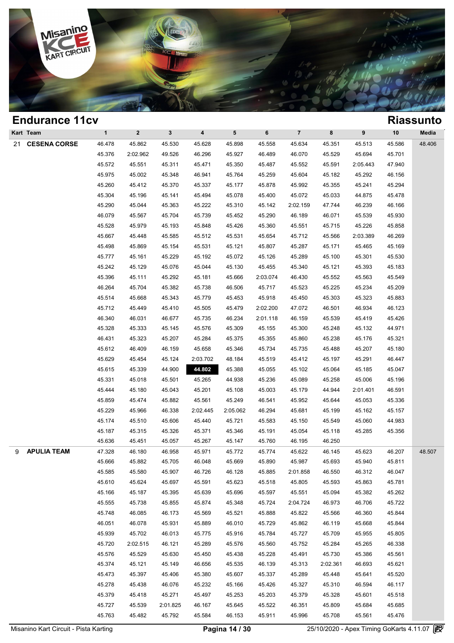

|   | Eliuuralice Ticy   |              |                |                |          |                 |          |                |          |          |        | NIASSUIILU |
|---|--------------------|--------------|----------------|----------------|----------|-----------------|----------|----------------|----------|----------|--------|------------|
|   | Kart Team          | $\mathbf{1}$ | $\overline{2}$ | $3\phantom{a}$ | 4        | $5\phantom{.0}$ | 6        | $\overline{7}$ | 8        | 9        | 10     | Media      |
|   | 21 CESENA CORSE    | 46.478       | 45.862         | 45.530         | 45.628   | 45.898          | 45.558   | 45.634         | 45.351   | 45.513   | 45.586 | 48.406     |
|   |                    | 45.376       | 2:02.962       | 49.526         | 46.296   | 45.927          | 46.489   | 46.070         | 45.529   | 45.694   | 45.701 |            |
|   |                    | 45.572       | 45.551         | 45.311         | 45.471   | 45.350          | 45.487   | 45.552         | 45.591   | 2:05.443 | 47.940 |            |
|   |                    | 45.975       | 45.002         | 45.348         | 46.941   | 45.764          | 45.259   | 45.604         | 45.182   | 45.292   | 46.156 |            |
|   |                    | 45.260       | 45.412         | 45.370         | 45.337   | 45.177          | 45.878   | 45.992         | 45.355   | 45.241   | 45.294 |            |
|   |                    | 45.304       | 45.196         | 45.141         | 45.494   | 45.078          | 45.400   | 45.072         | 45.033   | 44.875   | 45.478 |            |
|   |                    | 45.290       | 45.044         | 45.363         | 45.222   | 45.310          | 45.142   | 2:02.159       | 47.744   | 46.239   | 46.166 |            |
|   |                    | 46.079       | 45.567         | 45.704         | 45.739   | 45.452          | 45.290   | 46.189         | 46.071   | 45.539   | 45.930 |            |
|   |                    | 45.528       | 45.979         | 45.193         | 45.848   | 45.426          | 45.360   | 45.551         | 45.715   | 45.226   | 45.858 |            |
|   |                    | 45.667       | 45.448         | 45.585         | 45.512   | 45.531          | 45.654   | 45.712         | 45.566   | 2:03.389 | 46.269 |            |
|   |                    | 45.498       | 45.869         | 45.154         | 45.531   | 45.121          | 45.807   | 45.287         | 45.171   | 45.465   | 45.169 |            |
|   |                    | 45.777       | 45.161         | 45.229         | 45.192   | 45.072          | 45.126   | 45.289         | 45.100   | 45.301   | 45.530 |            |
|   |                    | 45.242       | 45.129         | 45.076         | 45.044   | 45.130          | 45.455   | 45.340         | 45.121   | 45.393   | 45.183 |            |
|   |                    | 45.396       | 45.111         | 45.292         | 45.181   | 45.666          | 2:03.074 | 46.430         | 45.552   | 45.563   | 45.549 |            |
|   |                    | 46.264       | 45.704         | 45.382         | 45.738   | 46.506          | 45.717   | 45.523         | 45.225   | 45.234   | 45.209 |            |
|   |                    | 45.514       | 45.668         | 45.343         | 45.779   | 45.453          | 45.918   | 45.450         | 45.303   | 45.323   | 45.883 |            |
|   |                    | 45.712       | 45.449         | 45.410         | 45.505   | 45.479          | 2:02.200 | 47.072         | 46.501   | 46.934   | 46.123 |            |
|   |                    | 46.340       | 46.031         | 46.677         | 45.735   | 46.234          | 2:01.118 | 46.159         | 45.539   | 45.419   | 45.426 |            |
|   |                    | 45.328       | 45.333         | 45.145         | 45.576   | 45.309          | 45.155   | 45.300         | 45.248   | 45.132   | 44.971 |            |
|   |                    | 46.431       | 45.323         | 45.207         | 45.284   | 45.375          | 45.355   | 45.860         | 45.238   | 45.176   | 45.321 |            |
|   |                    | 45.612       | 46.409         | 46.159         | 45.658   | 45.346          | 45.734   | 45.735         | 45.488   | 45.207   | 45.180 |            |
|   |                    | 45.629       | 45.454         | 45.124         | 2:03.702 | 48.184          | 45.519   | 45.412         | 45.197   | 45.291   | 46.447 |            |
|   |                    | 45.615       | 45.339         | 44.900         | 44.802   | 45.388          | 45.055   | 45.102         | 45.064   | 45.185   | 45.047 |            |
|   |                    | 45.331       | 45.018         | 45.501         | 45.265   | 44.938          | 45.236   | 45.089         | 45.258   | 45.006   | 45.196 |            |
|   |                    | 45.444       | 45.180         | 45.043         | 45.201   | 45.108          | 45.003   | 45.179         | 44.944   | 2:01.401 | 46.591 |            |
|   |                    | 45.859       | 45.474         | 45.882         | 45.561   | 45.249          | 46.541   | 45.952         | 45.644   | 45.053   | 45.336 |            |
|   |                    | 45.229       | 45.966         | 46.338         | 2:02.445 | 2:05.062        | 46.294   | 45.681         | 45.199   | 45.162   | 45.157 |            |
|   |                    | 45.174       | 45.510         | 45.606         | 45.440   | 45.721          | 45.583   | 45.150         | 45.549   | 45.060   | 44.983 |            |
|   |                    | 45.187       | 45.315         | 45.326         | 45.371   | 45.346          | 45.191   | 45.054         | 45.118   | 45.285   | 45.356 |            |
|   |                    | 45.636       | 45.451         | 45.057         | 45.267   | 45.147          | 45.760   | 46.195         | 46.250   |          |        |            |
| 9 | <b>APULIA TEAM</b> | 47.328       | 46.180         | 46.958         | 45.971   | 45.772          | 45.774   | 45.622         | 46.145   | 45.623   | 46.207 | 48.507     |
|   |                    | 45.666       | 45.882         | 45.705         | 46.048   | 45.669          | 45.890   | 45.987         | 45.693   | 45.940   | 45.811 |            |
|   |                    | 45.585       | 45.580         | 45.907         | 46.726   | 46.128          | 45.885   | 2:01.858       | 46.550   | 46.312   | 46.047 |            |
|   |                    | 45.610       | 45.624         | 45.697         | 45.591   | 45.623          | 45.518   | 45.805         | 45.593   | 45.863   | 45.781 |            |
|   |                    | 45.166       | 45.187         | 45.395         | 45.639   | 45.696          | 45.597   | 45.551         | 45.094   | 45.382   | 45.262 |            |
|   |                    | 45.555       | 45.738         | 45.855         | 45.874   | 45.348          | 45.724   | 2:04.724       | 46.973   | 46.706   | 45.722 |            |
|   |                    | 45.748       | 46.085         | 46.173         | 45.569   | 45.521          | 45.888   | 45.822         | 45.566   | 46.360   | 45.844 |            |
|   |                    | 46.051       | 46.078         | 45.931         | 45.889   | 46.010          | 45.729   | 45.862         | 46.119   | 45.668   | 45.844 |            |
|   |                    | 45.939       | 45.702         | 46.013         | 45.775   | 45.916          | 45.784   | 45.727         | 45.709   | 45.955   | 45.805 |            |
|   |                    | 45.720       | 2:02.515       | 46.121         | 45.289   | 45.576          | 45.560   | 45.752         | 45.284   | 45.265   | 46.338 |            |
|   |                    | 45.576       | 45.529         | 45.630         | 45.450   | 45.438          | 45.228   | 45.491         | 45.730   | 45.386   | 45.561 |            |
|   |                    | 45.374       | 45.121         | 45.149         | 46.656   | 45.535          | 46.139   | 45.313         | 2:02.361 | 46.693   | 45.621 |            |
|   |                    | 45.473       | 45.397         | 45.406         | 45.380   | 45.607          | 45.337   | 45.289         | 45.448   | 45.641   | 45.520 |            |
|   |                    | 45.278       | 45.438         | 46.076         | 45.232   | 45.166          | 45.426   | 45.327         | 45.310   | 46.594   | 46.117 |            |
|   |                    | 45.379       | 45.418         | 45.271         | 45.497   | 45.253          | 45.203   | 45.379         | 45.328   | 45.601   | 45.518 |            |
|   |                    | 45.727       | 45.539         | 2:01.825       | 46.167   | 45.645          | 45.522   | 46.351         | 45.809   | 45.684   | 45.685 |            |
|   |                    | 45.763       | 45.482         | 45.792         | 45.584   | 46.153          | 45.911   | 45.996         | 45.708   | 45.561   | 45.476 |            |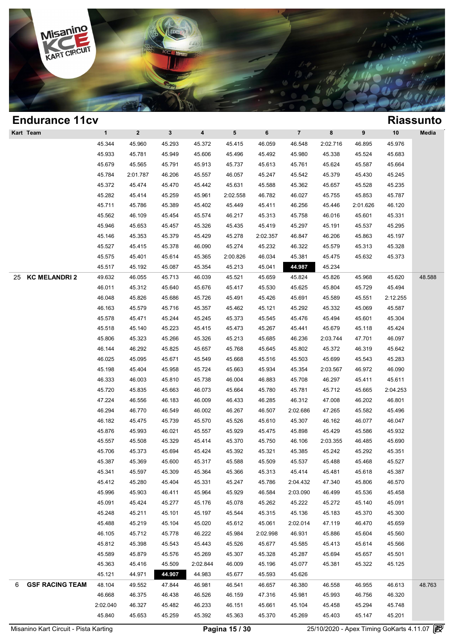

| <b>Endurance 11cv</b>       |              |                  |              |                         |          |          |                |          |          |          | <b>Riassunto</b> |
|-----------------------------|--------------|------------------|--------------|-------------------------|----------|----------|----------------|----------|----------|----------|------------------|
| Kart Team                   | $\mathbf{1}$ | $\boldsymbol{2}$ | $\mathbf{3}$ | $\overline{\mathbf{4}}$ | 5        | 6        | $\overline{7}$ | 8        | 9        | 10       | Media            |
|                             | 45.344       | 45.960           | 45.293       | 45.372                  | 45.415   | 46.059   | 46.548         | 2:02.716 | 46.895   | 45.976   |                  |
|                             | 45.933       | 45.781           | 45.949       | 45.606                  | 45.496   | 45.492   | 45.980         | 45.338   | 45.524   | 45.683   |                  |
|                             | 45.679       | 45.565           | 45.791       | 45.913                  | 45.737   | 45.613   | 45.761         | 45.624   | 45.587   | 45.664   |                  |
|                             | 45.784       | 2:01.787         | 46.206       | 45.557                  | 46.057   | 45.247   | 45.542         | 45.379   | 45.430   | 45.245   |                  |
|                             | 45.372       | 45.474           | 45.470       | 45.442                  | 45.631   | 45.588   | 45.362         | 45.657   | 45.528   | 45.235   |                  |
|                             | 45.282       | 45.414           | 45.259       | 45.961                  | 2:02.558 | 46.782   | 46.027         | 45.755   | 45.853   | 45.787   |                  |
|                             | 45.711       | 45.786           | 45.389       | 45.402                  | 45.449   | 45.411   | 46.256         | 45.446   | 2:01.626 | 46.120   |                  |
|                             | 45.562       | 46.109           | 45.454       | 45.574                  | 46.217   | 45.313   | 45.758         | 46.016   | 45.601   | 45.331   |                  |
|                             | 45.946       | 45.653           | 45.457       | 45.326                  | 45.435   | 45.419   | 45.297         | 45.191   | 45.537   | 45.295   |                  |
|                             | 45.146       | 45.353           | 45.379       | 45.429                  | 45.278   | 2:02.357 | 46.847         | 46.206   | 45.863   | 45.197   |                  |
|                             | 45.527       | 45.415           | 45.378       | 46.090                  | 45.274   | 45.232   | 46.322         | 45.579   | 45.313   | 45.328   |                  |
|                             | 45.575       | 45.401           | 45.614       | 45.365                  | 2:00.826 | 46.034   | 45.381         | 45.475   | 45.632   | 45.373   |                  |
|                             | 45.517       | 45.192           | 45.087       | 45.354                  | 45.213   | 45.041   | 44.987         | 45.234   |          |          |                  |
| <b>KC MELANDRI 2</b><br>25  | 49.632       | 46.055           | 45.713       | 46.039                  | 45.521   | 45.659   | 45.824         | 45.826   | 45.968   | 45.620   | 48.588           |
|                             | 46.011       | 45.312           | 45.640       | 45.676                  | 45.417   | 45.530   | 45.625         | 45.804   | 45.729   | 45.494   |                  |
|                             | 46.048       | 45.826           | 45.686       | 45.726                  | 45.491   | 45.426   | 45.691         | 45.589   | 45.551   | 2:12.255 |                  |
|                             | 46.163       | 45.579           | 45.716       | 45.357                  | 45.462   | 45.121   | 45.292         | 45.332   | 45.069   | 45.587   |                  |
|                             | 45.578       | 45.471           | 45.244       | 45.245                  | 45.373   | 45.545   | 45.476         | 45.494   | 45.601   | 45.304   |                  |
|                             | 45.518       | 45.140           | 45.223       | 45.415                  | 45.473   | 45.267   | 45.441         | 45.679   | 45.118   | 45.424   |                  |
|                             | 45.806       | 45.323           | 45.266       | 45.326                  | 45.213   | 45.685   | 46.236         | 2:03.744 | 47.701   | 46.097   |                  |
|                             | 46.144       | 46.292           | 45.825       | 45.657                  | 45.768   | 45.645   | 45.802         | 45.372   | 46.319   | 45.642   |                  |
|                             | 46.025       | 45.095           | 45.671       | 45.549                  | 45.668   | 45.516   | 45.503         | 45.699   | 45.543   | 45.283   |                  |
|                             | 45.198       | 45.404           | 45.958       | 45.724                  | 45.663   | 45.934   | 45.354         | 2:03.567 | 46.972   | 46.090   |                  |
|                             | 46.333       | 46.003           | 45.810       | 45.738                  | 46.004   | 46.883   | 45.708         | 46.297   | 45.411   | 45.611   |                  |
|                             | 45.720       | 45.835           | 45.663       | 46.073                  | 45.664   | 45.780   | 45.781         | 45.712   | 45.665   | 2:04.253 |                  |
|                             | 47.224       | 46.556           | 46.183       | 46.009                  | 46.433   | 46.285   | 46.312         | 47.008   | 46.202   | 46.801   |                  |
|                             | 46.294       | 46.770           | 46.549       | 46.002                  | 46.267   | 46.507   | 2:02.686       | 47.265   | 45.582   | 45.496   |                  |
|                             | 46.182       | 45.475           | 45.739       | 45.570                  | 45.526   | 45.610   | 45.307         | 46.162   | 46.077   | 46.047   |                  |
|                             | 45.876       | 45.993           | 46.021       | 45.557                  | 45.929   | 45.475   | 45.898         | 45.429   | 45.586   | 45.932   |                  |
|                             | 45.557       | 45.508           | 45.329       | 45.414                  | 45.370   | 45.750   | 46.106         | 2:03.355 | 46.485   | 45.690   |                  |
|                             | 45.706       | 45.373           | 45.694       | 45.424                  | 45.392   | 45.321   | 45.385         | 45.242   | 45.292   | 45.351   |                  |
|                             | 45.387       | 45.369           | 45.600       | 45.317                  | 45.588   | 45.509   | 45.537         | 45.488   | 45.468   | 45.527   |                  |
|                             | 45.341       | 45.597           | 45.309       | 45.364                  | 45.366   | 45.313   | 45.414         | 45.481   | 45.618   | 45.387   |                  |
|                             | 45.412       | 45.280           | 45.404       | 45.331                  | 45.247   | 45.786   | 2:04.432       | 47.340   | 45.806   | 46.570   |                  |
|                             | 45.996       | 45.903           | 46.411       | 45.964                  | 45.929   | 46.584   | 2:03.090       | 46.499   | 45.536   | 45.458   |                  |
|                             | 45.091       | 45.424           | 45.277       | 45.176                  | 45.078   | 45.262   | 45.222         | 45.272   | 45.140   | 45.091   |                  |
|                             | 45.248       | 45.211           | 45.101       | 45.197                  | 45.544   | 45.315   | 45.136         | 45.183   | 45.370   | 45.300   |                  |
|                             | 45.488       | 45.219           | 45.104       | 45.020                  | 45.612   | 45.061   | 2:02.014       | 47.119   | 46.470   | 45.659   |                  |
|                             | 46.105       | 45.712           | 45.778       | 46.222                  | 45.984   | 2:02.998 | 46.931         | 45.886   | 45.604   | 45.560   |                  |
|                             | 45.812       | 45.398           | 45.543       | 45.443                  | 45.526   | 45.677   | 45.585         | 45.413   | 45.614   | 45.566   |                  |
|                             | 45.589       | 45.879           | 45.576       | 45.269                  | 45.307   | 45.328   | 45.287         | 45.694   | 45.657   | 45.501   |                  |
|                             | 45.363       | 45.416           | 45.509       | 2:02.844                | 46.009   | 45.196   | 45.077         | 45.381   | 45.322   | 45.125   |                  |
|                             | 45.121       | 44.971           | 44.907       | 44.983                  | 45.677   | 45.593   | 45.626         |          |          |          |                  |
| <b>GSF RACING TEAM</b><br>6 | 48.104       | 49.552           | 47.844       | 46.981                  | 46.541   | 46.657   | 46.380         | 46.558   | 46.955   | 46.613   | 48.763           |
|                             | 46.668       | 46.375           | 46.438       | 46.526                  | 46.159   | 47.316   | 45.981         | 45.993   | 46.756   | 46.320   |                  |
|                             | 2:02.040     | 46.327           | 45.482       | 46.233                  | 46.151   | 45.661   | 45.104         | 45.458   | 45.294   | 45.748   |                  |
|                             | 45.840       | 45.653           | 45.259       | 45.392                  | 45.363   | 45.370   | 45.269         | 45.403   | 45.147   | 45.201   |                  |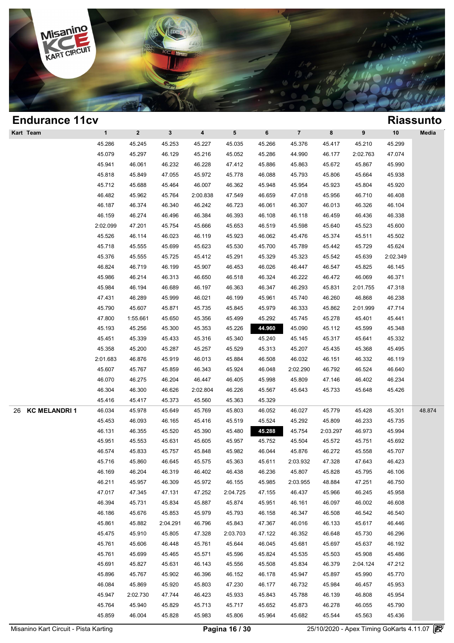

| <b>Endurance 11cv</b>     |              |              |              |                         |          |        |                |          |          |          | <b>Riassunto</b> |
|---------------------------|--------------|--------------|--------------|-------------------------|----------|--------|----------------|----------|----------|----------|------------------|
| Kart Team                 | $\mathbf{1}$ | $\mathbf{2}$ | $\mathbf{3}$ | $\overline{\mathbf{4}}$ | 5        | 6      | $\overline{7}$ | 8        | 9        | 10       | Media            |
|                           | 45.286       | 45.245       | 45.253       | 45.227                  | 45.035   | 45.266 | 45.376         | 45.417   | 45.210   | 45.299   |                  |
|                           | 45.079       | 45.297       | 46.129       | 45.216                  | 45.052   | 45.286 | 44.990         | 46.177   | 2:02.763 | 47.074   |                  |
|                           | 45.941       | 46.061       | 46.232       | 46.228                  | 47.412   | 45.886 | 45.863         | 45.672   | 45.867   | 45.990   |                  |
|                           | 45.818       | 45.849       | 47.055       | 45.972                  | 45.778   | 46.088 | 45.793         | 45.806   | 45.664   | 45.938   |                  |
|                           | 45.712       | 45.688       | 45.464       | 46.007                  | 46.362   | 45.948 | 45.954         | 45.923   | 45.804   | 45.920   |                  |
|                           | 46.482       | 45.962       | 45.764       | 2:00.838                | 47.549   | 46.659 | 47.018         | 45.956   | 46.710   | 46.408   |                  |
|                           | 46.187       | 46.374       | 46.340       | 46.242                  | 46.723   | 46.061 | 46.307         | 46.013   | 46.326   | 46.104   |                  |
|                           | 46.159       | 46.274       | 46.496       | 46.384                  | 46.393   | 46.108 | 46.118         | 46.459   | 46.436   | 46.338   |                  |
|                           | 2:02.099     | 47.201       | 45.754       | 45.666                  | 45.653   | 46.519 | 45.598         | 45.640   | 45.523   | 45.600   |                  |
|                           | 45.526       | 46.114       | 46.023       | 46.119                  | 45.923   | 46.062 | 45.476         | 45.374   | 45.511   | 45.502   |                  |
|                           | 45.718       | 45.555       | 45.699       | 45.623                  | 45.530   | 45.700 | 45.789         | 45.442   | 45.729   | 45.624   |                  |
|                           | 45.376       | 45.555       | 45.725       | 45.412                  | 45.291   | 45.329 | 45.323         | 45.542   | 45.639   | 2:02.349 |                  |
|                           | 46.824       | 46.719       | 46.199       | 45.907                  | 46.453   | 46.026 | 46.447         | 46.547   | 45.825   | 46.145   |                  |
|                           | 45.986       | 46.214       | 46.313       | 46.650                  | 46.518   | 46.324 | 46.222         | 46.472   | 46.069   | 46.371   |                  |
|                           | 45.984       | 46.194       | 46.689       | 46.197                  | 46.363   | 46.347 | 46.293         | 45.831   | 2:01.755 | 47.318   |                  |
|                           | 47.431       | 46.289       | 45.999       | 46.021                  | 46.199   | 45.961 | 45.740         | 46.260   | 46.868   | 46.238   |                  |
|                           | 45.790       | 45.607       | 45.871       | 45.735                  | 45.845   | 45.979 | 46.333         | 45.862   | 2:01.999 | 47.714   |                  |
|                           | 47.800       | 1:55.661     | 45.650       | 45.356                  | 45.499   | 45.292 | 45.745         | 45.278   | 45.401   | 45.441   |                  |
|                           | 45.193       | 45.256       | 45.300       | 45.353                  | 45.226   | 44.960 | 45.090         | 45.112   | 45.599   | 45.348   |                  |
|                           | 45.451       | 45.339       | 45.433       | 45.316                  | 45.340   | 45.240 | 45.145         | 45.317   | 45.641   | 45.332   |                  |
|                           | 45.358       | 45.200       | 45.287       | 45.257                  | 45.529   | 45.313 | 45.207         | 45.435   | 45.368   | 45.495   |                  |
|                           | 2:01.683     | 46.876       | 45.919       | 46.013                  | 45.884   | 46.508 | 46.032         | 46.151   | 46.332   | 46.119   |                  |
|                           | 45.607       | 45.767       | 45.859       | 46.343                  | 45.924   | 46.048 | 2:02.290       | 46.792   | 46.524   | 46.640   |                  |
|                           | 46.070       | 46.275       | 46.204       | 46.447                  | 46.405   | 45.998 | 45.809         | 47.146   | 46.402   | 46.234   |                  |
|                           | 46.304       | 46.300       | 46.626       | 2:02.804                | 46.226   | 45.567 | 45.643         | 45.733   | 45.648   | 45.426   |                  |
|                           | 45.416       | 45.417       | 45.373       | 45.560                  | 45.363   | 45.329 |                |          |          |          |                  |
| <b>KC MELANDRI1</b><br>26 | 46.034       | 45.978       | 45.649       | 45.769                  | 45.803   | 46.052 | 46.027         | 45.779   | 45.428   | 45.301   | 48.874           |
|                           | 45.453       | 46.093       | 46.165       | 45.416                  | 45.519   | 45.524 | 45.292         | 45.809   | 46.233   | 45.735   |                  |
|                           | 46.131       | 46.355       | 45.520       | 45.390                  | 45.480   | 45.288 | 45.754         | 2:03.297 | 46.973   | 45.994   |                  |
|                           | 45.951       | 45.553       | 45.631       | 45.605                  | 45.957   | 45.752 | 45.504         | 45.572   | 45.751   | 45.692   |                  |
|                           | 46.574       | 45.833       | 45.757       | 45.848                  | 45.982   | 46.044 | 45.876         | 46.272   | 45.558   | 45.707   |                  |
|                           | 45.716       | 45.860       | 46.645       | 45.575                  | 45.363   | 45.611 | 2:03.932       | 47.328   | 47.643   | 46.423   |                  |
|                           | 46.169       | 46.204       | 46.319       | 46.402                  | 46.438   | 46.236 | 45.807         | 45.828   | 45.795   | 46.106   |                  |
|                           | 46.211       | 45.957       | 46.309       | 45.972                  | 46.155   | 45.985 | 2:03.955       | 48.884   | 47.251   | 46.750   |                  |
|                           | 47.017       | 47.345       | 47.131       | 47.252                  | 2:04.725 | 47.155 | 46.437         | 45.966   | 46.245   | 45.958   |                  |
|                           | 46.394       | 45.731       | 45.834       | 45.887                  | 45.874   | 45.951 | 46.161         | 46.097   | 46.002   | 46.608   |                  |
|                           | 46.186       | 45.676       | 45.853       | 45.979                  | 45.793   | 46.158 | 46.347         | 46.508   | 46.542   | 46.540   |                  |
|                           | 45.861       | 45.882       | 2:04.291     | 46.796                  | 45.843   | 47.367 | 46.016         | 46.133   | 45.617   | 46.446   |                  |
|                           | 45.475       | 45.910       | 45.805       | 47.328                  | 2:03.703 | 47.122 | 46.352         | 46.648   | 45.730   | 46.296   |                  |
|                           | 45.761       | 45.606       | 46.448       | 45.761                  | 45.644   | 46.045 | 45.681         | 45.697   | 45.637   | 46.192   |                  |
|                           | 45.761       | 45.699       | 45.465       | 45.571                  | 45.596   | 45.824 | 45.535         | 45.503   | 45.908   | 45.486   |                  |
|                           | 45.691       | 45.827       | 45.631       | 46.143                  | 45.556   | 45.508 | 45.834         | 46.379   | 2:04.124 | 47.212   |                  |
|                           | 45.896       | 45.767       | 45.902       | 46.396                  | 46.152   | 46.178 | 45.947         | 45.897   | 45.990   | 45.770   |                  |
|                           | 46.084       | 45.869       | 45.920       | 45.803                  | 47.230   | 46.177 | 46.732         | 45.984   | 46.457   | 45.953   |                  |
|                           | 45.947       | 2:02.730     | 47.744       | 46.423                  | 45.933   | 45.843 | 45.788         | 46.139   | 46.808   | 45.954   |                  |
|                           | 45.764       | 45.940       | 45.829       | 45.713                  | 45.717   | 45.652 | 45.873         | 46.278   | 46.055   | 45.790   |                  |
|                           | 45.859       | 46.004       | 45.828       | 45.983                  | 45.806   | 45.964 | 45.682         | 45.544   | 45.563   | 45.436   |                  |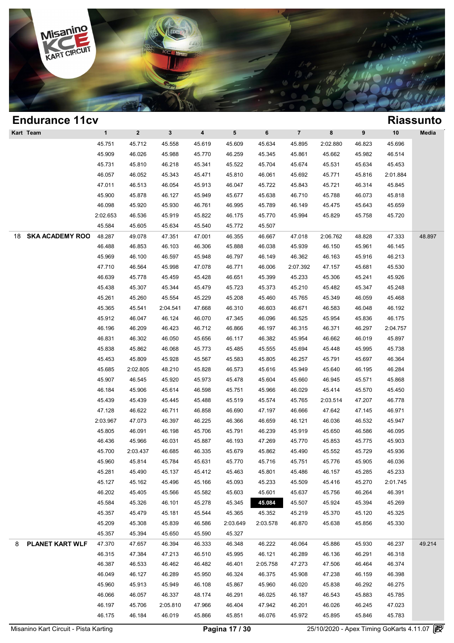

| <b>Endurance 11cv</b>        |              |              |              |                         |          |          |                |          |        |          | <b>Riassunto</b> |
|------------------------------|--------------|--------------|--------------|-------------------------|----------|----------|----------------|----------|--------|----------|------------------|
| Kart Team                    | $\mathbf{1}$ | $\mathbf{2}$ | $\mathbf{3}$ | $\overline{\mathbf{4}}$ | 5        | 6        | $\overline{7}$ | 8        | 9      | 10       | Media            |
|                              | 45.751       | 45.712       | 45.558       | 45.619                  | 45.609   | 45.634   | 45.895         | 2:02.880 | 46.823 | 45.696   |                  |
|                              | 45.909       | 46.026       | 45.988       | 45.770                  | 46.259   | 45.345   | 45.861         | 45.662   | 45.982 | 46.514   |                  |
|                              | 45.731       | 45.810       | 46.218       | 45.341                  | 45.522   | 45.704   | 45.674         | 45.531   | 45.634 | 45.453   |                  |
|                              | 46.057       | 46.052       | 45.343       | 45.471                  | 45.810   | 46.061   | 45.692         | 45.771   | 45.816 | 2:01.884 |                  |
|                              | 47.011       | 46.513       | 46.054       | 45.913                  | 46.047   | 45.722   | 45.843         | 45.721   | 46.314 | 45.845   |                  |
|                              | 45.900       | 45.878       | 46.127       | 45.949                  | 45.677   | 45.638   | 46.710         | 45.788   | 46.073 | 45.818   |                  |
|                              | 46.098       | 45.920       | 45.930       | 46.761                  | 46.995   | 45.789   | 46.149         | 45.475   | 45.643 | 45.659   |                  |
|                              | 2:02.653     | 46.536       | 45.919       | 45.822                  | 46.175   | 45.770   | 45.994         | 45.829   | 45.758 | 45.720   |                  |
|                              | 45.584       | 45.605       | 45.634       | 45.540                  | 45.772   | 45.507   |                |          |        |          |                  |
| <b>SKA ACADEMY ROO</b><br>18 | 48.287       | 49.078       | 47.351       | 47.001                  | 46.355   | 46.667   | 47.018         | 2:06.762 | 48.828 | 47.333   | 48.897           |
|                              | 46.488       | 46.853       | 46.103       | 46.306                  | 45.888   | 46.038   | 45.939         | 46.150   | 45.961 | 46.145   |                  |
|                              | 45.969       | 46.100       | 46.597       | 45.948                  | 46.797   | 46.149   | 46.362         | 46.163   | 45.916 | 46.213   |                  |
|                              | 47.710       | 46.564       | 45.998       | 47.078                  | 46.771   | 46.006   | 2:07.392       | 47.157   | 45.681 | 45.530   |                  |
|                              | 46.639       | 45.778       | 45.459       | 45.428                  | 46.651   | 45.399   | 45.233         | 45.306   | 45.241 | 45.926   |                  |
|                              | 45.438       | 45.307       | 45.344       | 45.479                  | 45.723   | 45.373   | 45.210         | 45.482   | 45.347 | 45.248   |                  |
|                              | 45.261       | 45.260       | 45.554       | 45.229                  | 45.208   | 45.460   | 45.765         | 45.349   | 46.059 | 45.468   |                  |
|                              | 45.365       | 45.541       | 2:04.541     | 47.668                  | 46.310   | 46.603   | 46.671         | 46.583   | 46.048 | 46.192   |                  |
|                              | 45.912       | 46.047       | 46.124       | 46.070                  | 47.345   | 46.096   | 46.525         | 45.954   | 45.836 | 46.175   |                  |
|                              | 46.196       | 46.209       | 46.423       | 46.712                  | 46.866   | 46.197   | 46.315         | 46.371   | 46.297 | 2:04.757 |                  |
|                              | 46.831       | 46.302       | 46.050       | 45.656                  | 46.117   | 46.382   | 45.954         | 46.662   | 46.019 | 45.897   |                  |
|                              | 45.838       | 45.862       | 46.068       | 45.773                  | 45.485   | 45.555   | 45.694         | 45.448   | 45.995 | 45.738   |                  |
|                              | 45.453       | 45.809       | 45.928       | 45.567                  | 45.583   | 45.805   | 46.257         | 45.791   | 45.697 | 46.364   |                  |
|                              | 45.685       | 2:02.805     | 48.210       | 45.828                  | 46.573   | 45.616   | 45.949         | 45.640   | 46.195 | 46.284   |                  |
|                              | 45.907       | 46.545       | 45.920       | 45.973                  | 45.478   | 45.604   | 45.660         | 46.945   | 45.571 | 45.868   |                  |
|                              | 46.184       | 45.906       | 45.614       | 46.598                  | 45.751   | 45.966   | 46.029         | 45.414   | 45.570 | 45.450   |                  |
|                              | 45.439       | 45.439       | 45.445       | 45.488                  | 45.519   | 45.574   | 45.765         | 2:03.514 | 47.207 | 46.778   |                  |
|                              | 47.128       | 46.622       | 46.711       | 46.858                  | 46.690   | 47.197   | 46.666         | 47.642   | 47.145 | 46.971   |                  |
|                              | 2:03.967     | 47.073       | 46.397       | 46.225                  | 46.366   | 46.659   | 46.121         | 46.036   | 46.532 | 45.947   |                  |
|                              | 45.805       | 46.091       | 46.198       | 45.706                  | 45.791   | 46.239   | 45.919         | 45.650   | 46.586 | 46.095   |                  |
|                              | 46.436       | 45.966       | 46.031       | 45.887                  | 46.193   | 47.269   | 45.770         | 45.853   | 45.775 | 45.903   |                  |
|                              | 45.700       | 2:03.437     | 46.685       | 46.335                  | 45.679   | 45.862   | 45.490         | 45.552   | 45.729 | 45.936   |                  |
|                              | 45.960       | 45.814       | 45.784       | 45.631                  | 45.770   | 45.716   | 45.751         | 45.776   | 45.905 | 46.036   |                  |
|                              | 45.281       | 45.490       | 45.137       | 45.412                  | 45.463   | 45.801   | 45.486         | 46.157   | 45.285 | 45.233   |                  |
|                              | 45.127       | 45.162       | 45.496       | 45.166                  | 45.093   | 45.233   | 45.509         | 45.416   | 45.270 | 2:01.745 |                  |
|                              | 46.202       | 45.405       | 45.566       | 45.582                  | 45.603   | 45.601   | 45.637         | 45.756   | 46.264 | 46.391   |                  |
|                              | 45.584       | 45.326       | 46.101       | 45.278                  | 45.345   | 45.084   | 45.507         | 45.924   | 45.394 | 45.269   |                  |
|                              | 45.357       | 45.479       | 45.181       | 45.544                  | 45.365   | 45.352   | 45.219         | 45.370   | 45.120 | 45.325   |                  |
|                              | 45.209       | 45.308       | 45.839       | 46.586                  | 2:03.649 | 2:03.578 | 46.870         | 45.638   | 45.856 | 45.330   |                  |
|                              | 45.357       | 45.394       | 45.650       | 45.590                  | 45.327   |          |                |          |        |          |                  |
| PLANET KART WLF<br>8         | 47.370       | 47.657       | 46.394       | 46.333                  | 46.348   | 46.222   | 46.064         | 45.886   | 45.930 | 46.237   | 49.214           |
|                              | 46.315       | 47.384       | 47.213       | 46.510                  | 45.995   | 46.121   | 46.289         | 46.136   | 46.291 | 46.318   |                  |
|                              | 46.387       | 46.533       | 46.462       | 46.482                  | 46.401   | 2:05.758 | 47.273         | 47.506   | 46.464 | 46.374   |                  |
|                              | 46.049       | 46.127       | 46.289       | 45.950                  | 46.324   | 46.375   | 45.908         | 47.238   | 46.159 | 46.398   |                  |
|                              | 45.960       | 45.913       | 45.949       | 46.108                  | 45.867   | 45.960   | 46.020         | 45.838   | 46.292 | 46.275   |                  |
|                              | 46.066       | 46.057       | 46.337       | 48.174                  | 46.291   | 46.025   | 46.187         | 46.543   | 45.883 | 45.785   |                  |
|                              | 46.197       | 45.706       | 2:05.810     | 47.966                  | 46.404   | 47.942   | 46.201         | 46.026   | 46.245 | 47.023   |                  |
|                              | 46.175       | 46.184       | 46.019       | 45.866                  | 45.851   | 46.076   | 45.972         | 45.895   | 45.846 | 45.783   |                  |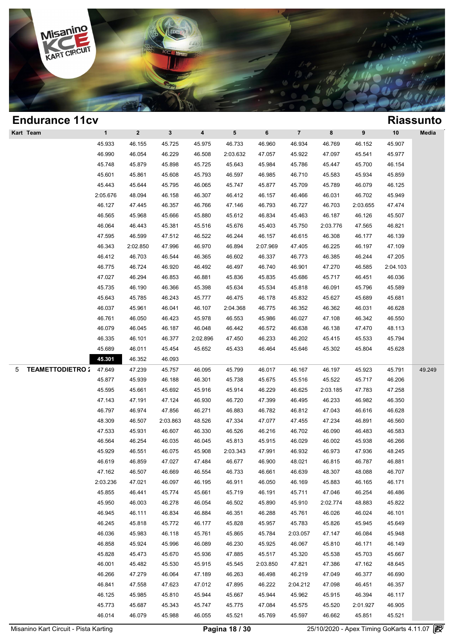

| <b>Endurance 11cv</b>       |              |              |              |                         |          |          |                |          |          |          | <b>Riassunto</b> |
|-----------------------------|--------------|--------------|--------------|-------------------------|----------|----------|----------------|----------|----------|----------|------------------|
| Kart Team                   | $\mathbf{1}$ | $\mathbf{2}$ | $\mathbf{3}$ | $\overline{\mathbf{4}}$ | 5        | 6        | $\overline{7}$ | 8        | 9        | 10       | Media            |
|                             | 45.933       | 46.155       | 45.725       | 45.975                  | 46.733   | 46.960   | 46.934         | 46.769   | 46.152   | 45.907   |                  |
|                             | 46.990       | 46.054       | 46.229       | 46.508                  | 2:03.632 | 47.057   | 45.922         | 47.097   | 45.541   | 45.977   |                  |
|                             | 45.748       | 45.879       | 45.898       | 45.725                  | 45.643   | 45.984   | 45.786         | 45.447   | 45.700   | 46.154   |                  |
|                             | 45.601       | 45.861       | 45.608       | 45.793                  | 46.597   | 46.985   | 46.710         | 45.583   | 45.934   | 45.859   |                  |
|                             | 45.443       | 45.644       | 45.795       | 46.065                  | 45.747   | 45.877   | 45.709         | 45.789   | 46.079   | 46.125   |                  |
|                             | 2:05.676     | 48.094       | 46.158       | 46.307                  | 46.412   | 46.157   | 46.466         | 46.031   | 46.702   | 45.949   |                  |
|                             | 46.127       | 47.445       | 46.357       | 46.766                  | 47.146   | 46.793   | 46.727         | 46.703   | 2:03.655 | 47.474   |                  |
|                             | 46.565       | 45.968       | 45.666       | 45.880                  | 45.612   | 46.834   | 45.463         | 46.187   | 46.126   | 45.507   |                  |
|                             | 46.064       | 46.443       | 45.381       | 45.516                  | 45.676   | 45.403   | 45.750         | 2:03.776 | 47.565   | 46.821   |                  |
|                             | 47.595       | 46.599       | 47.512       | 46.522                  | 46.244   | 46.157   | 46.615         | 46.308   | 46.177   | 46.139   |                  |
|                             | 46.343       | 2:02.850     | 47.996       | 46.970                  | 46.894   | 2:07.969 | 47.405         | 46.225   | 46.197   | 47.109   |                  |
|                             | 46.412       | 46.703       | 46.544       | 46.365                  | 46.602   | 46.337   | 46.773         | 46.385   | 46.244   | 47.205   |                  |
|                             | 46.775       | 46.724       | 46.920       | 46.492                  | 46.497   | 46.740   | 46.901         | 47.270   | 46.585   | 2:04.103 |                  |
|                             | 47.027       | 46.294       | 46.853       | 46.881                  | 45.836   | 45.835   | 45.686         | 45.717   | 46.451   | 46.036   |                  |
|                             | 45.735       | 46.190       | 46.366       | 45.398                  | 45.634   | 45.534   | 45.818         | 46.091   | 45.796   | 45.589   |                  |
|                             | 45.643       | 45.785       | 46.243       | 45.777                  | 46.475   | 46.178   | 45.832         | 45.627   | 45.689   | 45.681   |                  |
|                             | 46.037       | 45.961       | 46.041       | 46.107                  | 2:04.368 | 46.775   | 46.352         | 46.362   | 46.031   | 46.628   |                  |
|                             | 46.761       | 46.050       | 46.423       | 45.978                  | 46.553   | 45.986   | 46.027         | 47.108   | 46.342   | 46.550   |                  |
|                             | 46.079       | 46.045       | 46.187       | 46.048                  | 46.442   | 46.572   | 46.638         | 46.138   | 47.470   | 48.113   |                  |
|                             | 46.335       | 46.101       | 46.377       | 2:02.896                | 47.450   | 46.233   | 46.202         | 45.415   | 45.533   | 45.794   |                  |
|                             | 45.689       | 46.011       | 45.454       | 45.652                  | 45.433   | 46.464   | 45.646         | 45.302   | 45.804   | 45.628   |                  |
|                             | 45.301       | 46.352       | 46.093       |                         |          |          |                |          |          |          |                  |
| <b>TEAMETTODIETRO:</b><br>5 | 47.649       | 47.239       | 45.757       | 46.095                  | 45.799   | 46.017   | 46.167         | 46.197   | 45.923   | 45.791   | 49.249           |
|                             | 45.877       | 45.939       | 46.188       | 46.301                  | 45.738   | 45.675   | 45.516         | 45.522   | 45.717   | 46.206   |                  |
|                             | 45.595       | 45.661       | 45.692       | 45.916                  | 45.914   | 46.229   | 46.625         | 2:03.185 | 47.783   | 47.258   |                  |
|                             | 47.143       | 47.191       | 47.124       | 46.930                  | 46.720   | 47.399   | 46.495         | 46.233   | 46.982   | 46.350   |                  |
|                             | 46.797       | 46.974       | 47.856       | 46.271                  | 46.883   | 46.782   | 46.812         | 47.043   | 46.616   | 46.628   |                  |
|                             | 48.309       | 46.507       | 2:03.863     | 48.526                  | 47.334   | 47.077   | 47.455         | 47.234   | 46.891   | 46.560   |                  |
|                             | 47.533       | 45.931       | 46.607       | 46.330                  | 46.526   | 46.216   | 46.702         | 46.090   | 46.483   | 46.583   |                  |
|                             | 46.564       | 46.254       | 46.035       | 46.045                  | 45.813   | 45.915   | 46.029         | 46.002   | 45.938   | 46.266   |                  |
|                             | 45.929       | 46.551       | 46.075       | 45.908                  | 2:03.343 | 47.991   | 46.932         | 46.973   | 47.936   | 48.245   |                  |
|                             | 46.619       | 46.859       | 47.027       | 47.484                  | 46.677   | 46.900   | 48.021         | 46.815   | 46.787   | 46.881   |                  |
|                             | 47.162       | 46.507       | 46.669       | 46.554                  | 46.733   | 46.661   | 46.639         | 48.307   | 48.088   | 46.707   |                  |
|                             | 2:03.236     | 47.021       | 46.097       | 46.195                  | 46.911   | 46.050   | 46.169         | 45.883   | 46.165   | 46.171   |                  |
|                             | 45.855       | 46.441       | 45.774       | 45.661                  | 45.719   | 46.191   | 45.711         | 47.046   | 46.254   | 46.486   |                  |
|                             | 45.950       | 46.003       | 46.278       | 46.054                  | 46.502   | 45.890   | 45.910         | 2:02.774 | 48.883   | 45.822   |                  |
|                             | 46.945       | 46.111       | 46.834       | 46.884                  | 46.351   | 46.288   | 45.761         | 46.026   | 46.024   | 46.101   |                  |
|                             | 46.245       | 45.818       | 45.772       | 46.177                  | 45.828   | 45.957   | 45.783         | 45.826   | 45.945   | 45.649   |                  |
|                             | 46.036       | 45.983       | 46.118       | 45.761                  | 45.865   | 45.784   | 2:03.057       | 47.147   | 46.084   | 45.948   |                  |
|                             | 46.858       | 45.924       | 45.996       | 46.089                  | 46.230   | 45.925   | 46.067         | 45.810   | 46.171   | 46.149   |                  |
|                             | 45.828       | 45.473       | 45.670       | 45.936                  | 47.885   | 45.517   | 45.320         | 45.538   | 45.703   | 45.667   |                  |
|                             | 46.001       | 45.482       | 45.530       | 45.915                  | 45.545   | 2:03.850 | 47.821         | 47.386   | 47.162   | 48.645   |                  |
|                             | 46.266       | 47.279       | 46.064       | 47.189                  | 46.263   | 46.498   | 46.219         | 47.049   | 46.377   | 46.690   |                  |
|                             | 46.841       | 47.558       | 47.623       | 47.012                  | 47.895   | 46.222   | 2:04.212       | 47.098   | 46.451   | 46.357   |                  |
|                             | 46.125       | 45.985       | 45.810       | 45.944                  | 45.667   | 45.944   | 45.962         | 45.915   | 46.394   | 46.117   |                  |
|                             | 45.773       | 45.687       | 45.343       | 45.747                  | 45.775   | 47.084   | 45.575         | 45.520   | 2:01.927 | 46.905   |                  |
|                             | 46.014       | 46.079       | 45.988       | 46.055                  | 45.521   | 45.769   | 45.597         | 46.662   | 45.851   | 45.521   |                  |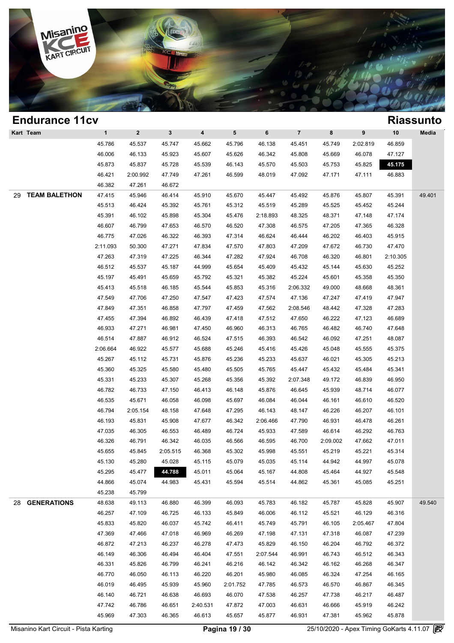

| <b>Endurance 11cv</b>      |              |                  |                  |                         |                  |          |                |                  |          |                  | <b>Riassunto</b> |
|----------------------------|--------------|------------------|------------------|-------------------------|------------------|----------|----------------|------------------|----------|------------------|------------------|
| Kart Team                  | $\mathbf{1}$ | $\mathbf{2}$     | $\mathbf{3}$     | $\overline{\mathbf{4}}$ | 5 <sup>5</sup>   | 6        | $\overline{7}$ | 8                | 9        | 10               | Media            |
|                            | 45.786       | 45.537           | 45.747           | 45.662                  | 45.796           | 46.138   | 45.451         | 45.749           | 2:02.819 | 46.859           |                  |
|                            | 46.006       | 46.133           | 45.923           | 45.607                  | 45.626           | 46.342   | 45.808         | 45.669           | 46.078   | 47.127           |                  |
|                            | 45.873       | 45.837           | 45.728           | 45.539                  | 46.143           | 45.570   | 45.503         | 45.753           | 45.825   | 45.175           |                  |
|                            | 46.421       | 2:00.992         | 47.749           | 47.261                  | 46.599           | 48.019   | 47.092         | 47.171           | 47.111   | 46.883           |                  |
|                            | 46.382       | 47.261           | 46.672           |                         |                  |          |                |                  |          |                  |                  |
| <b>TEAM BALETHON</b><br>29 | 47.415       | 45.946           | 46.414           | 45.910                  | 45.670           | 45.447   | 45.492         | 45.876           | 45.807   | 45.391           | 49.401           |
|                            | 45.513       | 46.424           | 45.392           | 45.761                  | 45.312           | 45.519   | 45.289         | 45.525           | 45.452   | 45.244           |                  |
|                            | 45.391       | 46.102           | 45.898           | 45.304                  | 45.476           | 2:18.893 | 48.325         | 48.371           | 47.148   | 47.174           |                  |
|                            | 46.607       | 46.799           | 47.653           | 46.570                  | 46.520           | 47.308   | 46.575         | 47.205           | 47.365   | 46.328           |                  |
|                            | 46.775       | 47.026           | 46.322           | 46.393                  | 47.314           | 46.624   | 46.444         | 46.202           | 46.403   | 45.915           |                  |
|                            | 2:11.093     | 50.300           | 47.271           | 47.834                  | 47.570           | 47.803   | 47.209         | 47.672           | 46.730   | 47.470           |                  |
|                            | 47.263       | 47.319           | 47.225           | 46.344                  | 47.282           | 47.924   | 46.708         | 46.320           | 46.801   | 2:10.305         |                  |
|                            | 46.512       | 45.537           | 45.187           | 44.999                  | 45.654           | 45.409   | 45.432         | 45.144           | 45.630   | 45.252           |                  |
|                            | 45.197       | 45.491           | 45.659           | 45.792                  | 45.321           | 45.382   | 45.224         | 45.601           | 45.358   | 45.350           |                  |
|                            | 45.413       | 45.518           | 46.185           | 45.544                  | 45.853           | 45.316   | 2:06.332       | 49.000           | 48.668   | 48.361           |                  |
|                            | 47.549       | 47.706           | 47.250           | 47.547                  | 47.423           | 47.574   | 47.136         | 47.247           | 47.419   | 47.947           |                  |
|                            | 47.849       | 47.351           | 46.858           | 47.797                  | 47.459           | 47.562   | 2:08.546       | 48.442           | 47.328   | 47.283           |                  |
|                            | 47.455       | 47.394           | 46.892           | 46.439                  | 47.418           | 47.512   | 47.650         | 46.222           | 47.123   | 46.689           |                  |
|                            | 46.933       | 47.271           | 46.981           | 47.450                  | 46.960           | 46.313   | 46.765         | 46.482           | 46.740   | 47.648           |                  |
|                            | 46.514       | 47.887           | 46.912           | 46.524                  | 47.515           | 46.393   | 46.542         | 46.092           | 47.251   | 48.087           |                  |
|                            | 2:06.664     | 46.922           | 45.577           | 45.688                  | 45.246           | 45.416   | 45.426         | 45.048           | 45.555   | 45.375           |                  |
|                            | 45.267       | 45.112           | 45.731           | 45.876                  | 45.236           | 45.233   | 45.637         | 46.021           | 45.305   | 45.213           |                  |
|                            | 45.360       | 45.325           | 45.580           | 45.480                  | 45.505           | 45.765   | 45.447         | 45.432           | 45.484   | 45.341           |                  |
|                            | 45.331       | 45.233           | 45.307           | 45.268                  | 45.356           | 45.392   | 2:07.348       | 49.172           | 46.839   | 46.950           |                  |
|                            | 46.782       | 46.733           | 47.150           | 46.413                  | 46.148           | 45.876   | 46.645         | 45.939           | 48.714   | 46.077           |                  |
|                            | 46.535       | 45.671           | 46.058           | 46.098                  | 45.697           | 46.084   | 46.044         | 46.161           | 46.610   | 46.520           |                  |
|                            | 46.794       | 2:05.154         | 48.158           | 47.648                  | 47.295           | 46.143   | 48.147         | 46.226           | 46.207   | 46.101           |                  |
|                            | 46.193       | 45.831           | 45.908           | 47.677                  | 46.342           | 2:06.466 | 47.790         | 46.931           | 46.478   | 46.261           |                  |
|                            | 47.035       | 46.305           | 46.553           | 46.489                  | 46.724           | 45.933   | 47.589         | 46.614           | 46.292   | 46.763           |                  |
|                            | 46.326       | 46.791           | 46.342           | 46.035                  | 46.566           | 46.595   | 46.700         | 2:09.002         | 47.662   | 47.011           |                  |
|                            | 45.655       | 45.845           | 2:05.515         | 46.368                  | 45.302           | 45.998   | 45.551         | 45.219           | 45.221   | 45.314           |                  |
|                            | 45.130       | 45.280           | 45.028           | 45.115                  | 45.079           | 45.035   | 45.114         | 44.942           | 44.997   | 45.078           |                  |
|                            | 45.295       | 45.477           | 44.788           | 45.011                  | 45.064           | 45.167   | 44.808         | 45.464           | 44.927   | 45.548           |                  |
|                            | 44.866       | 45.074           | 44.983           | 45.431                  | 45.594           | 45.514   | 44.862         | 45.361           | 45.085   | 45.251           |                  |
|                            | 45.238       | 45.799           |                  |                         |                  |          |                |                  |          |                  |                  |
| 28 GENERATIONS             | 48.638       | 49.113           | 46.880           | 46.399                  | 46.093           | 45.783   | 46.182         | 45.787           | 45.828   | 45.907           | 49.540           |
|                            | 46.257       | 47.109           | 46.725           | 46.133                  | 45.849           | 46.006   | 46.112         | 45.521           | 46.129   | 46.316           |                  |
|                            | 45.833       | 45.820           | 46.037           | 45.742                  | 46.411           | 45.749   | 45.791         | 46.105           | 2:05.467 | 47.804           |                  |
|                            | 47.369       |                  |                  |                         |                  |          |                |                  |          |                  |                  |
|                            | 46.872       | 47.466<br>47.213 | 47.018<br>46.237 | 46.969                  | 46.269<br>47.473 | 47.198   | 47.131         | 47.318<br>46.204 | 46.087   | 47.239<br>46.372 |                  |
|                            |              |                  |                  | 46.278                  |                  | 45.829   | 46.150         |                  | 46.792   |                  |                  |
|                            | 46.149       | 46.306           | 46.494           | 46.404                  | 47.551           | 2:07.544 | 46.991         | 46.743           | 46.512   | 46.343           |                  |
|                            | 46.331       | 45.826           | 46.799           | 46.241                  | 46.216           | 46.142   | 46.342         | 46.162           | 46.268   | 46.347           |                  |
|                            | 46.770       | 46.050           | 46.113           | 46.220                  | 46.201           | 45.980   | 46.085         | 46.324           | 47.254   | 46.165           |                  |
|                            | 46.019       | 46.495           | 45.939           | 45.960                  | 2:01.752         | 47.785   | 46.573         | 46.570           | 46.867   | 46.345           |                  |
|                            | 46.140       | 46.721           | 46.638           | 46.693                  | 46.070           | 47.538   | 46.257         | 47.738           | 46.217   | 46.487           |                  |
|                            | 47.742       | 46.786           | 46.651           | 2:40.531                | 47.872           | 47.003   | 46.631         | 46.666           | 45.919   | 46.242           |                  |
|                            | 45.969       | 47.303           | 46.365           | 46.613                  | 45.657           | 45.877   | 46.931         | 47.381           | 45.962   | 45.878           |                  |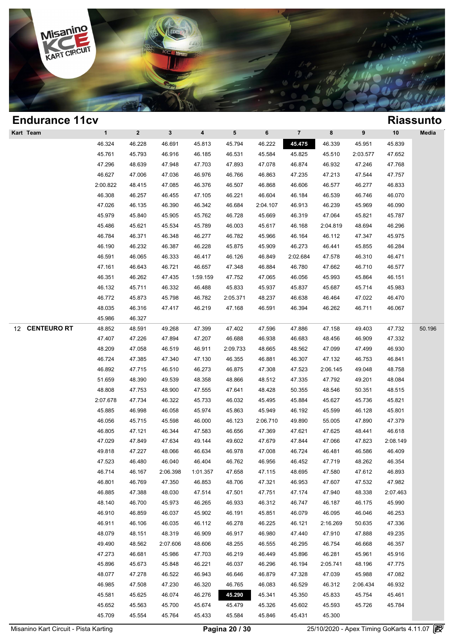

| <b>Endurance 11cv</b>    |              |              |              |                  |          |          |                |          |          |          | <b>Riassunto</b> |
|--------------------------|--------------|--------------|--------------|------------------|----------|----------|----------------|----------|----------|----------|------------------|
| Kart Team                | $\mathbf{1}$ | $\mathbf{2}$ | $\mathbf{3}$ | $\boldsymbol{4}$ | 5        | 6        | $\overline{7}$ | 8        | 9        | 10       | Media            |
|                          | 46.324       | 46.228       | 46.691       | 45.813           | 45.794   | 46.222   | 45.475         | 46.339   | 45.951   | 45.839   |                  |
|                          | 45.761       | 45.793       | 46.916       | 46.185           | 46.531   | 45.584   | 45.825         | 45.510   | 2:03.577 | 47.652   |                  |
|                          | 47.296       | 48.639       | 47.948       | 47.703           | 47.893   | 47.078   | 46.874         | 46.932   | 47.246   | 47.768   |                  |
|                          | 46.627       | 47.006       | 47.036       | 46.976           | 46.766   | 46.863   | 47.235         | 47.213   | 47.544   | 47.757   |                  |
|                          | 2:00.822     | 48.415       | 47.085       | 46.376           | 46.507   | 46.868   | 46.606         | 46.577   | 46.277   | 46.833   |                  |
|                          | 46.308       | 46.257       | 46.455       | 47.105           | 46.221   | 46.604   | 46.184         | 46.539   | 46.746   | 46.070   |                  |
|                          | 47.026       | 46.135       | 46.390       | 46.342           | 46.684   | 2:04.107 | 46.913         | 46.239   | 45.969   | 46.090   |                  |
|                          | 45.979       | 45.840       | 45.905       | 45.762           | 46.728   | 45.669   | 46.319         | 47.064   | 45.821   | 45.787   |                  |
|                          | 45.486       | 45.621       | 45.534       | 45.789           | 46.003   | 45.617   | 46.168         | 2:04.819 | 48.694   | 46.296   |                  |
|                          | 46.784       | 46.371       | 46.348       | 46.277           | 46.782   | 45.966   | 46.164         | 46.112   | 47.347   | 45.975   |                  |
|                          | 46.190       | 46.232       | 46.387       | 46.228           | 45.875   | 45.909   | 46.273         | 46.441   | 45.855   | 46.284   |                  |
|                          | 46.591       | 46.065       | 46.333       | 46.417           | 46.126   | 46.849   | 2:02.684       | 47.578   | 46.310   | 46.471   |                  |
|                          | 47.161       | 46.643       | 46.721       | 46.657           | 47.348   | 46.884   | 46.780         | 47.662   | 46.710   | 46.577   |                  |
|                          | 46.351       | 46.262       | 47.435       | 1:59.159         | 47.752   | 47.065   | 46.056         | 45.993   | 45.864   | 46.151   |                  |
|                          | 46.132       | 45.711       | 46.332       | 46.488           | 45.833   | 45.937   | 45.837         | 45.687   | 45.714   | 45.983   |                  |
|                          | 46.772       | 45.873       | 45.798       | 46.782           | 2:05.371 | 48.237   | 46.638         | 46.464   | 47.022   | 46.470   |                  |
|                          | 48.035       | 46.316       | 47.417       | 46.219           | 47.168   | 46.591   | 46.394         | 46.262   | 46.711   | 46.067   |                  |
|                          | 45.986       | 46.327       |              |                  |          |          |                |          |          |          |                  |
| <b>CENTEURO RT</b><br>12 | 48.852       | 48.591       | 49.268       | 47.399           | 47.402   | 47.596   | 47.886         | 47.158   | 49.403   | 47.732   | 50.196           |
|                          | 47.407       | 47.226       | 47.894       | 47.207           | 46.688   | 46.938   | 46.683         | 48.456   | 46.909   | 47.332   |                  |
|                          | 48.209       | 47.058       | 46.519       | 46.911           | 2:09.733 | 48.665   | 48.562         | 47.099   | 47.499   | 46.930   |                  |
|                          | 46.724       | 47.385       | 47.340       | 47.130           | 46.355   | 46.881   | 46.307         | 47.132   | 46.753   | 46.841   |                  |
|                          | 46.892       | 47.715       | 46.510       | 46.273           | 46.875   | 47.308   | 47.523         | 2:06.145 | 49.048   | 48.758   |                  |
|                          | 51.659       | 48.390       | 49.539       | 48.358           | 48.866   | 48.512   | 47.335         | 47.792   | 49.201   | 48.084   |                  |
|                          | 48.808       | 47.753       | 48.900       | 47.555           | 47.641   | 48.428   | 50.355         | 48.546   | 50.351   | 48.515   |                  |
|                          | 2:07.678     | 47.734       | 46.322       | 45.733           | 46.032   | 45.495   | 45.884         | 45.627   | 45.736   | 45.821   |                  |
|                          | 45.885       | 46.998       | 46.058       | 45.974           | 45.863   | 45.949   | 46.192         | 45.599   | 46.128   | 45.801   |                  |
|                          | 46.056       | 45.715       | 45.598       | 46.000           | 46.123   | 2:06.710 | 49.890         | 55.005   | 47.890   | 47.379   |                  |
|                          | 46.805       | 47.121       | 46.344       | 47.583           | 46.656   | 47.369   | 47.621         | 47.625   | 48.441   | 46.618   |                  |
|                          | 47.029       | 47.849       | 47.634       | 49.144           | 49.602   | 47.679   | 47.844         | 47.066   | 47.823   | 2:08.149 |                  |
|                          | 49.818       | 47.227       | 48.066       | 46.634           | 46.978   | 47.008   | 46.724         | 46.481   | 46.586   | 46.409   |                  |
|                          | 47.523       | 46.480       | 46.040       | 46.404           | 46.762   | 46.956   | 46.452         | 47.719   | 48.262   | 46.354   |                  |
|                          | 46.714       | 46.167       | 2:06.398     | 1:01.357         | 47.658   | 47.115   | 48.695         | 47.580   | 47.612   | 46.893   |                  |
|                          | 46.801       | 46.769       | 47.350       | 46.853           | 48.706   | 47.321   | 46.953         | 47.607   | 47.532   | 47.982   |                  |
|                          | 46.885       | 47.388       | 48.030       | 47.514           | 47.501   | 47.751   | 47.174         | 47.940   | 48.338   | 2:07.463 |                  |
|                          | 48.140       | 46.700       | 45.973       | 46.265           | 46.933   | 46.312   | 46.747         | 46.187   | 46.175   | 45.990   |                  |
|                          | 46.910       | 46.859       | 46.037       | 45.902           | 46.191   | 45.851   | 46.079         | 46.095   | 46.046   | 46.253   |                  |
|                          | 46.911       | 46.106       | 46.035       | 46.112           | 46.278   | 46.225   | 46.121         | 2:16.269 | 50.635   | 47.336   |                  |
|                          | 48.079       | 48.151       | 48.319       | 46.909           | 46.917   | 46.980   | 47.440         | 47.910   | 47.888   | 49.235   |                  |
|                          | 49.490       | 48.562       | 2:07.606     | 48.606           | 48.255   | 46.555   | 46.295         | 46.754   | 46.668   | 46.357   |                  |
|                          | 47.273       | 46.681       | 45.986       | 47.703           | 46.219   | 46.449   | 45.896         | 46.281   | 45.961   | 45.916   |                  |
|                          | 45.896       | 45.673       | 45.848       | 46.221           | 46.037   | 46.296   | 46.194         | 2:05.741 | 48.196   | 47.775   |                  |
|                          | 48.077       | 47.278       | 46.522       | 46.943           | 46.646   | 46.879   | 47.328         | 47.039   | 45.988   | 47.082   |                  |
|                          | 46.985       | 47.508       | 47.230       | 46.320           | 46.765   | 46.083   | 46.529         | 46.312   | 2:06.434 | 46.932   |                  |
|                          | 45.581       | 45.625       | 46.074       | 46.276           | 45.290   | 45.341   | 45.350         | 45.833   | 45.754   | 45.461   |                  |
|                          | 45.652       | 45.563       | 45.700       | 45.674           | 45.479   | 45.326   | 45.602         | 45.593   | 45.726   | 45.784   |                  |
|                          | 45.709       | 45.554       | 45.764       | 45.433           | 45.584   | 45.846   | 45.431         | 45.300   |          |          |                  |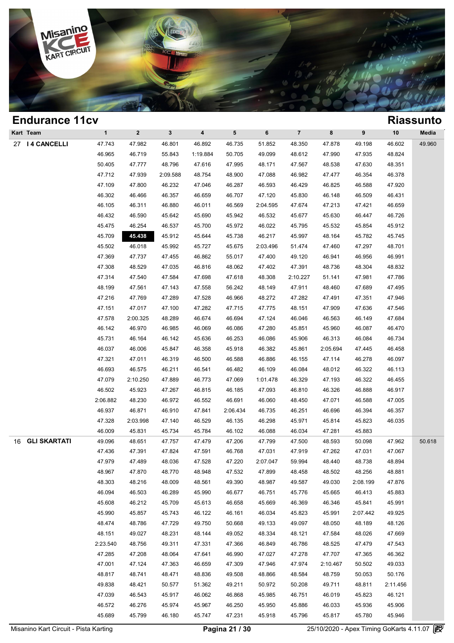

| <b>Eliquialice TICA</b> |              |                |                |          |                 |          |                |          |          |          | <b>KIASSUIILU</b> |
|-------------------------|--------------|----------------|----------------|----------|-----------------|----------|----------------|----------|----------|----------|-------------------|
| Kart Team               | $\mathbf{1}$ | $\overline{2}$ | $3\phantom{a}$ | 4        | $5\phantom{.0}$ | 6        | $\overline{7}$ | 8        | 9        | 10       | Media             |
| 27   4 CANCELLI         | 47.743       | 47.982         | 46.801         | 46.892   | 46.735          | 51.852   | 48.350         | 47.878   | 49.198   | 46.602   | 49.960            |
|                         | 46.965       | 46.719         | 55.843         | 1:19.884 | 50.705          | 49.099   | 48.612         | 47.990   | 47.935   | 48.824   |                   |
|                         | 50.405       | 47.777         | 48.796         | 47.616   | 47.995          | 48.171   | 47.567         | 48.538   | 47.630   | 48.351   |                   |
|                         | 47.712       | 47.939         | 2:09.588       | 48.754   | 48.900          | 47.088   | 46.982         | 47.477   | 46.354   | 46.378   |                   |
|                         | 47.109       | 47.800         | 46.232         | 47.046   | 46.287          | 46.593   | 46.429         | 46.825   | 46.588   | 47.920   |                   |
|                         | 46.302       | 46.466         | 46.357         | 46.659   | 46.707          | 47.120   | 45.830         | 46.148   | 46.509   | 46.431   |                   |
|                         | 46.105       | 46.311         | 46.880         | 46.011   | 46.569          | 2:04.595 | 47.674         | 47.213   | 47.421   | 46.659   |                   |
|                         | 46.432       | 46.590         | 45.642         | 45.690   | 45.942          | 46.532   | 45.677         | 45.630   | 46.447   | 46.726   |                   |
|                         | 45.475       | 46.254         | 46.537         | 45.700   | 45.972          | 46.022   | 45.795         | 45.532   | 45.854   | 45.912   |                   |
|                         | 45.709       | 45.438         | 45.912         | 45.644   | 45.738          | 46.217   | 45.997         | 48.164   | 45.782   | 45.745   |                   |
|                         | 45.502       | 46.018         | 45.992         | 45.727   | 45.675          | 2:03.496 | 51.474         | 47.460   | 47.297   | 48.701   |                   |
|                         | 47.369       | 47.737         | 47.455         | 46.862   | 55.017          | 47.400   | 49.120         | 46.941   | 46.956   | 46.991   |                   |
|                         | 47.308       | 48.529         | 47.035         | 46.816   | 48.062          | 47.402   | 47.391         | 48.736   | 48.304   | 48.832   |                   |
|                         | 47.314       | 47.540         | 47.584         | 47.698   | 47.618          | 48.308   | 2:10.227       | 51.141   | 47.981   | 47.786   |                   |
|                         | 48.199       | 47.561         | 47.143         | 47.558   | 56.242          | 48.149   | 47.911         | 48.460   | 47.689   | 47.495   |                   |
|                         | 47.216       | 47.769         | 47.289         | 47.528   | 46.966          | 48.272   | 47.282         | 47.491   | 47.351   | 47.946   |                   |
|                         | 47.151       | 47.017         | 47.100         | 47.282   | 47.715          | 47.775   | 48.151         | 47.909   | 47.636   | 47.546   |                   |
|                         | 47.578       | 2:00.325       | 48.289         | 46.674   | 46.694          | 47.124   | 46.046         | 46.563   | 46.149   | 47.684   |                   |
|                         | 46.142       | 46.970         | 46.985         | 46.069   | 46.086          | 47.280   | 45.851         | 45.960   | 46.087   | 46.470   |                   |
|                         | 45.731       | 46.164         | 46.142         | 45.636   | 46.253          | 46.086   | 45.906         | 46.313   | 46.084   | 46.734   |                   |
|                         | 46.037       | 46.006         | 45.847         | 46.358   | 45.918          | 46.382   | 45.861         | 2:05.694 | 47.445   | 46.458   |                   |
|                         | 47.321       | 47.011         | 46.319         | 46.500   | 46.588          | 46.886   | 46.155         | 47.114   | 46.278   | 46.097   |                   |
|                         | 46.693       | 46.575         | 46.211         | 46.541   | 46.482          | 46.109   | 46.084         | 48.012   | 46.322   | 46.113   |                   |
|                         | 47.079       | 2:10.250       | 47.889         | 46.773   | 47.069          | 1:01.478 | 46.329         | 47.193   | 46.322   | 46.455   |                   |
|                         | 46.502       | 45.923         | 47.267         | 46.815   | 46.185          | 47.093   | 46.810         | 46.326   | 46.888   | 46.917   |                   |
|                         | 2:06.882     | 48.230         | 46.972         | 46.552   | 46.691          | 46.060   | 48.450         | 47.071   | 46.588   | 47.005   |                   |
|                         | 46.937       | 46.871         | 46.910         | 47.841   | 2:06.434        | 46.735   | 46.251         | 46.696   | 46.394   | 46.357   |                   |
|                         | 47.328       | 2:03.998       | 47.140         | 46.529   | 46.135          | 46.298   | 45.971         | 45.814   | 45.823   | 46.035   |                   |
|                         | 46.009       | 45.831         | 45.734         | 45.784   | 46.102          | 46.088   | 46.034         | 47.281   | 45.883   |          |                   |
| 16 GLI SKARTATI         | 49.096       | 48.651         | 47.757         | 47.479   | 47.206          | 47.799   | 47.500         | 48.593   | 50.098   | 47.962   | 50.618            |
|                         | 47.436       | 47.391         | 47.824         | 47.591   | 46.768          | 47.031   | 47.919         | 47.262   | 47.031   | 47.067   |                   |
|                         | 47.979       | 47.489         | 48.036         | 47.528   | 47.220          | 2:07.047 | 59.994         | 48.440   | 48.738   | 48.894   |                   |
|                         | 48.967       | 47.870         | 48.770         | 48.948   | 47.532          | 47.899   | 48.458         | 48.502   | 48.256   | 48.881   |                   |
|                         | 48.303       | 48.216         | 48.009         | 48.561   | 49.390          | 48.987   | 49.587         | 49.030   | 2:08.199 | 47.876   |                   |
|                         | 46.094       | 46.503         | 46.289         | 45.990   | 46.677          | 46.751   | 45.776         | 45.665   | 46.413   | 45.883   |                   |
|                         | 45.608       | 46.212         | 45.709         | 45.613   | 46.658          | 45.669   | 46.369         | 46.346   | 45.841   | 45.991   |                   |
|                         | 45.990       | 45.857         | 45.743         | 46.122   | 46.161          | 46.034   | 45.823         | 45.991   | 2:07.442 | 49.925   |                   |
|                         | 48.474       | 48.786         | 47.729         | 49.750   | 50.668          | 49.133   | 49.097         | 48.050   | 48.189   | 48.126   |                   |
|                         | 48.151       | 49.027         | 48.231         | 48.144   | 49.052          | 48.334   | 48.121         | 47.584   | 48.026   | 47.669   |                   |
|                         | 2:23.540     | 48.756         | 49.311         | 47.331   | 47.366          | 46.849   | 46.786         | 48.525   | 47.479   | 47.543   |                   |
|                         | 47.285       | 47.208         | 48.064         | 47.641   | 46.990          | 47.027   | 47.278         | 47.707   | 47.365   | 46.362   |                   |
|                         | 47.001       | 47.124         | 47.363         | 46.659   | 47.309          | 47.946   | 47.974         | 2:10.467 | 50.502   | 49.033   |                   |
|                         | 48.817       | 48.741         | 48.471         | 48.836   | 49.508          | 48.866   | 48.584         | 48.759   | 50.053   | 50.176   |                   |
|                         | 49.838       | 48.421         | 50.577         | 51.362   | 49.211          | 50.972   | 50.208         | 49.711   | 48.811   | 2:11.456 |                   |
|                         | 47.039       | 46.543         | 45.917         | 46.062   | 46.868          | 45.985   | 46.751         | 46.019   | 45.823   | 46.121   |                   |
|                         | 46.572       | 46.276         | 45.974         | 45.967   | 46.250          | 45.950   | 45.886         | 46.033   | 45.936   | 45.906   |                   |
|                         | 45.689       | 45.799         | 46.180         | 45.747   | 47.231          | 45.918   | 45.796         | 45.817   | 45.780   | 45.946   |                   |
|                         |              |                |                |          |                 |          |                |          |          |          |                   |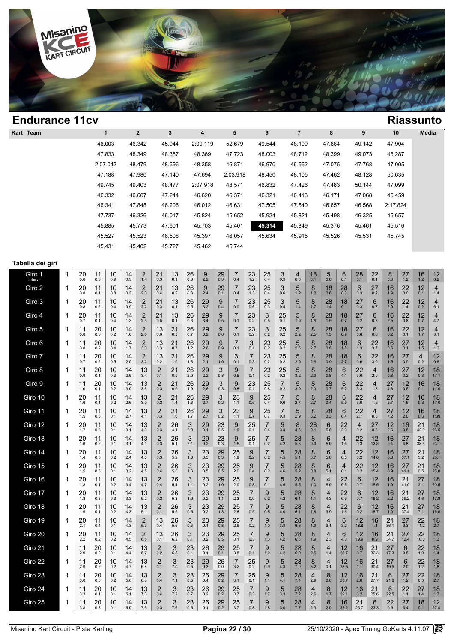

| <b>Endurance 11cv</b> |   |                         |                          |                        |                     |                                     |                              |                                 |                             |                            |                          |                             |                                |                          |                            |                          |                                         |                                         |                           |                         |                           |                              |                       | <b>Riassunto</b>      |                       |
|-----------------------|---|-------------------------|--------------------------|------------------------|---------------------|-------------------------------------|------------------------------|---------------------------------|-----------------------------|----------------------------|--------------------------|-----------------------------|--------------------------------|--------------------------|----------------------------|--------------------------|-----------------------------------------|-----------------------------------------|---------------------------|-------------------------|---------------------------|------------------------------|-----------------------|-----------------------|-----------------------|
| Kart Team             |   |                         |                          | $\mathbf{1}$           |                     | $\overline{\mathbf{2}}$             |                              | 3                               |                             | 4                          |                          | 5                           |                                | 6                        |                            | $\overline{7}$           |                                         | 8                                       |                           | 9                       |                           | 10                           |                       |                       | Media                 |
|                       |   |                         |                          | 46.003                 |                     | 46.342                              |                              | 45.944                          |                             | 2:09.119                   |                          | 52.679                      |                                | 49.544                   |                            | 48.100                   |                                         | 47.684                                  |                           | 49.142                  |                           | 47.904                       |                       |                       |                       |
|                       |   |                         |                          | 47.833                 |                     | 48.349                              |                              | 48.387                          |                             | 48.369                     |                          | 47.723                      |                                | 48.003                   |                            | 48.712                   |                                         | 48.399                                  |                           | 49.073                  |                           | 48.287                       |                       |                       |                       |
|                       |   |                         |                          | 2:07.043               |                     | 48.479                              |                              | 48.696                          |                             | 48.358                     |                          | 46.871                      |                                | 46.970                   |                            | 46.562                   |                                         | 47.075                                  |                           | 47.768                  |                           | 47.005                       |                       |                       |                       |
|                       |   |                         |                          | 47.188                 |                     | 47.980                              |                              | 47.140                          |                             | 47.694                     |                          | 2:03.918                    |                                | 48.450                   |                            | 48.105                   |                                         | 47.462                                  |                           | 48.128                  |                           | 50.635                       |                       |                       |                       |
|                       |   |                         |                          | 49.745<br>46.332       |                     | 49.403<br>46.607                    |                              | 48.477<br>47.244                |                             | 2:07.918<br>46.620         |                          | 48.571<br>46.371            |                                | 46.832<br>46.321         |                            | 47.426<br>46.413         |                                         | 47.483<br>46.171                        |                           | 50.144<br>47.068        |                           | 47.099<br>46.459             |                       |                       |                       |
|                       |   |                         |                          | 46.341                 |                     | 47.848                              |                              | 46.206                          |                             | 46.012                     |                          | 46.631                      |                                | 47.505                   |                            | 47.540                   |                                         | 46.657                                  |                           | 46.568                  |                           | 2:17.824                     |                       |                       |                       |
|                       |   |                         |                          | 47.737                 |                     | 46.326                              |                              | 46.017                          |                             | 45.824                     |                          | 45.652                      |                                | 45.924                   |                            | 45.821                   |                                         | 45.498                                  |                           | 46.325                  |                           | 45.657                       |                       |                       |                       |
|                       |   |                         |                          | 45.885                 |                     | 45.773                              |                              | 47.601                          |                             | 45.703                     |                          | 45.401                      |                                | 45.314                   |                            | 45.849                   |                                         | 45.376                                  |                           | 45.461                  |                           | 45.516                       |                       |                       |                       |
|                       |   |                         |                          | 45.527                 |                     | 45.523                              |                              | 46.508                          |                             | 45.397                     |                          | 46.057                      |                                | 45.634                   |                            | 45.915                   |                                         | 45.526                                  |                           | 45.531                  |                           | 45.745                       |                       |                       |                       |
|                       |   |                         |                          | 45.431                 |                     | 45.402                              |                              | 45.727                          |                             | 45.462                     |                          | 45.744                      |                                |                          |                            |                          |                                         |                                         |                           |                         |                           |                              |                       |                       |                       |
| Tabella dei giri      |   |                         |                          |                        |                     |                                     |                              |                                 |                             |                            |                          |                             |                                |                          |                            |                          |                                         |                                         |                           |                         |                           |                              |                       |                       |                       |
| Giro 1<br>Interv.     | 1 | 20<br>0.6               | 11<br>0.3                | 10<br>0.9              | 14<br>0.3           | $^{2}_{1.4}$                        | 21<br>0.3                    | 13<br>0.1                       | 26<br>0.3                   | $\underset{2.2}{9}$        | $^{29}_{0.3}$            | 7<br>0.4                    | $^{23}_{1.2}$                  | $^{25}_{0.4}$            | $\frac{3}{0.3}$            | 4<br>0.0                 | 18<br>0.1                               | 5<br>0.0                                | 6<br>0.1                  | 28<br>0.1               | 22<br>0.1                 | $8_{0.3}$                    | $27 \atop 1.2$        | $16 \atop 1.2$        | 12<br>0.2             |
| Giro 2                | 1 | 20<br>0.8               | 11<br>0.1                | 10<br>0.8              | 14<br>0.3           | $\overline{2}$<br>2.0               | 21<br>0.4                    | 13<br>0.2                       | 26<br>0.3                   | 9<br>2.4                   | 29<br>0.1                | 7<br>0.4                    | 23<br>1.3                      | 25<br>0.4                | 3<br>0.6                   | 5<br>1.2                 | 8<br>1.0                                | 18<br>0.6                               | 28<br>0.3                 | 6<br>0.3                | 27<br>0.2                 | 16<br>1.9                    | 22<br>0.0             | 12<br>0.1             | 4<br>1.4              |
| Giro 3                | 1 | 20                      | 11                       | 10                     | 14                  | $\overline{2}$                      | 21                           | 13                              | 26                          | 29                         | 9                        | $\overline{7}$              | 23                             | 25                       | 3                          | 5                        | 8                                       | 28                                      | 18                        | 27                      | 6                         | 16                           | 22                    | 12                    | 4                     |
| Giro 4                | 1 | 0.8<br>20               | 0.2<br>11                | 0.4<br>10              | 0.9<br>14           | 2.2<br>$\frac{2}{2.5}$              | 0.3<br>21                    | 0.1<br>13                       | 0.5<br>26                   | 3.2<br>$\frac{29}{3.4}$    | 0.4<br>9                 | 0.0<br>$^{7}_{0.1}$         | 0.6<br>$^{23}_{0.2}$           | 0.3<br>3                 | 0.4<br>25                  | 1.4<br>5                 | 1.7<br>8<br>1.9                         | $1.4$<br>$^{28}_{1.5}$                  | 0.1<br>18 <sub>0.7</sub>  | 0.3<br>27               | 0.7<br>6                  | 2.0<br>$\frac{16}{2.5}$      | 1.4<br>$^{22}_{0.8}$  | 0.2<br>$12_{0.7}$     | 6.1<br>4              |
| Giro 5                | 1 | 0.7<br>11               | 0.1<br>20                | 0.4<br>10              | 1.3<br>14           | $\frac{2}{2.6}$                     | 0.5<br>13                    | 0.1<br>21                       | 0.6<br>26                   | $\frac{29}{3.2}$           | 0.5<br>9                 | $^{7}_{0.1}$                | $^{23}_{0.2}$                  | 0.5<br>3                 | 0.1<br>$25$ <sub>0.2</sub> | 1.9<br>5                 | 8                                       | $^{28}_{1.3}$                           | $\frac{18}{0.9}$          | 0.2<br>27               | 0.8<br>6                  | $\frac{16}{3.2}$             | $22$ <sub>0.1</sub>   | 12                    | 4.7<br>4              |
| Giro 6                | 1 | 0.8<br>11               | 0.3<br>20                | 0.2<br>10              | 1.6<br>14           | $\overline{2}$                      | 0.6<br>13                    | 0.3<br>21                       | 0.7<br>26                   | 29                         | 0.6<br>9                 | $\overline{7}$              | 3                              | 0.2<br>23                | 25                         | 2.2<br>5                 | 2.5<br>8                                | 28                                      | 18                        | 0.6<br>6                | 0.6<br>22                 | 16                           | 27                    | 1.7<br>12             | 3.1<br>4              |
| Giro 7                | 1 | 0.8<br>11               | 0.2<br>20                | 0.4<br>10              | 1.7<br>14           | 3.0<br>$\overline{2}$               | 0.3<br>13                    | 0.7<br>21                       | 1.2<br>26                   | 2.6<br>29                  | 0.9<br>9                 | 0.1<br>3                    | 0.1<br>7                       | 0.2<br>23                | 0.2<br>25                  | 2.5<br>5                 | 2.7<br>8                                | 0.8<br>28                               | 1.8<br>18                 | 1.3<br>6                | 3.7<br>22                 | 0.6<br>16                    | 0.1<br>27             | 1.5<br>4              | 1.2<br>12             |
| Giro 8                | 1 | 0.7<br>11               | 0.2<br>20                | 0.5<br>10              | 2.0<br>14           | 3.2<br>13                           | 0.2<br>$\overline{2}$        | 1.0<br>21                       | 1.6<br>$^{26}_{2.0}$        | 2.1<br>$\frac{29}{2.2}$    | 1.0<br>3                 | 0.1<br>9                    | 0.3<br>7                       | 0.2<br>23                | 0.2<br>25                  | 2.9<br>5                 | 2.6<br>8                                | 0.9<br>28                               | 2.7<br>6                  | 0.6<br>22               | 3.9<br>4                  | 1.5<br>16                    | 0.9<br>$27_{0.2}$     | 0.2<br>$12_{0.3}$     | 0.8<br>18             |
| Giro 9                | 1 | 0.9<br>11               | 0.1<br>20                | 0.3<br>10              | 2.6<br>14           | 3.4<br>13                           | 0.1<br>$\overline{2}$        | 0.9<br>21                       | $^{26}_{1.9}$               | $\frac{29}{2.6}$           | 0.8<br>3                 | 0.5<br>9                    | 0.1<br>$23$ <sub>0.1</sub>     | 0.2<br>25                | 0.2<br>7                   | 3.2<br>5                 | 2.3<br>8                                | 0.8<br>28                               | 4.1<br>6                  | 3.6<br>22               | 2.9<br>4                  | $0.\overline{8}$<br>27       | 12                    | 16                    | 1:11<br>18            |
| Giro 10               | 1 | 1.0<br>20               | 0.1<br>11                | 0.2<br>10              | 3.0<br>14           | 3.6<br>13                           | 0.3<br>$\overline{2}$        | 0.9<br>21                       | 26                          | 29                         | 0.3<br>3                 | 0.8<br>23                   | 9                              | 0.8<br>25                | 0.2<br>7                   | 3.0<br>5                 | 2.3<br>8                                | 0.7<br>28                               | 5.2<br>6                  | 3.3<br>22               | 1.8<br>4                  | 4.8<br>27                    | 0.5<br>12             | 0.1<br>16             | 1:10<br>18            |
| Giro 11               | 1 | 1.6<br>20               | 0.1<br>11                | 0.2<br>10              | 2.6<br>14           | 3.9<br>13                           | 0.2<br>2                     | 1.4<br>21                       | 1.6<br>26                   | 2.7<br>29                  | 0.2<br>3                 | 1.1<br>23                   | 0.5<br>9                       | 0.4<br>25                | 0.6<br>7                   | 2.7<br>5                 | 2.7<br>8                                | 0.4<br>28                               | 5.9<br>6                  | $3.0\,$<br>22           | 1.2<br>4                  | 5.7<br>27                    | 1.6<br>12             | 0.3<br>16             | 1:10<br>18            |
| Giro 12               | 1 | 1.5<br>20               | 0.3<br>11                | 0.1<br>10              | 2.7<br>14           | 4.1<br>13                           | 0.3<br>2                     | 1.6<br>26                       | 1.7<br>3                    | 2.7<br>29                  | 0.2<br>$^{23}_{0.5}$     | 1.1<br>9                    | 0.7<br>25                      | 0.7<br>7                 | 0.3<br>5                   | 2.9<br>8                 | 3.2<br>28                               | 0.3<br>6                                | 6.4<br>22                 | 2.7<br>$\overline{4}$   | 0.3<br>27                 | 7.2<br>12                    | 2.0<br>16             | 0.3<br>21             | 1:09<br>18            |
| Giro 13               | 1 | 1.7<br>20               | 0.3<br>11                | 0.1<br>10              | 3.1<br>14           | 4.0<br>13                           | 0.3<br>2                     | 4.1<br>26                       | 2.9<br>3                    | 0.1<br>29                  | 23                       | 1.0<br>9                    | 0.1<br>25                      | 0.4<br>7                 | 3.4<br>5                   | 4.6<br>28                | 0.1<br>8                                | 5.6<br>6                                | 2.0<br>4                  | 0.2<br>22               | 8.3<br>12                 | 2.6<br>16                    | 0.5<br>27             | 42.0<br>21            | 26.5<br>18            |
| Giro 14               | 1 | 1.6<br>20               | 0.2<br>11                | 0.1<br>10 <sup>°</sup> | 3.1<br>14           | 4.1<br>13                           | 0.3<br>$\overline{2}$        | 5.1<br>26                       | 2.1<br>3                    | 0.2<br>23                  | 0.3<br>29                | $1.5\,$<br>25               | 0.1<br>$\alpha$                | 0.2<br>$\overline{7}$    | 4.2<br>5                   | 5.3<br>28                | 0.3<br>$\mathsf{R}$                     | 5.0<br>6                                | 1.5<br>$\overline{4}$     | 0.3<br>22               | 12.8<br>12                | 0.4<br>16                    | 4.8<br>27             | 38.8<br>21            | 23.1<br>18            |
| Giro 15               | 1 | 1.4<br>20               | 0.5<br>11                | 0.2<br>10              | 2.4<br>14           | 4.6<br>13                           | 0.3<br>$\overline{2}$        | $5.2$<br>26                     | 1.8<br>3                    | 0.5<br>$\mathop{23}_{0.5}$ | 0.3<br>$_{\rm 0.5}^{29}$ | 1.9<br>25                   | 0.2<br>9                       | 0.2<br>7                 | 4.5<br>$\frac{5}{4.6}$     | 5.1<br>28                | 0.7<br>$\underset{0.8}{8}$              | 5.0<br>6                                | 0.5<br>4                  | 0.2<br>22               | 14.6<br>12                | 0.8<br>16                    | 37.1<br>27            | 5.2<br>21             | 23.1<br>18            |
| Giro 16               | 1 | 1.5<br>20<br>1.8        | $0.5\,$<br>11            | 0.1<br>10<br>0.2       | $3.2\,$<br>14       | $4.5\,$<br>$^{13}_{4.7}$            | 0.4<br>$\overline{c}$<br>0.4 | $5.0\,$<br>26<br>5.4            | $1.3$<br>$3$ <sub>1.1</sub> | $^{23}_{0.2}$              | $^{29}_{1.0}$            | $2.0\,$<br>$\frac{25}{2.0}$ | 0.4<br>$9$ $_{\rm 0.8}$        | $0.2\,$<br>7<br>$0.1\,$  | $\frac{5}{4.5}$            | $5.2\,$<br>28            | 8<br>1.0                                | $5.1$<br>4                              | 0.1<br>$^{22}_{0.5}$      | $0.2\,$<br>6            | 15.4<br>12<br>15.5        | 0.9<br>16<br>1.0             | 41.1<br>21<br>41.0    | $0.5\,$<br>$27_{2.1}$ | 23.0<br>18            |
| Giro 17               | 1 | 20                      | 0.1<br>11                | 10                     | 3.4<br>14           | $13 \atop 5.2$                      | $\overline{2}$               | 26                              | $3_{1.0}$                   | $^{23}_{0.2}$              | $^{29}_{1.1}$            | $\frac{25}{2.3}$            | 7<br>$0.9\,$                   | $\underset{0.2}{9}$      | $\frac{5}{4.2}$            | $5.5\,$<br>$^{28}_{6.1}$ | $8$ <sub>1.1</sub>                      | $5.0\,$<br>4                            | 22                        | 0.7<br>6                | 12                        | $\frac{16}{2.2}$             | 21<br>39.2            | $^{27}_{4.6}$         | 20.5<br>18            |
| Giro 18               | 1 | 1.8<br>20               | 0.3<br>11                | 0.3<br>10              | 3.3<br>14           | 13                                  | 0.2<br>$\overline{2}$        | 5.3<br>26                       | 3                           | 23                         | 29                       | 25                          | 7                              | 9                        | 5                          | 28                       | 8                                       | $4.3$<br>4                              | 0.9<br>22                 | 0.7<br>6                | 16.2<br>12                | 16                           | 21                    | 27                    | 17.8<br>18            |
| Giro 19               | 1 | 1.9<br>20               | 0.1<br>11                | 0.2<br>10              | 4.3<br>14           | 5.1<br>$\overline{c}$               | 0.1<br>13                    | 5.5<br>26                       | $0.5\,$<br>3                | 0.2<br>23                  | 1.3<br>29                | 2.6<br>25                   | 0.5<br>7                       | $0.5\,$<br>9             | $4.0$<br>5                 | 6.1<br>28                | 1.8<br>8                                | 3.9<br>4                                | $1.6$<br>6                | 0.2<br>12               | 18.7<br>16                | $1.0$<br>21                  | 37.4<br>27            | 7.1<br>22             | 16.0<br>18            |
| Giro 20               | 1 | 2.1<br>$^{20}_{2.2}$    | 0.4<br>$^{11}_{0.2}$     | 0.1<br>10              | 4.3<br>14           | 5.9<br>$\underset{6.5}{\textbf{2}}$ | 0.4<br>13                    | $5.6\,$<br>26                   | 0.3<br>3                    | 0.1<br>$^{23}_{0.2}$       | $0.8\,$<br>$^{29}_{0.5}$ | 2.9<br>25                   | $0.2\,$<br>$\underset{0.3}{7}$ | $1.0$<br>$\frac{9}{1.3}$ | 3.8<br>$\frac{5}{4.2}$     | $6.5\,$<br>$^{28}_{6.6}$ | 1.9<br>$8_{1.9}$                        | 3.1<br>$\frac{4}{2.3}$                  | $3.2\,$<br>6              | 18.8<br>$12$<br>19.9    | $1.1$<br>$\frac{16}{0.9}$ | 36.1<br>$21$ <sub>34.7</sub> | 9.3<br>$27_{12.4}$    | 11.2<br>$22$<br>10.0  | 2.7<br>18             |
| Giro 21               | 1 | 11                      | $^{20}_{0.2}$            | 0.2<br>10              | 4.5<br>14           | 13                                  | 0.1<br>$_{0.2}^{2}$          | $6.2\,$<br>$\mathfrak{Z}_{6.5}$ | 0.1<br>$^{23}_{0.1}$        | $^{26}_{0.1}$              | $^{29}_{0.1}$            | 3.1<br>$\frac{25}{3.8}$     | 7                              | $\frac{9}{1.0}$          | $\frac{5}{4.2}$            | $^{28}_{6.9}$            | $\begin{array}{c} 8 \\ 2.5 \end{array}$ | $\frac{4}{1.4}$                         | $4.0\,$<br>12             | $^{16}_{0.7}$           | $21$ <sub>32.3</sub>      | $27 \over 17.3$              | $6 \atop 3.5$         | $^{22}_{1.9}$         | 1.3<br>18             |
| Giro 22               | 1 | 2.9<br>11               | 20                       | 0.1<br>10              | $4.4$<br>14         | $6.7\,$<br>13                       | 2                            | 3                               | $^{23}_{0.5}$               | $\mathop{29}_{0.3}$        | 26                       | $\overline{7}$              | 0.1<br>$^{25}_{0.2}$           | 9                        | $\frac{5}{4.3}$            | $^{28}_{7.0}$            | $8_{3.2}$                               | 4                                       | 26.7<br>12                | 16                      | 21                        | 27                           | 6                     | $22$<br>1.2           | $1.4$<br>18           |
| Giro 23               | 1 | 2.9<br>11               | $0.2\,$<br>$^{20}_{0.3}$ | 0.2<br>10              | 4.7<br>$14 \n5.0$   | 6.8<br>$13 \n6.8$                   | 0.1<br>$^{2}_{0.4}$          | $7.0\,$<br>$\frac{3}{7.1}$      | $^{23}_{0.5}$               | $^{26}_{0.4}$              | 0.0<br>$^{29}_{0.2}$     | 3.2<br>$\overline{7}$       | $^{25}_{0.1}$                  | 0.9<br>9                 | $\frac{5}{4.1}$            | $^{28}_{7.4}$            | 4                                       | 0.1<br>8                                | 28.5<br>$\frac{12}{28.7}$ | 1.1<br>$\frac{16}{2.6}$ | 30.4<br>$21$<br>$27.7$    | 19.5<br>6                    | 2.0<br>$27 \atop 1.2$ | $^{22}_{0.3}$         | 1.8<br>$18 \atop 2.7$ |
| Giro 24               | 1 | 3.0<br>11               | $^{20}_{0.1}$            | $0.\overline{2}$<br>10 | $14$ <sub>5.1</sub> | $13 \atop 7.3$                      | $^{2}_{0.4}$                 | $\frac{3}{7.2}$                 | $^{23}_{0.7}$               | $^{26}_{0.2}$              | $^{29}_{0.2}$            | 3.1<br>$\frac{25}{3.7}$     | $\frac{7}{0.3}$                | 1.1<br>$\frac{9}{1.7}$   | $\frac{5}{3.3}$            | $^{28}_{7.2}$            | 2.9<br>4                                | 0.6<br>$^{8}_{1.7}$                     | $\frac{12}{29.1}$         | $\frac{16}{3.2}$        | $21_{25.6}$               | 21.8<br>6                    | $22$<br>1.1           | $^{27}_{1.4}$         | $18 \atop 1.3$        |
| Giro 25               | 1 | 3.3<br>$\frac{11}{3.3}$ | $^{20}_{0.3}$            | 0.1<br>$^{10}_{0.1}$   | $\frac{14}{1}$      | $^{13}_{7.6}$                       | $_{0.3}^{2}$                 | $\frac{3}{7.6}$                 | $^{23}_{0.6}$               | $^{26}_{0.1}$              | $^{29}_{0.2}$            | $25 \over 3.7$              | 7                              | 9                        | $\frac{5}{3.0}$            | $^{28}_{7.7}$            | 2.6<br>$\frac{4}{2.3}$                  | $\begin{array}{c} 8 \\ 2.0 \end{array}$ | $\frac{16}{33.2}$         | $21$ <sub>23.7</sub>    | 6                         | 22.5<br>$^{22}_{0.9}$        | $\frac{27}{3.4}$      | $^{18}_{0.1}$         | $12 \atop 27.4$       |
|                       |   |                         |                          |                        | 5.0                 |                                     |                              |                                 |                             |                            |                          |                             | $0.8\,$                        | 1.8                      |                            |                          |                                         |                                         |                           |                         | 23.3                      |                              |                       |                       |                       |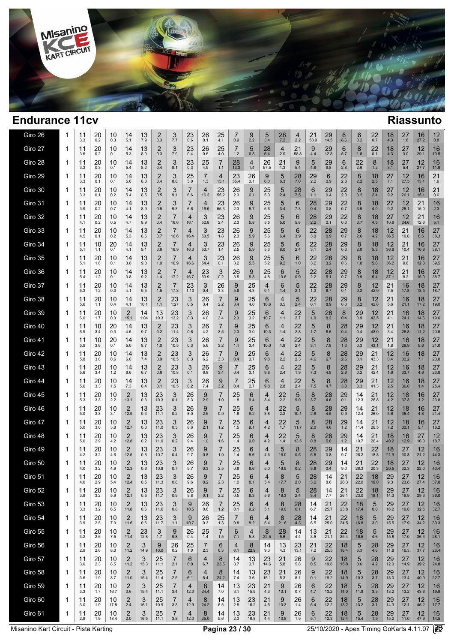

 $\overline{1}$  $\overline{\phantom{a}}$ 

| Giro 26 | 1 | 11<br>3.3 | 20<br>0.2   | 10<br>0.3  | 14<br>5.1              | 13<br>7.9  | $\frac{2}{0.3}$ | 3<br>7.7   | 23<br>0.6  | 26<br>0.1  | 25<br>4.1               | 7<br>0.9              | 9<br>2.2       | 5<br>3.4            | $^{28}_{7.2}$ | 4<br>2.2         | 21<br>58.9 | 29<br>14.5       | 8<br>8.6      | 6<br>0.2         | 22<br>0.7     | 18<br>4.3            | 27<br>1.8       | 16<br>27.2                | 12<br>0.8  |
|---------|---|-----------|-------------|------------|------------------------|------------|-----------------|------------|------------|------------|-------------------------|-----------------------|----------------|---------------------|---------------|------------------|------------|------------------|---------------|------------------|---------------|----------------------|-----------------|---------------------------|------------|
| Giro 27 | 1 | 11<br>3.6 | 20<br>0.2   | 10<br>0.1  | 14<br>5.3              | 13<br>8.0  | 2<br>0.3        | 3<br>7.9   | 23<br>0.4  | 26<br>0.6  | 25<br>4.0               | 7<br>1.2              | 5<br>6.3       | $^{28}_{6.4}$       | 4<br>2.0      | 21<br>58.8       | 9<br>4.4   | 29<br>12.8       | 6<br>5.7      | 8<br>1.8         | 22<br>0.1     | 18<br>4.3            | 27<br>3.0       | 12<br>29.1                | 16<br>10.5 |
| Giro 28 | 1 | 11<br>3.3 | 20<br>0.3   | 10<br>0.1  | 14<br>5.4              | 13<br>8.2  | 2<br>0.4        | 3<br>8.1   | 23<br>0.3  | 25<br>4.9  | 7<br>1.1                | 28<br>13.3            | 4<br>1.4       | 26<br>57.5          | 21<br>1.3     | 9<br>5.4         | 5<br>4.8   | 29<br>9.8        | 6<br>2.8      | 22<br>2.6        | 8<br>$1.2$    | 18<br>3.1            | 27<br>5.4       | 12<br>27.7                | 16<br>11.9 |
| Giro 29 | 1 | 11<br>3.3 | 20<br>0.1   | 10<br>0.1  | 14<br>5.6              | 13<br>8.3  | 2<br>0.4        | 3<br>8.8   | 25<br>5.0  | 7<br>1.3   | 4<br>15.1               | 23<br>55.4            | 26<br>3.1      | 9<br>6.0            | 5<br>6.3      | 28<br>7.0        | 29<br>2.2  | 6<br>0.9         | 22<br>2.8     | 8<br>2.2         | 18<br>2.5     | 27<br>7.1            | 12<br>27.5      | 16<br>13.1                | 21<br>1.6  |
| Giro 30 | 1 | 11<br>3.3 | 20<br>0.1   | 10<br>0.2  | 14<br>5.4              | 13<br>8.5  | 2<br>0.5        | 3<br>9.1   | 7<br>6.6   | 4<br>16.2  | 23<br>55.2              | 26<br>2.3             | 9<br>6.1       | 25<br>$5.0$         | 5<br>2.4      | $^{28}_{7.5}$    | 6<br>1.1   | 29<br>0.4        | 22<br>2.0     | 8<br>3.2         | 18<br>2.4     | 27<br>9.2            | 12<br>26.1      | 16<br>15.1                | 21<br>0.6  |
| Giro 31 | 1 | 11<br>3.9 | 20<br>0.2   | 10<br>0.7  | 14<br>4.1              | 13<br>8.9  | 2<br>0.5        | 3<br>9.3   | 7<br>6.6   | 4<br>16.5  | 23<br>55.3              | 26<br>2.3             | 9<br>5.7       | 25<br>5.6           | 5<br>3.4      | 6<br>7.3         | 28<br>0.4  | 29<br>0.8        | 22<br>0.7     | 8<br>3.9         | 18<br>4.0     | 27<br>9.2            | 12<br>25.1      | 21<br>15.0                | 16<br>2.3  |
| Giro 32 | 1 | 11<br>4.1 | 20<br>0.2   | 10<br>0.5  | 14<br>4.7              | 13<br>8.9  | 2<br>0.4        | 7<br>16.6  | 4<br>16.1  | 3<br>52.8  | 23<br>2.4               | 26<br>2.3             | 9<br>5.8       | 25<br>5.5           | 5<br>5.0      | 6<br>5.8         | 28<br>2.2  | 29<br>0.1        | 22<br>0.3     | 8<br>3.7         | 18<br>4.5     | 27<br>10.6           | 12<br>24.6      | 21<br>12.6                | 16<br>5.1  |
| Giro 33 | 1 | 11<br>4.5 | 20<br>0.1   | 10<br>0.2  | 14<br>5.3              | 13<br>8.6  | 2<br>0.7        | 7<br>16.6  | 4<br>16.4  | 3<br>53.5  | 23<br>1.8               | 26<br>2.3             | 9<br>5.9       | 25<br>5.6           | 5<br>6.4      | 6<br>3.9         | 22<br>3.0  | 28<br>0.9        | 29<br>0.7     | 8<br>2.6         | 18<br>4.2     | 12<br>36.5           | 21<br>10.6      | 16<br>8.6                 | 27<br>38.3 |
| Giro 34 | 1 | 11<br>5.1 | 10<br>1.1   | 20<br>0.1  | 14<br>4.1              | 13<br>9.1  | 2<br>0.6        | 16.9       | 4<br>16.3  | 3<br>53.7  | 23<br>1.4               | 26<br>2.5             | 9<br>5.9       | $25$ <sub>5.3</sub> | 5<br>8.0      | 6<br>2.4         | 22<br>3.1  | $^{28}_{2.4}$    | 29<br>0.3     | 8<br>2.0         | 18<br>5.3     | 12<br>36.6           | 21<br>10.4      | 16<br>10.6                | 27<br>38.1 |
| Giro 35 | 1 | 11<br>5.1 | 20<br>1.6   | 10<br>0.1  | 14<br>3.8              | 13<br>9.0  | 2<br>1.0        | 7<br>16.9  | 4<br>16.6  | 3<br>54.4  | 23<br>0.1               | 26<br>3.2             | 9<br>5.5       | 25<br>5.2           | 5<br>9.2      | 6<br>1.0         | 22<br>3.2  | $\frac{28}{3.2}$ | 29<br>0.6     | 8<br>1.8         | 18<br>5.8     | 12<br>36.2           | 21<br>9.8       | 16<br>12.3                | 27<br>39.5 |
| Giro 36 | 1 | 11<br>5.4 | 20<br>$1.2$ | 10<br>0.1  | 14<br>3.8              | 13<br>9.2  | 2<br>1.4        | 7<br>17.2  | 4<br>16.7  | 23<br>53.9 | 3<br>0.2                | 26<br>3.5             | 9<br>5.3       | 25<br>4.8           | 6<br>10.6     | 5<br>0.9         | 22<br>2.2  | 28<br>5.1        | 29<br>0.7     | 8<br>0.9         | 18<br>5.4     | 12<br>37.1           | 21<br>8.2       | 16<br>15.0                | 27<br>38.7 |
| Giro 37 | 1 | 11<br>5.3 | 20<br>$1.2$ | 10<br>0.3  | 14<br>4.1              | 13<br>9.5  | 2<br>1.5        | 7<br>17.3  | 23<br>1:10 | 3<br>0.4   | 26<br>3.3               | 9<br>5.6              | 25<br>4.3      | 4<br>9.1            | 6<br>1.4      | 5<br>2.1         | 22<br>1.3  | 28<br>6.7        | 29<br>0.1     | 8<br>0.2         | 12<br>42.9    | 21<br>7.5            | 16<br>17.8      | 18<br>18.5                | 27<br>18.7 |
| Giro 38 | 1 | 11<br>5.6 | 20<br>1.1   | 10<br>0.4  | 14<br>4.1              | 13<br>10.1 | 2<br>1.1        | 23<br>1:27 | 3<br>0.5   | 26<br>3.4  | 7<br>2.2                | 9<br>3.4              | 25<br>4.0      | 6<br>10.6           | 4<br>0.5      | 5<br>2.4         | 22<br>0.1  | 28<br>8.9        | 29<br>0.0     | 8<br>0.2         | 12<br>42.8    | 21<br>5.6            | 16<br>21.1      | 18<br>17.2                | 27<br>19.0 |
| Giro 39 | 1 | 11<br>6.0 | 20<br>1.7   | 10<br>0.3  | 2<br>15.1              | 14<br>1:04 | 13<br>10.3      | 23<br>13.2 | 3<br>0.3   | 26<br>4.0  | 7<br>3.4                | 9<br>2.3              | 25<br>3.2      | 6<br>10.7           | 4<br>1.1      | 22<br>2.7        | 5<br>$1.0$ | 28<br>8.2        | 8<br>0.4      | 29<br>0.9        | 12<br>42.5    | 21<br>4.1            | 16<br>24.1      | 18<br>14.6                | 27<br>19.6 |
| Giro 40 | 1 | 11<br>5.9 | 10<br>3.4   | 20<br>0.3  | 14<br>4.5              | 13<br>9.7  | 2<br>0.2        | 23<br>11.4 | 3<br>0.6   | 26<br>4.2  | 7<br>3.5                | 9<br>2.3              | 25<br>3.0      | 6<br>10.3           | 4<br>1.4      | 22<br>2.8        | 5<br>1.7   | 8<br>8.6         | 28<br>0.4     | 29<br>0.4        | 12<br>43.0    | 21<br>3.4            | 16<br>26.8      | 18<br>11.2                | 27<br>20.5 |
| Giro 41 | 1 | 11<br>5.9 | 10<br>3.6   | 20<br>0.1  | 14<br>5.0              | 13<br>8.7  | 2<br>1.0        | 23<br>10.5 | 3<br>0.3   | 26<br>5.6  | 7<br>3.2                | 9<br>1.1              | 25<br>3.4      | 6<br>10.0           | 4<br>1.8      | 22<br>2.4        | 5<br>3.1   | 8<br>7.8         | 28<br>1.3     | 29<br>0.3        | 12<br>43.1    | 21<br>1.8            | 16<br>29.9      | 18<br>9.6                 | 27<br>21.0 |
| Giro 42 | 1 | 11<br>5.8 | 20<br>3.6   | 10<br>0.6  | 14<br>6.0              | 13<br>7.4  | 2<br>0.9        | 23<br>10.5 | 3<br>0.3   | 26<br>6.2  | 7<br>3.3                | 9<br>0.4              | 25<br>3.7      | 6<br>9.8            | 4<br>2.2      | $\frac{22}{2.3}$ | 5<br>4.6   | 8<br>6.7         | 28<br>2.6     | 29<br>0.1        | 21<br>43.3    | 12<br>0.4            | 16<br>32.2      | 18<br>7.1                 | 27<br>23.0 |
| Giro 43 | 1 | 11<br>5.6 | 20<br>3.4   | 10<br>1.2  | 14<br>6.6              | 13<br>6.7  | 2<br>0.6        | 23<br>10.8 | 3<br>0.1   | 26<br>6.8  | 9<br>3.4                | 0.4                   | 25<br>3.1      | 6<br>9.8            | 4<br>2.4      | 22<br>1.9        | 5<br>7.3   | 8<br>4.8         | $^{28}_{2.9}$ | 29<br>0.2        | 21<br>42.4    | 12<br>1.6            | 16<br>33.7      | 18<br>4.6                 | 27<br>23.8 |
| Giro 44 | 1 | 11<br>5.6 | 20<br>3.3   | 10<br>1.5  | 14<br>7.3              | 13<br>6.4  | 2<br>0.1        | 23<br>10.5 | 3<br>0.2   | 26<br>7.4  | 9<br>3.2                | 0.4                   | 25<br>2.7      | 6<br>9.8            | 4<br>2.8      | 22<br>2.4        | 5<br>7.5   | 8<br>4.7         | 28<br>3.0     | 29<br>0.3        | 21<br>41.3    | 12<br>2.5            | 16<br>36.0      | 18<br>1.4                 | 27<br>25.4 |
| Giro 45 | 1 | 11<br>5.3 | 20<br>3.3   | 10<br>2.2  | 2<br>13.1              | 13<br>0.3  | 23<br>10.3      | 3<br>0.1   | 26<br>8.3  | 9<br>2.9   | 7<br>1.0                | 25<br>1.8             | 6<br>9.4       | 4<br>3.4            | 22<br>2.2     | 5<br>9.0         | 8<br>3.7   | 28<br>4.6        | 29<br>0.1     | 14<br>12.3       | 21<br>26.8    | 12<br>4.2            | 18<br>37.3      | 16<br>1.2                 | 27<br>23.8 |
| Giro 46 | 1 | 11<br>5.0 | 20<br>3.3   | 10<br>3.1  | 2<br>12.9              | 13<br>0.3  | 23<br>11.1      | 3<br>0.2   | 26<br>8.0  | 9<br>2.5   | 7<br>0.9                | 25<br>1.8             | 6<br>9.2       | 4<br>3.8            | 22<br>2.2     | 5<br>10.1        | 8<br>2.8   | 28<br>4.5        | 29<br>0.9     | 14<br>12.4       | 21<br>26.0    | 12<br>5.6            | 18<br>35.4      | 16<br>4.8                 | 27<br>21.4 |
| Giro 47 | 1 | 11<br>5.0 | 20<br>3.0   | 10<br>3.8  | 2<br>12.7              | 13<br>0.3  | 23<br>11.0      | 3<br>0.3   | 26<br>8.6  | 9<br>2.1   | 7<br>1.2                | 25<br>1.5             | 6<br>9.1       | 4<br>4.2            | 22<br>$1.7$   | 5<br>11.7        | 8<br>2.0   | 28<br>4.6        | $^{29}_{1.2}$ | 14<br>11.4       | 21<br>26.5    | 12<br>7.2            | 18<br>33.1      | 16<br>9.1                 | 27<br>18.2 |
| Giro 48 | 1 | 11<br>5.0 | 20<br>2.9   | 10<br>4.2  | 2<br>12.8              | 13<br>0.2  | 23<br>11.0      | 3<br>0.2   | 26<br>9.4  | 9<br>1.0   | 7<br>1.6                | 25<br>1.4             | 6<br>9.0       | 4<br>4.2            | 22<br>1.4     | 5<br>13.5        | 8<br>0.8   | 28<br>5.0        | 29<br>$1.2$   | 14<br>10.7       | 21<br>26.4    | 18<br>40.2           | 16<br>12.9      | 27<br>16.0                | 12<br>18.7 |
| Giro 49 | 1 | 11<br>4.2 | 20<br>3.2   | 10<br>4.6  | 2<br>12.5              | 13<br>0.5  | 23<br>10.7      | 3<br>0.4   | 26<br>9.7  | 9<br>0.8   | 7<br>1.9                | 25<br>1.4             | 6<br>8.6       | 4<br>4.6            | 5<br>16.0     | 8<br>0.5         | 28<br>5.5  | 29<br>0.8        | 14<br>9.7     | 21<br>26.2       | 22<br>18.3    | 18<br>21.9           | 27<br>30.3      | 12<br>21.2                | 16<br>44.3 |
| Giro 50 | 1 | 11<br>4.0 | 20<br>3.2   | 10<br>4.9  | 2<br>12.3              | 13<br>0.6  | 23<br>10.8      | 3<br>0.7   | 26<br>9.7  | 9<br>0.3   | 7<br>2.5                | 25<br>0.8             | 6<br>8.6       | 4<br>5.0            | 5<br>16.9     | 8<br>0.2         | 28<br>5.6  | 29<br>0.4        | 14<br>9.0     | 21<br>26.3       | 22<br>20.3    | 18<br>20.5           | 27<br>32.3      | 12<br>22.0                | 16<br>43.4 |
| Giro 51 | 1 | 11<br>4.0 | 20<br>2.9   | 10<br>5.4  | 2<br>12.4              | 13<br>0.5  | 23<br>11.3      | 3<br>0.8   | 26<br>9.6  | 9<br>0.2   | 2.3                     | 25<br>$1.0$           | $\circ$<br>8.1 | 4<br>5.4            | 8<br>17.7     | 5<br>2.0         | 28<br>3.6  | 14<br>8.6        | 21<br>26.3    | 22<br>22.0       | 18<br>19.0    | $^{29}_{9.3}$        | 27<br>23.8      | 12<br>27.4                | 16<br>37.8 |
| Giro 52 | 1 | 11<br>3.8 | 20<br>3.2   | 10<br>5.9  | $\overline{2}$<br>12.1 | 13<br>0.5  | 23<br>11.7      | 3<br>0.9   | 26<br>9.8  | 9<br>0.1   | $\overline{7}$<br>2.2   | 25<br>0.5             | 6<br>8.3       | 4<br>5.6            | 8<br>18.3     | 5<br>2.4         | 28<br>3.4  | 14<br>7.7        | 21<br>26.1    | 22<br>23.0       | 18<br>18.1    | 29<br>14.3           | 27<br>19.9      | 12<br>29.3                | 16<br>36.0 |
| Giro 53 | 1 | 11<br>3.3 | 20<br>3.2   | 10<br>6.5  | 2<br>11.8              | 13<br>0.6  | 23<br>11.6      | 3<br>0.8   | 9<br>10.5  | 26<br>0.6  | $\overline{7}$<br>$1.2$ | 25<br>0.1             | 6<br>9.2       | 4<br>5.1            | 8<br>19.0     | 28<br>6.1        | 14<br>6.7  | 21<br>25.7       | 22<br>23.8    | 18<br>17.4       | 5<br>0.0      | 29<br>16.2           | 27<br>19.0      | 12<br>32.5                | 16<br>32.7 |
| Giro 54 | 1 | 11<br>3.9 | 20<br>2.5   | 10<br>7.0  | $\overline{2}$<br>11.6 | 13<br>0.6  | 23<br>11.7      | 3<br>1.1   | 9<br>10.7  | 26<br>0.3  | 25<br>1.3               | 7<br>0.8              | 6<br>8.2       | 4<br>$5.4$          | 8<br>21.6     | 28<br>4.3        | 14<br>6.5  | 21<br>25.0       | 22<br>24.5    | 18<br>16.8       | 5<br>3.0      | 29<br>15.5           | 27<br>17.9      | 12<br>34.2                | 16<br>30.3 |
| Giro 55 | 1 | 11<br>3.2 | 20<br>2.6   | 10<br>7.5  | $\mathbf{2}$<br>11.4   | 23<br>12.8 | 3<br>1.7        | 9<br>9.8   | 26<br>0.4  | 25<br>1.4  | $\overline{7}$<br>1.5   | 6<br>7.1              | 4<br>5.8       | 8<br>22.5           | 28<br>5.6     | 14<br>4.4        | 13<br>3.5  | 21<br>21.1       | 22<br>25.4    | 18<br>16.5       | 5<br>4.6      | 29<br>15.8           | 27<br>17.0      | 12<br>36.3                | 16<br>28.1 |
| Giro 56 | 1 | 11<br>2.9 | 20<br>2.6   | 10<br>8.0  | 2<br>11.2              | 3<br>14.9  | 9<br>10.0       | 26<br>0.2  | 25<br>1.0  | 7<br>2.3   | 6<br>6.3                | $\overline{4}$<br>6.1 | 8<br>22.9      | 14<br>9.3           | 13<br>4.3     | 23<br>13.1       | 21<br>7.2  | 22<br>25.5       | 18<br>16.4    | 5<br>6.3         | 28<br>4.6     | 29<br>11.8           | 27<br>16.3      | 12<br>37.7                | 16<br>26.4 |
| Giro 57 | 1 | 11<br>3.0 | 20<br>2.3   | 10<br>8.5  | 2<br>11.2              | 3<br>15.3  | 25<br>11.1      | 7<br>2.1   | 6<br>6.0   | 4<br>6.7   | 8<br>23.5               | 14<br>8.7             | 13<br>3.7      | 23<br>14.6          | 21<br>5.8     | 26<br>5.8        | 9<br>0.5   | 22<br>19.8       | 18<br>15.8    | 5<br>8.6         | 28<br>4.2     | $29$<br>$12.0$       | 27<br>14.9      | 12<br>39.2                | 16<br>24.8 |
| Giro 58 | 1 | 11<br>3.6 | 20<br>1.9   | 10<br>8.7  | 2<br>11.0              | 3<br>15.4  | 25<br>11.4      | 7<br>2.5   | 6<br>6.1   | 4<br>6.4   | 8<br>24.2               | 14<br>7.4             | 13<br>3.6      | 23<br>15.1          | 21<br>5.3     | 26<br>8.1        | 9<br>0.1   | 22<br>19.2       | 18<br>14.9    | 5<br>10.3        | $^{28}_{3.7}$ | $29$ <sub>13.0</sub> | 27<br>13.4      | 12<br>40.9                | 16<br>22.7 |
| Giro 59 | 1 | 11<br>3.3 | 20<br>1.7   | 10<br>16.7 | 2<br>3.6               | 3<br>15.4  | 25<br>11.1      | 7<br>3.4   | 4<br>12.3  | 8<br>24.4  | 14<br>7.0               | 13<br>3.1             | 23<br>15.9     | 21<br>4.3           | 9<br>10.1     | 26<br>0.7        | 6<br>4.7   | 22<br>13.2       | 18<br>14.0    | 5<br>11.9        | 28<br>3.3     | 29<br>13.2           | 27<br>13.2      | 12<br>43.6                | 16<br>19.9 |
| Giro 60 | 1 | 11<br>3.0 | 20<br>1.9   | 10<br>17.8 | $\overline{2}$<br>2.4  | 3<br>16.1  | 25<br>10.9      | 7<br>3.3   | 4<br>12.9  | 8<br>24.2  | 14<br>6.5               | 13<br>2.8             | 23<br>16.2     | 21<br>4.5           | 9<br>10.3     | 26<br>1.4        | 6<br>5.4   | 22<br>12.2       | 18<br>13.2    | 5<br>13.2        | 28<br>3.1     | 29<br>14.3           | 27<br>12.1      | $12 \overline{ }$<br>45.2 | 16<br>17.7 |
| Giro 61 | 1 | 11<br>2.8 | 20<br>1.9   | 10<br>18.4 | 2<br>2.0               | 3<br>16.5  | 25<br>11.1      | 7<br>3.8   | 4<br>12.0  | 8<br>25.0  | $14$ <sub>5.6</sub>     | $13 \atop 2.3$        | $23$<br>16.8   | $^{21}_{4.4}$       | 9<br>10.8     | $^{26}_{1.9}$    | 6<br>5.1   | $22$<br>12.3     | 18<br>12.4    | $\frac{5}{15.4}$ | $^{28}_{1.9}$ | $29$<br>15.2         | $27 \atop 11.0$ | $\frac{12}{47.9}$         | 16<br>14.5 |

Misanino Kart Circuit - Pista Karting **Pagina 23 / 30** 25/10/2020 - Apex Timing GoKarts 4.11.07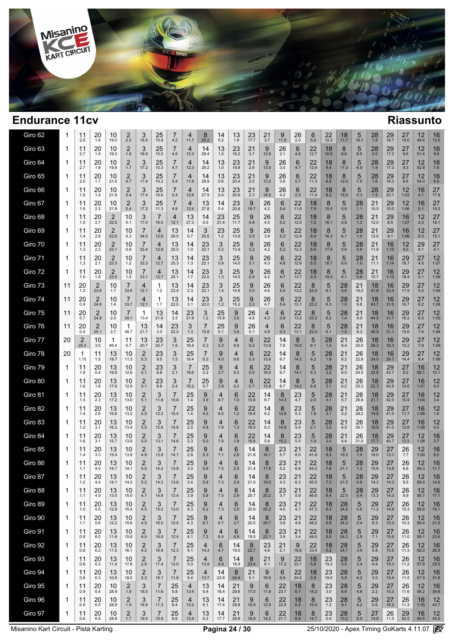

 $\overline{a}$  $\overline{\phantom{a}}$ 

| Giro 62 | 1  | 11<br>2.9 | 20<br>1.6 | 10<br>19.0             | 2<br>2.2    | 3<br>16.5              | 25<br>10.9             | $\prime$<br>4.2        | 4<br>11.7   | 8<br>25.2  | 14<br>5.2       | 13<br>1.9  | 23<br>17.7 | 21<br>3.7  | 9<br>11.8    | 26<br>2.0  | 6<br>5.0   | 22<br>12.3       | 18<br>11.7      | 5<br>16.1     | 28<br>1.8     | 29<br>16.7     | 27<br>10.0 | 12<br>49.4  | 16<br>13.0                |
|---------|----|-----------|-----------|------------------------|-------------|------------------------|------------------------|------------------------|-------------|------------|-----------------|------------|------------|------------|--------------|------------|------------|------------------|-----------------|---------------|---------------|----------------|------------|-------------|---------------------------|
| Giro 63 | -1 | 11<br>2.7 | 20<br>1.9 | 10<br>19.3             | 2<br>1.9    | 3<br>16.9              | 25<br>10.5             | 7<br>4.5               | 4<br>12.3   | 14<br>29.4 | 13<br>1.5       | 23<br>18.2 | 21<br>3.7  | 9<br>12.6  | 26<br>2.1    | 6<br>4.9   | 22<br>12.7 | 18<br>10.6       | 8<br>8.6        | 5<br>8.5      | 28<br>2.0     | 29<br>17.2     | 27<br>9.6  | 12<br>51.4  | 16<br>9.8                 |
| Giro 64 | 1  | 11<br>2.7 | 20<br>1.8 | 10<br>19.8             | 2<br>1.7    | 3<br>17.2              | 25<br>10.3             | 7<br>4.7               | 4<br>12.3   | 14<br>29.2 | 13<br>1.0       | 23<br>19.8 | 21<br>2.6  | 9<br>13.0  | 26<br>3.0    | 6<br>4.7   | 22<br>12.9 | 18<br>9.4        | 8<br>11.3       | 5<br>6.9      | 28<br>1.9     | 29<br>17.3     | 27<br>9.3  | 12<br>52.9  | 16<br>7.8                 |
| Giro 65 | 1  | 11<br>2.0 | 20<br>1.7 | 10<br>21.0             | 2<br>0.7    | 3<br>17.4              | 25<br>10.2             | 7<br>5.4               | 4<br>11.9   | 14<br>28.9 | 13<br>0.6       | 23<br>20.4 | 21<br>2.5  | 9<br>13.2  | 26<br>3.9    | 6<br>5.7   | 22<br>11.3 | 18<br>8.8        | 8<br>12.5       | 5<br>7.0      | 28<br>1.6     | 29<br>18.3     | 27<br>8.6  | 12<br>54.0  | 16<br>6.9                 |
| Giro 66 | 1  | 11<br>1.9 | 20<br>1.4 | 10<br>21.9             | 2<br>0.4    | 3<br>17.4              | 25<br>10.6             | 7<br>5.4               | 4<br>12.6   | 14<br>27.9 | 13<br>0.4       | 23<br>20.6 | 21<br>2.3  | 9<br>14.0  | 26<br>4.2    | 6<br>5.3   | 22<br>11.4 | 18<br>8.2        | 8<br>15.0       | 5<br>5.3      | 28<br>1.5     | 29<br>20.1     | 12<br>1:03 | 16<br>4.1   | 27<br>17.9                |
| Giro 67 | 1  | 11<br>1.5 | 20<br>2.3 | 10<br>21.9             | 2<br>0.4    | 3<br>17.2              | 25<br>11.3             | 7<br>4.8               | 4<br>12.4   | 13<br>27.8 | 14<br>0.4       | 23<br>20.8 | 9<br>16.7  | 26<br>4.2  | 6<br>5.4     | 22<br>11.6 | 18<br>7.9  | 8<br>15.5        | 5<br>5.8        | 28<br>1.1     | 21<br>10.5    | 29<br>10.0     | 12<br>1:06 | 16<br>0.1   | 27<br>19.2                |
| Giro 68 | 1  | 11<br>1.5 | 20<br>2.7 | 2<br>22.5              | 10<br>0.1   | 3<br>17.0              | 7<br>16.5              | 4<br>12.1              | 13<br>27.3  | 14<br>0.5  | 23<br>21.4      | 25<br>11.7 | 9<br>4.8   | 26<br>4.5  | 6<br>5.2     | 22<br>12.0 | 18<br>7.2  | 8<br>16.1        | 5<br>5.8        | 28<br>$1.2$   | 21<br>12.0    | 29<br>8.5      | 16<br>1:07 | 12<br>2.0   | 27<br>18.1                |
| Giro 69 | 1  | 11<br>1.4 | 20<br>2.8 | 2<br>22.6              | 10<br>0.3   | $\overline{7}$<br>34.0 | $\overline{4}$<br>12.6 | 13<br>26.0             | 14<br>0.7   | 3<br>20.5  | 23<br>$1.2$     | 25<br>13.9 | 9<br>3.5   | 26<br>3.9  | 6<br>5.3     | 22<br>12.4 | 18<br>6.9  | 8<br>16.3        | 5<br>6.1        | 28<br>1.0     | 21<br>12.0    | 29<br>9.1      | 16<br>1:06 | 12<br>6.5   | 27<br>15.1                |
| Giro 70 | 1  | 11<br>1.3 | 20<br>2.3 | $\overline{2}$<br>23.1 | 10<br>0.9   | 7<br>33.4              | 4<br>12.9              | 13<br>25.5             | 14<br>1.0   | 23<br>22.1 | 3<br>0.2        | 25<br>13.9 | 9<br>3.2   | 26<br>4.2  | 6<br>5.2     | 22<br>12.3 | 18<br>6.6  | 8<br>17.9        | 5<br>5.6        | 28<br>0.8     | 21<br>11.8    | 16<br>1:15     | 12<br>9.0  | 29<br>9.1   | 27<br>4.1                 |
| Giro 71 | 1  | 11<br>1.3 | 20<br>2.1 | 2<br>23.3              | 10<br>$1.2$ | 7<br>33.3              | 4<br>12.7              | 13<br>25.3             | 14<br>1.3   | 23<br>22.1 | 3<br>0.9        | 25<br>14.0 | 9<br>3.1   | 26<br>4.3  | 6<br>4.8     | 22<br>12.9 | 18<br>5.5  | 8<br>18.7        | 5<br>6.0        | 28<br>1.0     | 21<br>11.1    | 16<br>1:14     | 29<br>18.7 | 27<br>$4.0$ | 12<br>1:07                |
| Giro 72 | 1  | 11<br>1.0 | 20<br>1.9 | 2<br>23.5              | 10<br>1.5   | 7<br>33.1              | 4<br>12.7              | 13<br>25.1             | 14<br>1.7   | 23<br>22.0 | 3<br>1.3        | 25<br>14.5 | 9<br>2.9   | 26<br>4.2  | 6<br>4.7     | 22<br>13.7 | 18<br>4.3  | 8<br>19.3        | 5<br>6.1        | 28<br>0.8     | 21<br>10.7    | 16<br>1:15     | 29<br>18.4 | 27<br>5.1   | $12 \overline{ }$<br>1:09 |
| Giro 73 | 11 | 20<br>1.2 | 2<br>23.8 | 10<br>1.7              | 7<br>33.6   | 4<br>12.1              | 1<br>$1.2$             | 13<br>23.4             | 14<br>2.3   | 23<br>22.1 | 3<br>1.4        | 25<br>14.8 | 9<br>3.0   | 26<br>4.6  | 6<br>5.4     | 22<br>13.2 | 8<br>23.3  | 5<br>6.1         | 28<br>0.8       | 21<br>10.2    | 18<br>41.8    | 16<br>33.4     | 29<br>17.9 | 27<br>5.5   | $12 \overline{ }$<br>1:09 |
| Giro 74 | 11 | 20<br>0.9 | 2<br>24.6 | 10<br>1.4              | 7<br>33.7   | 4<br>12.1              | 1<br>1.7               | 13<br>22.0             | 14<br>3.1   | 23<br>22.0 | 3<br>1.2        | 25<br>15.2 | 9<br>3.3   | 26<br>4.7  | 6<br>5.4     | 22<br>13.1 | 8<br>23.2  | 5<br>6.3         | 28<br>1.0       | 21<br>9.8     | 18<br>43.7    | 16<br>31.9     | 29<br>16.7 | 27<br>6.2   | 12<br>1:09                |
| Giro 75 | 11 | 20<br>0.7 | 2<br>24.8 | 10<br>2.0              | 7<br>34.1   | 1<br>13.4              | 13<br>21.6             | 14<br>3.3              | 23<br>21.9  | 3<br>$1.2$ | 25<br>15.8      | 9<br>3.5   | 26<br>4.8  | 4<br>4.3   | 6<br>0.8     | 22<br>13.2 | 8<br>23.2  | 5<br>6.2         | 28<br>1.4       | 21<br>9.0     | 18<br>44.5    | 16<br>31.7     | 29<br>16.2 | 27<br>6.5   | 12<br>1:09                |
| Giro 76 | 11 | 20<br>0.4 | 2<br>25.1 | 10<br>2.7              | 1<br>46.7   | 13<br>21.7             | 14<br>3.3              | 23<br>22.0             | 3<br>1.3    | 7<br>15.8  | 25<br>0.1       | 9<br>3.6   | 26<br>5.1  | 4<br>4.9   | 6<br>0.3     | 22<br>13.1 | 8<br>23.3  | 5<br>6.1         | 28<br>1.5       | 21<br>8.3     | 18<br>45.9    | 16<br>31.1     | 29<br>15.6 | 27<br>7.6   | $12 \overline{ }$<br>1:08 |
| Giro 77 | 20 | 2<br>25.5 | 10<br>3.0 | 1<br>46.4              | 11<br>0.7   | 13<br>20.7             | 23<br>25.7             | 3<br>1.5               | 25<br>16.4  | 7<br>0.3   | 9<br>3.3        | 4<br>9.9   | 6<br>0.2   | 22<br>13.9 | 14<br>7.6    | 8<br>15.0  | 5<br>6.1   | 28<br>1.5        | 21<br>8.4       | 26<br>20.0    | 18<br>26.3    | 16<br>30.3     | 29<br>15.2 | 27<br>7.9   | $12 \overline{ }$<br>1:09 |
| Giro 78 | 20 | 1<br>1:15 | 11<br>1.5 | 13<br>19.7             | 10<br>11.3  | 2<br>5.3               | 23<br>9.5              | 3<br>1.5               | 25<br>16.4  | 0.3        | 9<br>4.0        | 4<br>9.6   | 6<br>0.3   | 22<br>15.6 | 14<br>6.7    | 8<br>14.3  | 5<br>6.2   | 28<br>1.8        | 21<br>8.2       | 26<br>22.8    | 18<br>24.0    | 16<br>29.7     | 29<br>14.4 | 27<br>8.4   | 12<br>1:09                |
| Giro 79 | 1  | 11<br>1.9 | 20<br>0.4 | 13<br>18.8             | 10<br>12.6  | $\overline{c}$<br>5.1  | 23<br>8.8              | 3<br>2.1               | 7<br>16.6   | 25<br>0.2  | $\frac{9}{3.7}$ | 4<br>9.3   | 6<br>0.5   | 22<br>16.0 | 14<br>6.7    | 8<br>14.1  | 5<br>6.3   | $\frac{28}{3.2}$ | 21<br>6.5       | 26<br>24.5    | 18<br>22.8    | 29<br>43.7     | 27<br>9.2  | 16<br>58.1  | 12<br>10.1                |
| Giro 80 | 1  | 11<br>1.6 | 20<br>1.8 | 13<br>17.6             | 10<br>12.9  | $\overline{2}$<br>5.1  | 23<br>8.8              | 3<br>2.4               | 7<br>16.2   | 25<br>0.7  | 9<br>3.9        | 4<br>9.2   | 6<br>0.7   | 22<br>15.8 | 14<br>6.7    | 8<br>14.2  | 5<br>6.8   | 28<br>3.1        | 21<br>6.2       | 26<br>25.3    | 18<br>22.3    | 29<br>42.8     | 27<br>10.6 | 16<br>1:01  | 12<br>6.0                 |
| Giro 81 | 1  | 11<br>1.3 | 20<br>2.3 | 13<br>17.2             | 10<br>13.0  | $\overline{2}$<br>5.1  | 3<br>11.8              | 7<br>15.8              | 25<br>1.4   | 9<br>3.9   | 4<br>8.7        | 6<br>1.0   | 22<br>15.8 | 14<br>6.7  | 8<br>14.3    | 23<br>4.7  | 5<br>2.0   | 28<br>3.1        | 21<br>5.7       | 26<br>26.8    | 18<br>21.1    | 29<br>42.0     | 27<br>10.9 | 16<br>1:04  | 12<br>3.4                 |
| Giro 82 | 1  | 11<br>1.4 | 20<br>2.6 | 13<br>16.8             | 10<br>13.2  | 2<br>$5.0$             | 3<br>12.2              | 15.4                   | 25<br>1.4   | 9<br>4.5   | 4<br>8.5        | 6<br>1.2   | 22<br>16.4 | 14<br>6.2  | 8<br>14.8    | 23<br>5.3  | 5<br>1.8   | 28<br>3.1        | 21<br>5.2       | 26<br>28.2    | 18<br>19.8    | 29<br>41.5     | 27<br>11.7 | 16<br>1:06  | 12<br>1.6                 |
| Giro 83 | 1  | 11<br>1.2 | 20<br>3.1 | 13<br>16.2             | 10<br>13.4  | 2<br>$5.0$             | 3<br>12.8              | 7<br>14.9              | 25<br>2.0   | 9<br>4.8   | 4<br>7.9        | 6<br>1.3   | 22<br>16.5 | 14<br>6.3  | 8<br>14.8    | 23<br>5.4  | 5<br>2.1   | 28<br>3.0        | 21<br>4.5       | 26<br>30.1    | 18<br>18.8    | 29<br>41.0     | 27<br>12.6 | 16<br>1:08  | 12<br>0.0                 |
| Giro 84 | 1  | 11<br>1.6 | 20<br>3.1 | 13<br>15.7             | 10<br>13.9  | $\overline{2}$<br>5.0  | 3<br>13.1              | 7<br>14.6              | 25<br>2.3   | 9<br>5.0   | 4<br>7.6        | 6<br>1.8   | 22<br>16.6 | 14<br>5.8  | 8<br>15.2    | 23<br>5.5  | 5<br>1.9   | 28<br>3.0        | 21<br>4.4       | 26<br>31.5    | 18<br>17.7    | 29<br>40.7     | 27<br>12.5 | 12<br>1:08  | 16<br>3.7                 |
| Giro 85 | 1  | 11<br>1.4 | 20<br>3.3 | 13<br>15.4             | 10<br>13.9  | 2<br>4.9               | 3<br>13.8              | 7<br>14.1              | 25<br>2.8   | 9<br>5.3   | 4<br>7.1        | 6<br>2.8   | 14<br>21.8 | 8<br>16.1  | 23<br>5.7    | 21<br>8.0  | 22<br>41.8 | 18<br>9.3        | 5<br>19.2       | 28<br>1.4     | 29<br>18.0    | 27<br>13.1     | 26<br>7.7  | 12<br>1:00  | 16<br>8.5                 |
| Giro 86 | 1  | 11<br>1.1 | 20<br>4.0 | 13<br>14.7             | 10<br>14.1  | 2<br>5.0               | 3<br>14.2              | 13.9                   | 25<br>3.0   | 9<br>5.6   | 4<br>7.5        | 6<br>2.5   | 14<br>21.4 | 8<br>17.6  | 23<br>5.2    | 21<br>6.8  | 22<br>44.2 | 18<br>7.6        | 5<br>21.1       | 28<br>$1.2$   | 29<br>15.6    | 27<br>13.8     | 26<br>8.8  | 12<br>59.3  | 16<br>11.7                |
| Giro 87 | 1  | 11<br>1.2 | 20<br>4.4 | 13<br>14.1             | 10<br>14.3  | 2<br>5.2               | 3<br>14.3              | 13.6                   | 25<br>$3.4$ | 9<br>5.8   | 4<br>7.3        | 6<br>2.9   | 14<br>21.0 | 8<br>19.0  | 23<br>$4.3$  | 21<br>6.3  | 22<br>45.5 | $\frac{18}{7.3}$ | 5<br>21.5       | 28<br>$0.8\,$ | 29<br>14.3    | 27<br>14.3     | 26<br>9.5  | 12<br>59.0  | 16<br>14.6                |
| Giro 88 | -1 | 11<br>1.1 | 20<br>4.9 | 13<br>13.5             | 10<br>15.0  | $\overline{2}$<br>4.7  | 3<br>14.8              | 7<br>13.4              | 25<br>3.9   | 9<br>5.8   | 4<br>7.5        | 6<br>2.9   | 14<br>20.7 | 8<br>20.2  | 23<br>3.7    | 21<br>5.9  | 22<br>46.6 | 18<br>6.4        | 5<br>22.5       | 28<br>0.4     | 29<br>13.3    | 27<br>14.3     | 26<br>9.9  | 12<br>58.7  | 16<br>17.1                |
| Giro 89 | 1  | 11<br>1.0 | 20<br>5.5 | 13<br>12.9             | 10<br>15.4  | $\overline{2}$<br>4.5  | 3<br>15.2              | 7<br>13.0              | 25<br>4.3   | 9<br>6.2   | 4<br>7.3        | 6<br>3.0   | 14<br>20.9 | 8<br>20.2  | 23<br>4.0    | 21<br>4.7  | 22<br>47.3 | 18<br>6.3        | 28<br>24.0      | 5<br>0.5      | 29<br>11.2    | 27<br>14.8     | 26<br>10.3 | 12<br>58.6  | 16<br>19.1                |
| Giro 90 | 1  | 11<br>1.1 | 20<br>5.6 | 13<br>12.2             | 10<br>15.6  | $\overline{2}$<br>4.5  | 3<br>16.0              | $\overline{7}$<br>12.5 | 25<br>4.3   | 9<br>6.7   | 4<br>6.7        | 6<br>3.7   | 14<br>20.5 | 8<br>20.7  | 23<br>3.8    | 21<br>4.8  | 22<br>48.2 | 18<br>5.8        | 28<br>24.2      | 5<br>2.4      | 29<br>8.3     | 27<br>15.3     | 26<br>10.3 | 12<br>58.4  | 16<br>21.5                |
| Giro 91 | 1  | 11<br>0.9 | 20<br>6.0 | 13<br>11.8             | 10<br>15.8  | $\overline{2}$<br>4.5  | 3<br>16.6              | 7<br>12.4              | 25<br>4.1   | 9<br>7.2   | 4<br>6.4        | 6<br>4.8   | 14<br>19.5 | 8<br>22.1  | 23<br>3.9    | 21<br>3.4  | 22<br>49.0 | 18<br>$5.5\,$    | 28<br>24.2      | 5<br>2.9      | 29<br>7.1     | 27<br>15.6     | 26<br>11.0 | 12<br>58.1  | 16<br>23.6                |
| Giro 92 | 1  | 11<br>0.8 | 20<br>6.2 | 13<br>11.5             | 10<br>16.1  | $\overline{2}$<br>4.2  | 3<br>16.9              | 7<br>12.3              | 25<br>4.1   | 4<br>14.3  | 6<br>4.7        | 14<br>19.0 | 8<br>22.7  | 23<br>4.6  | 21<br>2.1    | 9<br>16.6  | 22<br>33.4 | 18<br>5.2        | 28<br>24.7      | 5<br>3.0      | 29<br>5.8     | 27<br>15.5     | 26<br>11.3 | 12<br>58.0  | 16<br>26.9                |
| Giro 93 | 1  | 11<br>0.6 | 20<br>6.3 | 13<br>11.4             | 10<br>17.6  | 2<br>2.6               | 3<br>17.4              | 7<br>12.0              | 25<br>5.0   | 4<br>13.9  | 6<br>4.9        | 14<br>18.8 | 8<br>23.4  | 21<br>6.1  | 9<br>17.2    | 22<br>33.1 | 18<br>5.8  | 23<br>19.3       | $^{28}_{\,5.5}$ | 5<br>3.4      | 29<br>4.9     | 27<br>15.3     | 26<br>11.2 | 12<br>57.8  | 16<br>29.5                |
| Giro 94 | 1  | 11<br>0.8 | 20<br>6.3 | 13<br>10.8             | 10<br>18.0  | $\overline{2}$<br>2.3  | 3<br>18.1              | 7<br>11.6              | 25<br>5.4   | 4<br>13.7  | 14<br>23.8      | 8<br>24.4  | 21<br>5.1  | 9<br>16.9  | 6<br>9.9     | 22<br>24.5 | 18<br>5.9  | 23<br>19.0       | 28<br>5.8       | 5<br>4.2      | 29<br>3.0     | 27<br>15.4     | 26<br>11.5 | 12<br>57.9  | 16<br>31.6                |
| Giro 95 | 1  | 11<br>0.9 | 20<br>6.4 | 10<br>28.9             | 2<br>1.9    | 3<br>18.5              | 7<br>11.6              | 25<br>5.8              | 4<br>13.4   | 13<br>5.4  | 14<br>18.4      | 21<br>29.6 | 9<br>17.0  | 6<br>11.8  | 22<br>23.7   | 18<br>6.1  | 8<br>14.2  | 23<br>3.0        | 28<br>6.8       | 5<br>4.8      | $^{29}_{2.2}$ | 27<br>15.3     | 26<br>11.6 | 12<br>58.2  | 16<br>34.6                |
| Giro 96 | 1  | 11<br>0.9 | 20<br>6.5 | 10<br>28.9             | 2<br>1.9    | 3<br>18.9              | 7<br>11.3              | 25<br>6.4              | 4<br>13.2   | 13<br>6.1  | 14<br>17.4      | 21<br>29.8 | 9<br>16.9  | 6<br>12.9  | 22<br>22.8   | 18<br>6.5  | 8<br>15.0  | 23<br>1.2        | 28<br>9.1       | 5<br>4.2      | 29<br>0.6     | 27<br>16.2     | 26<br>11.3 | 16<br>1:35  | 12<br>43.7                |
| Giro 97 | 1  | 11<br>0.6 | 20<br>6.9 | 10<br>28.9             | 2<br>1.7    | 3<br>19.4              | 7<br>10.9              | 25<br>6.6              | 4<br>13.4   | 13<br>6.2  | 14<br>17.7      | 21<br>29.6 | 9<br>16.9  | 6<br>14.2  | $22$<br>21.7 | 18<br>6.9  | 8<br>14.7  | $^{23}_{0.4}$    | 28<br>10.2      | 5<br>6.0      | 27<br>14.8    | $^{26}_{11.5}$ | 29<br>52.5 | 16<br>44.5  | 12<br>45.5                |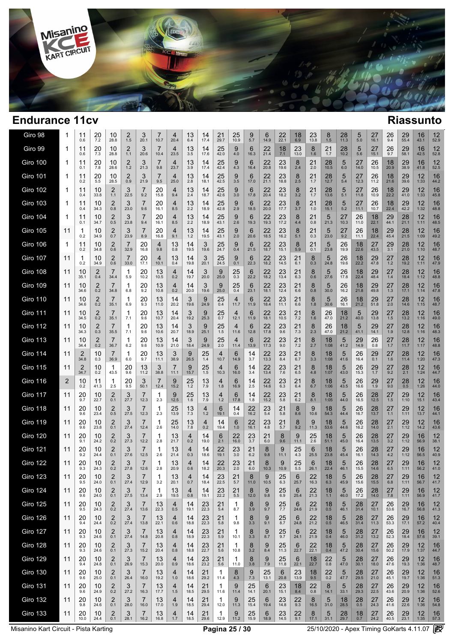

| Giro 98         | 1           | 11<br>0.6     | 20<br>7.2  | 10<br>28.8            | 2<br>1.5   | 3<br>20.1              | 10.7       | 4<br>20.4  | 13<br>6.4  | 14<br>17.4 | 21<br>29.7        | 25<br>10.9      | 9<br>5.7   | 6<br>14.9  | 22<br>22.1          | 18<br>6.9  | 23<br>13.8 | 8<br>1.5      | 28<br>11.3           | 5<br>5.0             | 27<br>16.1           | 26<br>9.4      | 29<br>55.4           | 16<br>43.1 | 12<br>52.9                |
|-----------------|-------------|---------------|------------|-----------------------|------------|------------------------|------------|------------|------------|------------|-------------------|-----------------|------------|------------|---------------------|------------|------------|---------------|----------------------|----------------------|----------------------|----------------|----------------------|------------|---------------------------|
| Giro 99         | 1           | 11<br>0.6     | 20<br>7.3  | 10<br>28.8            | 2<br>1.1   | 3<br>20.6              | 7<br>10.4  | 4<br>23.5  | 13<br>3.5  | 14<br>17.6 | 25<br>42.0        | 9<br>4.0        | 6<br>16.3  | 22<br>21.4 | 18<br>7.1           | 23<br>13.0 | 8<br>1.6   | 21<br>1.7     | 28<br>10.2           | 5<br>5.6             | 27<br>15.1           | 26<br>9.7      | 29<br>58.1           | 16<br>42.5 | 12<br>52.8                |
| Giro 100        | 1           | 11<br>0.1     | 20<br>7.8  | 10<br>28.6            | 2<br>$1.2$ | 3<br>21.3              | 7<br>9.8   | 4<br>23.7  | 13<br>3.9  | 14<br>17.4 | 25<br>42.4        | 9<br>4.3        | 6<br>16.4  | 22<br>20.8 | 23<br>19.6          | 8<br>2.4   | 21<br>2.0  | 28<br>10.5    | 5<br>6.0             | 27<br>14.0           | 26<br>10.5           | 18<br>20.9     | 29<br>38.9           | 16<br>41.8 | 12<br>52.5                |
| <b>Giro 101</b> | 1           | 11<br>0.2     | 20<br>5.5  | 10<br>28.5            | 2<br>0.9   | 3<br>21.9              | 7<br>9.5   | 4<br>25.0  | 13<br>2.8  | 14<br>18.1 | 25<br>42.5        | 9<br>3.5        | 6<br>17.0  | 22<br>21.1 | 23<br>18.8          | 8<br>2.5   | 21<br>1.7  | 28<br>12.7    | 5<br>5.4             | 27<br>12.3           | 26<br>11.2           | 18<br>21.6     | 29<br>39.6           | 12<br>1:33 | 16<br>44.2                |
| <b>Giro 102</b> | -1          | 11<br>0.4     | 10<br>33.8 | 2<br>1.1              | 3<br>22.5  | 7<br>9.2               | 20<br>15.8 | 4<br>9.4   | 13<br>2.4  | 14<br>18.7 | 25<br>42.6        | 9<br>3.0        | 6<br>17.8  | 22<br>20.4 | 23<br>18.2          | 8<br>3.2   | 21<br>1.7  | 28<br>13.6    | 5<br>5.1             | 27<br>11.8           | 26<br>10.9           | 18<br>22.2     | 29<br>41.0           | 12<br>1:33 | 16<br>45.8                |
| <b>Giro 103</b> | 1           | 11<br>0.4     | 10<br>34.3 | 2<br>0.8              | 3<br>23.0  | 7<br>9.6               | 20<br>16.1 | 4<br>8.5   | 13<br>2.2  | 14<br>18.9 | 25<br>42.8        | 9<br>2.9        | 6<br>18.5  | 22<br>20.0 | 23<br>17.7          | 8<br>3.7   | 21<br>1.0  | 28<br>15.1    | 5<br>5.2             | 27<br>11.1           | 26<br>10.7           | 18<br>22.4     | 29<br>42.2           | 12<br>1:32 | 16<br>48.8                |
| <b>Giro 104</b> | 1           | 11<br>0.1     | 10<br>34.7 | $\overline{2}$<br>0.5 | 3<br>23.8  | $\overline{7}$<br>9.4  | 20<br>16.1 | 4<br>8.5   | 13<br>2.2  | 14<br>18.9 | 25<br>43.1        | 9<br>2.6        | 6<br>19.3  | 22<br>19.3 | 23<br>17.2          | 8<br>4.4   | 21<br>0.8  | 5<br>21.3     | 27<br>10.3           | 26<br>11.0           | 18<br>22.1           | 29<br>44.1     | 28<br>21.1           | 12<br>1:11 | 16<br>48.5                |
| <b>Giro 105</b> | 11          | 1<br>0.2      | 10<br>34.9 | 2<br>0.7              | 3<br>23.9  | 7<br>8.9               | 20<br>16.8 | 4<br>9.1   | 13<br>1.2  | 14<br>19.5 | 25<br>43.1        | 9<br>2.0        | 6<br>20.6  | 22<br>18.5 | 23<br>16.2          | 8<br>5.1   | 21<br>0.3  | 5<br>23.0     | 27<br>9.2            | 26<br>11.1           | 18<br>22.4           | 29<br>45.4     | 28<br>21.5           | 12<br>1:09 | 16<br>49.2                |
| <b>Giro 106</b> | $\mathbf 1$ | 11<br>0.2     | 10<br>34.8 | 2<br>0.6              | 7<br>32.9  | 20<br>16.8             | 4<br>9.8   | 13<br>0.8  | 14<br>19.5 | 3<br>19.6  | 25<br>24.7        | 9<br>0.4        | 6<br>21.5  | 22<br>18.7 | 23<br>15.1          | 8<br>5.9   | 21<br>0.1  | 5<br>23.8     | 26<br>19.9           | 18<br>22.6           | 27<br>43.5           | 29<br>3.1      | 28<br>21.0           | 12<br>1:10 | 16<br>48.7                |
| <b>Giro 107</b> | 11          | 1<br>0.2      | 10<br>34.9 | 2<br>0.6              | 7<br>33.0  | 20<br>17.1             | 4<br>10.1  | 13<br>0.4  | 14<br>19.8 | 3<br>20.1  | 25<br>24.5        | 9<br>0.1        | 6<br>22.3  | 22<br>18.2 | 23<br>14.5          | 21<br>6.1  | 8<br>0.3   | 5<br>24.8     | 26<br>19.6           | 18<br>22.2           | 29<br>47.8           | $27 \atop 1.2$ | 28<br>19.2           | 12<br>1:11 | 16<br>47.9                |
| <b>Giro 108</b> | 11          | 10<br>35.1    | 2<br>0.4   | 7<br>34.4             | 1<br>5.9   | 20<br>10.2             | 13<br>10.5 | 4<br>0.2   | 14<br>19.7 | 3<br>20.0  | 9<br>25.0         | 25<br>0.3       | 6<br>22.2  | 22<br>18.2 | 23<br>13.4          | 21<br>6.3  | 8<br>0.6   | 5<br>27.6     | 26<br>17.8           | 18<br>22.4           | 29<br>48.4           | 27<br>1.4      | 28<br>18.4           | 12<br>1:12 | 16<br>48.8                |
| <b>Giro 109</b> | 11          | 10<br>34.6    | 2<br>0.2   | 7<br>34.8             | 1<br>6.8   | 20<br>9.2              | 13<br>10.8 | 4<br>0.2   | 14<br>20.0 | 3<br>19.6  | 9<br>25.0         | 25<br>0.4       | 6<br>23.1  | 22<br>18.1 | 23<br>12.4          | 21<br>6.6  | 8<br>0.8   | 5<br>30.0     | 26<br>16.2           | 18<br>21.8           | 29<br>49.8           | 27<br>1.3      | 28<br>17.1           | 12<br>1:14 | 16<br>47.8                |
| <b>Giro 110</b> | 11          | 10<br>34.6    | 2<br>0.2   | 7<br>35.1             | 1<br>6.9   | 20<br>9.3              | 13<br>11.0 | 14<br>20.2 | 3<br>19.6  | 9<br>24.9  | 25<br>0.4         | 4<br>11.7       | 6<br>11.9  | 22<br>18.4 | 23<br>11.1          | 21<br>6.6  | 8<br>1.8   | 5<br>30.6     | 26<br>16.1           | 18<br>21.2           | 29<br>51.8           | 27<br>2.0      | 28<br>14.6           | 12<br>1:15 | 16<br>48.7                |
| <b>Giro 111</b> | 11          | 10<br>34.5    | 2<br>0.2   | 7<br>35.1             | 1<br>7.1   | 20<br>9.6              | 13<br>10.7 | 14<br>20.4 | 3<br>19.2  | 9<br>25.3  | 25<br>0.7         | 4<br>12.1       | 6<br>11.9  | 22<br>18.1 | 23<br>10.5          | 21<br>7.2  | 8<br>1.6   | 26<br>47.0    | 18<br>21.2           | 5<br>40.0            | 29<br>13.8           | 27<br>1.5      | 28<br>13.2           | 12<br>1:16 | 16<br>49.0                |
| <b>Giro 112</b> | 11          | 10<br>34.3    | 2<br>0.3   | 7<br>35.5             | 1<br>7.1   | 20<br>9.6              | 13<br>10.6 | 14<br>20.7 | 3<br>18.9  | 9<br>25.1  | 25<br>1.5         | 4<br>11.6       | 6<br>12.8  | 22<br>17.8 | 23<br>9.6           | 21<br>7.3  | 8<br>2.3   | 26<br>47.0    | 18<br>21.2           | 5<br>41.1            | 29<br>14.1           | 27<br>1.9      | 28<br>12.8           | 12<br>1:16 | 16<br>48.3                |
| <b>Giro 113</b> | 11          | 10<br>34.4    | 2<br>0.2   | 7<br>36.7             | 1<br>6.2   | 20<br>9.6              | 13<br>10.9 | 14<br>21.0 | 3<br>18.4  | 9<br>24.9  | 25<br>2.0         | 4<br>11.4       | 6<br>13.9  | 22<br>17.3 | 23<br>9.0           | 21<br>7.2  | 8<br>2.7   | 18<br>1:08    | 5<br>41.2            | 29<br>14.9           | 26<br>0.8            | 27<br>1.7      | 28<br>11.7           | 12<br>1:17 | 16<br>48.8                |
| <b>Giro 114</b> | 11          | 2<br>34.8     | 10<br>0.3  | 7<br>36.9             | 1<br>6.0   | 20<br>9.7              | 13<br>11.1 | 3<br>38.9  | 9<br>26.5  | 25<br>1.4  | 4<br>10.7         | 6<br>14.9       | 14<br>3.7  | 22<br>13.3 | 23<br>8.4           | 21<br>6.7  | 8<br>3.3   | 18<br>1:08    | 5<br>41.6            | 26<br>16.4           | 29<br>0.1            | 27<br>1.6      | 28<br>11.4           | 12<br>1:20 | 16<br>47.3                |
| <b>Giro 115</b> | 11          | 2<br>34.7     | 10<br>0.2  | 1<br>43.5             | 20<br>9.6  | 13<br>11.2             | 3<br>38.8  | 7<br>11.1  | 9<br>15.7  | 25<br>1.5  | 4<br>10.3         | 6<br>16.0       | 14<br>3.4  | 22<br>13.4 | 23<br>7.6           | 21<br>6.5  | 8<br>4.8   | 18<br>1:07    | 5<br>43.0            | 26<br>15.3           | 29<br>$1.7$          | 27<br>9.2      | 28<br>2.1            | 12<br>1:24 | 16<br>44.7                |
| <b>Giro 116</b> | 2           | 10<br>0.2     | 11<br>41.3 | 1<br>2.5              | 20<br>9.5  | 3<br>50.1              | 7<br>12.4  | 9<br>15.2  | 25<br>1.2  | 13<br>7.9  | 4<br>1.8          | 6<br>16.9       | 14<br>2.5  | 22<br>14.6 | 23<br>6.3           | 21<br>6.4  | 8<br>6.7   | 18<br>1:06    | 5<br>43.5            | 26<br>16.6           | 29<br>1.9            | 27<br>9.0      | 28<br>0.5            | 12<br>1:26 | 16<br>44.0                |
| <b>Giro 117</b> | 11          | 20<br>9.7     | 10<br>22.7 | $\overline{2}$<br>0.1 | 3<br>27.7  | $\overline{7}$<br>12.3 | 1<br>2.3   | 9<br>12.5  | 25<br>1.6  | 13<br>7.9  | 4<br>$1.2$        | 6<br>17.8       | 14<br>1.8  | 22<br>15.2 | 23<br>5.8           | 21<br>6.2  | 8<br>8.1   | 18<br>1:05    | 5<br>44.0            | 26<br>16.5           | 28<br>12.5           | 27<br>1.5      | 29<br>1:10           | 12<br>15.1 | 16<br>43.4                |
| <b>Giro 118</b> | 11          | 20<br>9.6     | 10<br>23.4 | $_{0.5}^{2}$          | 3<br>27.5  | 7<br>12.3              | 1<br>2.3   | 25<br>13.9 | 13<br>7.3  | 4<br>1.2   | 6<br>19.1         | 14<br>0.4       | 22<br>16.2 | 23<br>5.4  | 21<br>5.8           | 8<br>8.6   | 9<br>10.6  | 18<br>54.3    | 5<br>44.4            | 26<br>16.7           | $28$ <sub>13.7</sub> | 27<br>1.1      | 29<br>1:11           | 12<br>13.7 | 16<br>44.1                |
| <b>Giro 119</b> | 11          | 20<br>9.6     | 10<br>23.8 | $^{2}_{0.1}$          | 3<br>27.4  | 7<br>12.4              | 1<br>2.6   | 25<br>14.0 | 13<br>7.8  | 4<br>0.2   | 14<br>19.4        | 6<br>1.0        | 22<br>16.1 | 23<br>4.8  | 21<br>5.7           | 8<br>9.2   | 9<br>11.3  | 18<br>53.6    | 5<br>44.6            | 26<br>16.2           | 28<br>14.0           | $27 \n2.1$     | 29<br>1:12           | 12<br>14.2 | 16<br>43.6                |
| <b>Giro 120</b> | 11          | 20<br>9.1     | 10<br>24.2 | $\overline{2}$<br>0.2 | 3<br>27.3  | 7<br>12.2              | 1<br>2.8   | 13<br>21.7 | 4<br>0.2   | 14<br>19.0 | 6<br>2.1          | 22<br>16.0      | 23<br>3.7  | 21<br>6.0  | 8<br>9.6            | 9<br>11.1  | 25<br>2.6  | 18<br>51.1    | 5<br>45.0            | 26<br>16.4           | 28<br>13.5           | 27<br>3.2      | 29<br>1:12           | 16<br>56.9 | $12 \overline{ }$<br>38.1 |
| <b>Giro 121</b> | 11          | 20<br>9.2     | 10<br>24.4 | 2<br>0.1              | 3<br>27.6  | 7<br>12.5              | 1<br>2.6   | 13<br>21.4 | 4<br>0.3   | 14<br>18.6 | 22<br>19.1        | 23<br>3.0       | 21<br>6.2  | 8<br>9.8   | 9<br>11.1           | 25<br>4.3  | 6<br>25.5  | 18<br>23.8    | 5<br>45.4            | 26<br>16.1           | 28<br>14.3           | 27<br>4.2      | 29<br>1:12           | 16<br>56.5 | 12<br>40.9                |
| <b>Giro 122</b> | 11          | 20<br>9.3     | 10<br>24.3 | $\overline{2}$<br>0.2 | 3<br>27.8  | 12.6                   | 1<br>2.8   | 13<br>20.9 | 4<br>0.6   | 14<br>18.2 | 22<br>20.3        | 23<br>2.0       | 21<br>6.0  | 8<br>10.3  | 9<br>10.9           | 25<br>5.5  | 6<br>26.1  | 18<br>22.4    | 5<br>46.1            | 26<br>15.5           | 28<br>14.6           | 27<br>6.5      | 29<br>1:11           | 16<br>56.2 | 12<br>41.0                |
| Giro 123        | 11          | $^{20}_{9.5}$ | 10<br>24.0 | 0.1                   | 3<br>27.4  | 12.9                   | 3.2        | 13<br>20.1 | 4<br>0.7   | 14<br>18.4 | $\frac{23}{22.5}$ | $^{21}_{\,5.7}$ | 8<br>11.0  | 9<br>10.5  | $\frac{25}{6.3}$    | 6<br>25.7  | 22<br>16.3 | $^{18}_{6.3}$ | $\mathbf{b}$<br>45.9 | $26$ <sub>15.6</sub> | $\frac{28}{15.5}$    | 27<br>$6.8\,$  | $29$ <sub>1:11</sub> | 16<br>56.7 | 12<br>41.7                |
| <b>Giro 124</b> | 11          | 20<br>9.6     | 10<br>24.0 | $\overline{2}$<br>0.1 | 3<br>27.5  | 7<br>13.4              | 1<br>2.9   | 13<br>19.5 | 4<br>0.8   | 14<br>19.1 | 23<br>22.2        | 21<br>5.5       | 8<br>12.0  | 9<br>9.8   | 25<br>6.9           | 6<br>25.4  | 22<br>21.3 | 18<br>$1.1$   | 5<br>46.0            | 26<br>17.2           | 28<br>14.0           | 27<br>7.8      | 29<br>1:11           | 16<br>56.9 | 12<br>41.7                |
| <b>Giro 125</b> | 11          | 20<br>9.5     | 10<br>24.3 | 2<br>0.2              | 3<br>27.4  | 7<br>13.6              | 13<br>22.3 | 4<br>0.5   | 14<br>19.1 | 23<br>22.3 | 21<br>5.4         | 1<br>8.7        | 8<br>3.9   | 9<br>9.7   | $\frac{25}{7.7}$    | 6<br>24.6  | 22<br>21.9 | 18<br>0.5     | 5<br>46.1            | $\frac{28}{31.4}$    | 27<br>10.1           | 26<br>53.6     | 29<br>16.7           | 16<br>56.8 | 12<br>41.3                |
| <b>Giro 126</b> | 11          | 20<br>9.4     | 10<br>24.4 | $\overline{2}$<br>0.2 | 3<br>27.4  | $\overline{7}$<br>13.8 | 13<br>22.1 | 4<br>0.6   | 14<br>18.8 | 23<br>22.3 | 21<br>5.8         | 1<br>9.8        | 8<br>3.3   | 9<br>9.1   | 25<br>8.7           | 6<br>24.8  | 22<br>21.2 | $^{18}_{0.5}$ | 5<br>46.5            | $28$ <sub>31.4</sub> | 27<br>11.3           | $^{26}_{53.3}$ | 29<br>17.1           | 16<br>57.2 | 12<br>40.4                |
| <b>Giro 127</b> | 11          | 20<br>9.3     | 10<br>24.6 | $\overline{2}$<br>0.1 | 3<br>27.4  | 7<br>14.8              | 13<br>20.8 | 4<br>0.8   | 14<br>18.9 | 23<br>22.3 | 21<br>5.9         | -1<br>10.1      | 8<br>3.3   | 9<br>8.7   | $25$ <sub>9.7</sub> | 6<br>24.1  | 22<br>21.9 | 18<br>0.4     | 5<br>46.0            | $28$ <sub>31.2</sub> | 27<br>13.2           | $^{26}_{52.3}$ | 29<br>18.4           | 16<br>57.6 | 12<br>39.1                |
| <b>Giro 128</b> | 11          | 20<br>9.3     | 10<br>24.6 | $\overline{2}$<br>0.1 | 3<br>27.3  | $\overline{7}$<br>15.2 | 13<br>20.4 | 4<br>0.8   | 14<br>18.8 | 23<br>22.7 | 21<br>5.6         | -1<br>10.8      | 8<br>3.2   | 9<br>8.4   | 25<br>11.3          | 6<br>22.7  | 22<br>22.1 | 18<br>0.4     | 5<br>47.2            | 28<br>30.4           | 27<br>15.6           | 26<br>50.2     | 29<br>17.9           | 12<br>1:37 | 16<br>44.7                |
| <b>Giro 129</b> | 11          | 20<br>9.4     | 10<br>24.8 | $\overline{2}$<br>0.1 | 3<br>26.9  | 7<br>15.3              | 13<br>20.0 | 4<br>0.9   | 14<br>18.6 | 23<br>23.2 | 21<br>5.6         | -1<br>11.0      | 8<br>3.8   | 9<br>7.9   | 25<br>11.8          | 6<br>22.1  | 18<br>22.7 | 22<br>0.8     | 5<br>47.0            | 28<br>30.1           | 27<br>18.0           | 26<br>47.6     | 29<br>19.3           | 12<br>1:36 | 16<br>48.7                |
| <b>Giro 130</b> | 11          | 20<br>9.6     | 10<br>25.0 | 2<br>0.1              | 3<br>26.4  | $\overline{7}$<br>16.0 | 13<br>19.2 | 4<br>1.0   | 14<br>18.6 | 21<br>29.2 | 1<br>11.4         | 8<br>4.3        | 9<br>7.3   | 25<br>13.1 | 6<br>20.8           | 23<br>13.9 | 18<br>9.5  | 22<br>0.2     | 5<br>47.7            | 28<br>29.5           | 27<br>21.0           | 26<br>45.1     | 29<br>19.7           | 12<br>1:36 | 16<br>51.3                |
| <b>Giro 131</b> | 11          | 20<br>9.6     | 10<br>24.9 | $\overline{2}$<br>0.2 | 3<br>27.2  | 7<br>16.3              | 13<br>17.7 | 4<br>1.5   | 14<br>18.5 | 21<br>29.5 | 1<br>11.6         | 9<br>11.4       | 25<br>14.1 | 6<br>20.1  | 23<br>15.1          | 18<br>8.4  | 22<br>0.8  | 8<br>14.1     | 5<br>33.1            | 28<br>29.3           | 27<br>22.5           | 26<br>43.6     | 29<br>20.9           | 12<br>1:36 | 16<br>52.6                |
| <b>Giro 132</b> | 11          | 20<br>9.8     | 10<br>24.6 | 2<br>0.1              | 3<br>28.0  | $\overline{7}$<br>16.0 | 13<br>17.0 | 4<br>1.9   | 14<br>18.5 | 21<br>29.4 | 1<br>12.0         | 9<br>11.3       | 25<br>15.4 | 6<br>19.4  | 23<br>14.8          | 22<br>9.3  | 8<br>16.5  | 5<br>31.0     | 18<br>28.5           | 28<br>0.5            | 27<br>24.3           | 26<br>41.6     | 29<br>22.6           | 12<br>1:36 | 16<br>54.8                |
| <b>Giro 133</b> | 11          | 20<br>10.0    | 10<br>24.4 | 2<br>0.1              | 3<br>28.1  | 7<br>16.2              | 13<br>16.8 | 4<br>1.7   | 14<br>18.5 | 21<br>29.6 | 1<br>12.9         | 9<br>11.2       | 25<br>15.9 | 6<br>18.9  | 23<br>14.5          | 22<br>9.1  | 8<br>17.1  | 5<br>31.1     | $\frac{28}{29.7}$    | 18<br>0.7            | 27<br>24.2           | 26<br>40.5     | 29<br>23.1           | 12<br>1:35 | 16<br>57.3                |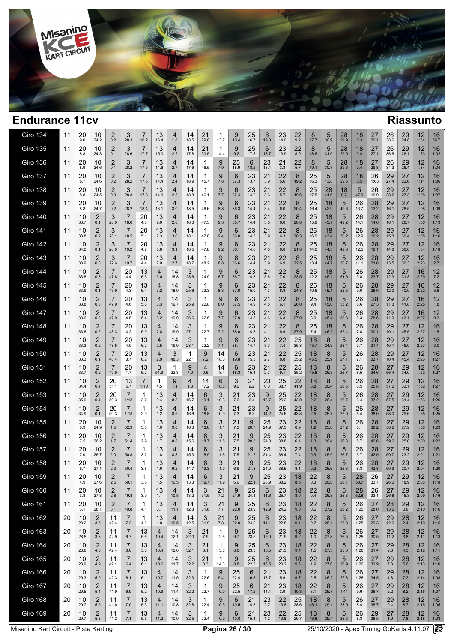

| Giro 134        | 11 | 20<br>9.0  | 10<br>24.2            | 2<br>0.2               | 3<br>28.3             | 16.2                   | 13<br>16.4 | 4<br>1.8               | 14<br>18.5 | 21<br>29.8 | 1<br>13.7  | 9<br>10.4  | 25<br>16.7    | 6<br>19.0            | 23<br>14.0          | 22<br>9.2  | 8<br>17.7        | 5<br>30.9  | 28<br>29.9 | 18<br>0.3              | 27<br>26.1        | 26<br>38.6                  | 29<br>24.8    | 12<br>1:34                | 16<br>59.7 |
|-----------------|----|------------|-----------------------|------------------------|-----------------------|------------------------|------------|------------------------|------------|------------|------------|------------|---------------|----------------------|---------------------|------------|------------------|------------|------------|------------------------|-------------------|-----------------------------|---------------|---------------------------|------------|
| <b>Giro 135</b> | 11 | 20<br>8.8  | 10<br>24.3            | $\overline{2}$<br>0.1  | 3<br>28.6             | $\overline{7}$<br>17.7 | 13<br>15.0 | 4<br>2.2               | 14<br>17.8 | 21<br>30.5 | 1<br>14.4  | 9<br>9.2   | 25<br>17.8    | 6<br>18.7            | 23<br>13.9          | 22<br>8.9  | 8<br>18.6        | 5<br>31.0  | 28<br>29.9 | 18<br>0.4              | 27<br>27.1        | 26<br>36.6                  | 29<br>26.1    | 12<br>1:33                | 16<br>1:02 |
| <b>Giro 136</b> | 11 | 20<br>8.9  | 10<br>24.6            | $\overline{2}$<br>0.1  | 3<br>28.2             | $\overline{7}$<br>17.5 | 13<br>14.6 | $\overline{4}$<br>2.7  | 14<br>17.6 | -1<br>46.5 | 9<br>7.9   | 25<br>18.9 | 6<br>18.2     | 23<br>13.4           | 21<br>3.3           | 22<br>5.7  | 8<br>19.1        | 5<br>30.7  | 28<br>29.6 | 18<br>0.4              | 27<br>29.8        | 26<br>34.3                  | 29<br>26.4    | 12<br>1:34                | 16<br>1:04 |
| <b>Giro 137</b> | 11 | 20<br>8.7  | 10<br>24.6            | $\overline{2}$<br>0.2  | 3<br>28.2             | $\overline{7}$<br>17.6 | 13<br>14.4 | $\overline{4}$<br>2.4  | 14<br>18.9 | -1<br>45.7 | 9<br>7.8   | 6<br>37.3  | 23<br>13.7    | 21<br>3.9            | 22<br>5.6           | 8<br>19.2  | 25<br>16.3       | 5<br>13.8  | 28<br>29.5 | 18<br>0.5              | 26<br>1:03        | 29<br>27.4                  | 27<br>22.6    | 12<br>1:11                | 16<br>1:06 |
| <b>Giro 138</b> | 11 | 20<br>8.8  | 10<br>24.5            | $\overline{2}$<br>0.3  | 3<br>28.3             | $\overline{7}$<br>17.8 | 13<br>14.0 | 4<br>2.5               | 14<br>18.8 | -1<br>46.1 | 9<br>7.7   | 6<br>37.4  | 23<br>14.2    | 21<br>3.6            | 22<br>5.7           | 8<br>19.6  | 25<br>17.5       | 28<br>41.6 | 18<br>0.7  | 5<br>47.0              | 26<br>16.9        | 29<br>28.2                  | 27<br>27.3    | 12<br>1:08                | 16<br>1:07 |
| <b>Giro 139</b> | 11 | 20<br>8.8  | 10<br>24.7            | $\overline{2}$<br>0.2  | 3<br>28.2             | 7<br>18.4              | 13<br>13.1 | 4<br>3.0               | 14<br>18.5 | -1<br>46.6 | 9<br>8.8   | 6<br>36.3  | 23<br>14.4    | 21<br>3.4            | 22<br>6.0           | 8<br>20.4  | 25<br>16.4       | 18<br>42.9 | 5<br>49.6  | 26<br>13.7             | 28<br>13.2        | 29<br>16.1                  | 27<br>28.5    | 12<br>1:08                | 16<br>1:09 |
| <b>Giro 140</b> | 11 | 10<br>33.7 | 2<br>0.1              | 3<br>28.0              | 7<br>18.6             | 20<br>4.0              | 13<br>9.0  | $\overline{4}$<br>2.8  | 14<br>18.3 | 1<br>47.3  | 9<br>9.3   | 6<br>35.7  | 23<br>14.4    | 21<br>3.5            | 22<br>6.0           | 8<br>20.8  | 25<br>15.9       | 18<br>43.7 | 5<br>49.2  | 26<br>14.1             | 28<br>14.6        | 29<br>16.1                  | 27<br>28.7    | 12<br>1:06                | 16<br>1:13 |
| <b>Giro 141</b> | 11 | 10<br>33.8 | 2<br>0.2              | 3<br>28.1              | 7<br>18.5             | 20<br>5.1              | 13<br>7.3  | $\overline{4}$<br>3.0  | 14<br>18.1 | -1<br>47.8 | 9<br>9.4   | 6<br>36.0  | 23<br>14.5    | 21<br>3.9            | 22<br>6.3           | 8<br>20.3  | 25<br>16.0       | 18<br>43.4 | 5<br>50.2  | 26<br>12.9             | 28<br>16.2        | 29<br>15.3                  | 27<br>30.4    | 12<br>1:05                | 16<br>1:16 |
| <b>Giro 142</b> | 11 | 10<br>34.0 | 2<br>0.1              | 3<br>28.0              | 7<br>19.2             | 20<br>4.7              | 13<br>6.8  | 4<br>3.1               | 14<br>18.5 | 1<br>47.8  | 9<br>9.2   | 6<br>36.1  | 23<br>14.6    | 21<br>4.0            | 22<br>6.6           | 8<br>21.8  | 25<br>14.0       | 18<br>44.5 | 5<br>49.8  | 26<br>12.5             | 28<br>19.1        | 29<br>14.6                  | 27<br>30.0    | 12<br>1:04                | 16<br>1:18 |
| <b>Giro 143</b> | 11 | 10<br>33.9 | 2<br>0.3              | 3<br>27.6              | 7<br>19.7             | 20<br>4.4              | 13<br>7.0  | 4<br>2.7               | 14<br>18.7 | 1<br>48.2  | 9<br>8.8   | 6<br>36.6  | 23<br>14.4    | 21<br>3.9            | 22<br>6.9           | 8<br>22.5  | 25<br>13.4       | 18<br>44.7 | 5<br>50.7  | 26<br>11.1             | 28<br>21.6        | 29<br>13.5                  | 27<br>30.3    | 12<br>2:23                | 16<br>2.7  |
| <b>Giro 144</b> | 11 | 10<br>33.8 | 2<br>0.3              | $\overline{7}$<br>47.8 | 20<br>4.4             | 13<br>6.5              | 4<br>3.0   | 14<br>18.8             | 3<br>23.6  | 1<br>24.9  | 9<br>8.7   | 6<br>36.7  | 23<br>14.8    | 21<br>3.6            | 22<br>7.0           | 8<br>23.5  | 25<br>12.2       | 18<br>45.1 | 5<br>51.6  | 26<br>9.8              | 28<br>23.7        | 29<br>12.3                  | 27<br>31.3    | 16<br>2:29                | 12<br>7.2  |
| <b>Giro 145</b> | 11 | 10<br>33.9 | 2<br>0.1              | $\overline{7}$<br>47.9 | 20<br>4.3             | 13<br>6.4              | 4<br>3.2   | 14<br>18.9             | 3<br>25.6  | 1<br>23.3  | 9<br>8.3   | 6<br>37.0  | 23<br>15.0    | 21<br>4.3            | 22<br>6.3           | 8<br>24.8  | 25<br>10.6       | 18<br>45.1 | 5<br>52.5  | 26<br>9.0              | 28<br>26.0        | 29<br>12.0                  | 27<br>40.0    | 16<br>2:22                | 12<br>5.6  |
| <b>Giro 146</b> | 11 | 10<br>33.8 | 2<br>0.3              | 7<br>47.9              | 20<br>4.6             | 13<br>5.6              | 4<br>3.3   | 14<br>19.7             | 3<br>25.9  | 1<br>22.8  | 9<br>8.0   | 6<br>37.5  | 23<br>14.9    | 21<br>4.5            | 22<br>6.1           | 8<br>26.0  | 25<br>9.4        | 18<br>45.0 | 5<br>53.2  | 26<br>8.6              | 28<br>27.3        | 29<br>11.3                  | 27<br>41.8    | 16<br>2:25                | 12<br>1.8  |
| <b>Giro 147</b> | 11 | 10<br>33.6 | 2<br>0.3              | $\overline{7}$<br>47.9 | 20<br>4.5             | 13<br>5.4              | 4<br>3.2   | 14<br>19.9             | 3<br>26.6  | 22.5       | 9<br>7.7   | 6<br>37.9  | 23<br>14.5    | 21<br>4.6            | 22<br>6.3           | 8<br>27.0  | 25<br>8.0        | 18<br>45.4 | 5<br>53.3  | 26<br>8.3              | 28<br>28.6        | 29<br>11.0                  | 27<br>43.1    | 16<br>2:27                | 12<br>0.3  |
| <b>Giro 148</b> | 11 | 10<br>33.6 | 2<br>0.2              | $\overline{7}$<br>48.3 | 20<br>4.2             | 13<br>5.9              | 4<br>2.8   | 14<br>19.9             | 3<br>27.1  | 1<br>22.7  | 9<br>7.2   | 6<br>38.0  | 23<br>14.8    | 21<br>4.1            | 22<br>6.9           | 8<br>27.9  | 25<br>7.4        | 18<br>46.2 | 5<br>52.4  | 26<br>7.8              | 28<br>30.1        | 29<br>10.1                  | 27<br>45.5    | 12<br>2:27                | 16<br>1.8  |
| <b>Giro 149</b> | 11 | 10<br>33.3 | 2<br>0.2              | $\overline{7}$<br>48.5 | 20<br>4.0             | 13<br>6.2              | 4<br>2.5   | 14<br>19.9             | 3<br>28.1  | 1<br>22.2  | 9<br>7.1   | 6<br>38.1  | 23<br>14.7    | 21<br>3.7            | 22<br>7.4           | 25<br>35.8 | 18<br>45.7       | 8<br>24.3  | 5<br>28.4  | 26<br>7.7              | 28<br>31.4        | 29<br>10.1                  | 27<br>46.0    | 12<br>2:27                | 16<br>3.0  |
| <b>Giro 150</b> | 11 | 10<br>33.3 | 2<br>0.1              | $\overline{7}$<br>48.4 | $\frac{20}{3.7}$      | 13<br>6.2              | 4<br>2.9   | 3<br>48.3              | 22.1       | 9<br>7.2   | 14<br>18.3 | 6<br>19.8  | 23<br>15.3    | $21$ <sub>2.7</sub>  | 22<br>8.8           | 25<br>35.2 | 18<br>45.5       | 8<br>25.9  | 5<br>27.1  | 26<br>7.1              | $\frac{28}{33.7}$ | $29$<br>$10.4$              | 27<br>45.4    | $12 \choose 2:26$         | 16<br>1:27 |
| <b>Giro 151</b> | 11 | 10<br>33.7 | 2<br>0.2              | $\overline{7}$<br>49.9 | 20<br>1.7             | 13<br>6.2              | 3<br>51.9  | 1<br>22.3              | 9<br>7.0   | 4<br>0.6   | 14<br>18.4 | 6<br>18.8  | 23<br>15.4    | $21$ <sub>2.7</sub>  | 22<br>9.1           | 25<br>35.2 | 18<br>45.8       | 8<br>26.3  | 5<br>26.7  | 26<br>6.5              | $\frac{28}{34.6}$ | $27$ <sub>56.4</sub>        | 29<br>34.0    | 12<br>1:52                | 16<br>1:27 |
| <b>Giro 152</b> | 11 | 10<br>34.4 | 2<br>0.4              | 20<br>51.1             | 13<br>5.7             | $\overline{7}$<br>1:10 | -1<br>4.5  | 9<br>7.1               | 4<br>1.8   | 14<br>17.2 | 6<br>18.8  | 3<br>9.0   | 21<br>9.2     | 23<br>6.0            | 25<br>38.7          | 22<br>41.9 | 18<br>3.8        | 8<br>26.4  | 5<br>26.6  | 26<br>6.5              | 28<br>35.8        | 27<br>57.2                  | 29<br>33.1    | 12<br>1:52                | 16<br>1:27 |
| <b>Giro 153</b> | 11 | 10<br>35.0 | 2<br>0.4              | 20<br>50.3             | 1:18                  | 1<br>3.2               | 13<br>0.4  | 4<br>8.8               | 14<br>16.7 | 6<br>19.1  | 3<br>10.3  | 21<br>7.6  | 23<br>6.4     | 9<br>13.7            | 25<br>25.2          | 22<br>43.0 | 18<br>2.2        | 8<br>26.4  | 5<br>26.7  | 26<br>6.4              | 28<br>37.2        | 27<br>57.5                  | 29<br>31.4    | 12<br>1:53                | 16<br>1:26 |
| <b>Giro 154</b> | 11 | 10<br>34.9 | 2<br>0.1              | 20<br>50.3             | 7<br>1:18             | 1<br>2.9               | 13<br>1.2  | 4<br>8.5               | 14<br>16.6 | 6<br>18.8  | 3<br>10.9  | 21<br>7.3  | $^{23}_{6.3}$ | 9<br>14.2            | 25<br>24.6          | 22<br>43.8 | 18<br>2.5        | 8<br>25.7  | 5<br>27.0  | 26<br>6.4              | 28<br>38.0        | 27<br>58.0                  | 29<br>29.6    | 12<br>1:55                | 16<br>1:25 |
| <b>Giro 155</b> | 11 | 20<br>8.9  | 10<br>24.9            | 2<br>1.5               | 52.3                  | 1<br>3.0               | 13<br>1.0  | 4<br>9.0               | 14<br>16.3 | 6<br>18.6  | 3<br>11.1  | 21<br>7.3  | 9<br>20.7     | 25<br>24.9           | $23 \over 37.3$     | 22<br>6.9  | 18<br>1.9        | 8<br>25.6  | 5<br>27.2  | 26<br>6.1              | 28<br>39.2        | 27<br>58.2                  | 29<br>27.9    | 12<br>1:58                | 16<br>1:23 |
| <b>Giro 156</b> | 11 | 20<br>7.5  | 10<br>26.2            | $\overline{2}$<br>1.7  | 7<br>51.4             | 1<br>2.9               | 13<br>1.7  | 4<br>8.8               | 14<br>15.6 | 6<br>18.7  | 3<br>11.5  | 21<br>7.5  | 9<br>20.3     | 25<br>24.8           | 23<br>38.8          | 22<br>6.4  | 18<br>1.3        | 8<br>26.4  | 5<br>26.3  | 26<br>5.7              | 28<br>40.6        | 27<br>59.6                  | 29<br>25.0    | 12<br>2:00                | 16<br>1:22 |
| <b>Giro 157</b> | 11 | 20<br>7.0  | 10<br>26.7            | 2<br>2.0               | 7<br>50.8             | 1<br>3.2               | 13<br>1.8  | 4<br>8.8               | 14<br>15.3 | 6<br>18.9  | 3<br>11.6  | 21<br>7.5  | 9<br>21.2     | 25<br>24.4           | 23<br>38.4          | 22<br>7.4  | 18<br>0.9        | 8<br>25.9  | 5<br>26.7  | 26<br>5.7              | 28<br>42.0        | 27<br>59.7                  | 29<br>23.2    | 12<br>2:01                | 16<br>1:21 |
| <b>Giro 158</b> | 11 | 20<br>5.7  | 10<br>27.1            | $\overline{2}$<br>2.3  | 7<br>50.4             | 1<br>3.6               | 13<br>1.6  | 4<br>9.2               | 14<br>14.7 | 6<br>19.3  | 3<br>11.9  | 21<br>6.9  | 9<br>21.8     | 25<br>24.0           | 23<br>38.5          | 22<br>8.1  | 18<br>0.2        | 8<br>26.6  | 5<br>26.3  | 26<br>6.3              | 28<br>42.8        | 27<br>59.9                  | 29<br>20.7    | 12<br>2:04                | 16<br>1:20 |
| Giro 159        | 11 | 20<br>4.9  | 10<br>27.6            | 2<br>$2.5\,$           | 50.1                  | 3.5                    | 13<br>1.5  | 10.5                   | 14<br>13.3 | 6<br>19.7  | 3<br>11.9  | 21<br>6.6  | 9<br>22.1     | $25$ <sub>23.9</sub> | 23<br>38.2          | 18<br>8.5  | 22<br>0.3        | ୪<br>26.8  | 5<br>26.1  | $28$ <sub>50.7</sub>   | 26<br>33.7        | 27<br>26.0                  | 29<br>18.9    | 12<br>2:06                | 16<br>1:18 |
| <b>Giro 160</b> | 11 | 20<br>3.8  | 10<br>27.8            | $\overline{2}$<br>2.8  | 7<br>49.8             | 1<br>3.9               | 13<br>1.1  | $\overline{4}$<br>10.8 | 14<br>13.2 | 3<br>31.5  | 21<br>7.2  | 9<br>21.9  | 25<br>24.1    | 6<br>11.6            | 23<br>25.7          | 18<br>8.9  | 22<br>0.4        | 8<br>26.8  | 5<br>26.3  | 28<br>52.8             | 26<br>33.1        | 27<br>26.8                  | 29<br>16.3    | 12<br>2:09                | 16<br>1:16 |
| <b>Giro 161</b> | 11 | 20<br>3.1  | 10<br>28.1            | 2<br>3.1               | 7<br>49.8             | 1<br>4.1               | 13<br>0.7  | 4<br>11.1              | 14<br>12.8 | 3<br>31.6  | 21<br>7.7  | 9<br>22.0  | 25<br>23.9    | 6<br>12.9            | 23<br>24.2          | 18<br>9.0  | 22<br>0.6        | 8<br>27.2  | 5<br>26.2  | 26<br>1:25             | 27<br>28.0        | 28<br>13.6                  | 29<br>0.8     | $12 \overline{ }$<br>2:10 | 16<br>1:16 |
| <b>Giro 162</b> | 20 | 10<br>28.2 | 2<br>3.5              | 11<br>42.4             | 7<br>7.2              | 1<br>4.6               | 13<br>1.0  | $\overline{4}$<br>10.5 | 14<br>12.5 | 3<br>31.9  | 21<br>7.8  | 9<br>22.0  | 25<br>24.0    | 6<br>14.1            | 23<br>22.8          | 18<br>9.1  | 22<br>0.7        | 8<br>28.1  | 5<br>25.8  | 26<br>1:25             | 27<br>29.3        | 29<br>12.6                  | 28<br>2.4     | 12<br>2:10                | 16<br>1:15 |
| <b>Giro 163</b> | 20 | 10<br>28.5 | 2<br>3.8              | 11<br>42.9             | 7<br>6.7              | 13<br>5.6              | 4<br>10.4  | 14<br>12.1             | 3<br>32.0  | 21<br>7.9  | 1<br>12.6  | 9<br>9.7   | 25<br>23.5    | 6<br>15.0            | 23<br>21.9          | 18<br>9.2  | 22<br>1.0        | 8<br>27.8  | 5<br>26.5  | 26<br>1:25             | 27<br>30.5        | 29<br>11.2                  | 28<br>3.8     | 12<br>2:11                | 16<br>1:13 |
| <b>Giro 164</b> | 20 | 10<br>28.6 | $\overline{2}$<br>4.5 | 11<br>42.4             | $\overline{7}$<br>6.6 | 13<br>5.8              | 4<br>10.4  | 14<br>12.0             | 3<br>32.1  | 21<br>8.1  | -1<br>13.8 | 9<br>8.6   | 25<br>23.3    | 6<br>15.5            | 23<br>21.3          | 18<br>9.4  | 22<br>1.5        | 8<br>27.3  | 5<br>26.8  | 26<br>1:26             | 27<br>31.4        | 29<br>9.8                   | 28<br>4.3     | 12<br>2:12                | 16<br>1:11 |
| <b>Giro 165</b> | 20 | 10<br>28.9 | 2<br>4.9              | 11<br>42.1             | 7<br>6.4              | 13<br>6.1              | 4<br>10.6  | 14<br>11.7             | 3<br>32.2  | 21<br>8.3  | -1<br>14.3 | 9<br>8.8   | 25<br>22.5    | 6<br>16.5            | 23<br>20.2          | 18<br>9.6  | 22<br>1.9        | 8<br>27.0  | 5<br>26.9  | 26<br>1:26             | 27<br>32.9        | $^{29}_{7.3}$               | 28<br>5.6     | 12<br>2:13                | 16<br>1:10 |
| <b>Giro 166</b> | 20 | 10<br>29.3 | $\overline{2}$<br>5.0 | 11<br>42.3             | 7<br>6.1              | 13<br>6.1              | 4<br>10.7  | 14<br>11.5             | 3<br>32.3  | -1<br>22.6 | 9<br>9.4   | 25<br>22.4 | 6<br>16.8     | 21<br>13.7           | $23$ <sub>5.9</sub> | 18<br>9.7  | $\frac{22}{2.5}$ | 8<br>26.2  | 5<br>27.3  | 26<br>1:26             | 27<br>34.5        | $\underset{4.8}{\text{29}}$ | $^{28}_{7.2}$ | 12<br>2:14                | 16<br>1:08 |
| <b>Giro 167</b> | 20 | 10<br>29.5 | 2<br>5.4              | 11<br>41.9             | 7<br>6.9              | 13<br>5.2              | 4<br>10.9  | 14<br>11.4             | 3<br>32.2  | -1<br>22.7 | 9<br>10.0  | 25<br>22.5 | 6<br>17.2     | 21<br>14.4           | 23<br>3.9           | 18<br>10.3 | 22<br>3.1        | 8<br>25.7  | 5<br>1:44  | 26<br>9.6              | 27<br>36.7        | $^{29}_{2.2}$               | 28<br>8.2     | 12<br>2:15                | 16<br>1:07 |
| Giro 168        | 20 | 10<br>29.7 | $\overline{2}$<br>5.5 | 11<br>41.6             | $\overline{7}$<br>7.0 | 13<br>5.3              | 4<br>11.1  | 14<br>10.8             | 3<br>32.8  | -1<br>22.4 | 9<br>10.5  | 6<br>40.5  | 21<br>14.3    | 23<br>2.7            | 22<br>13.8          | 25<br>28.6 | 18<br>46.1       | 8<br>29.1  | 5<br>28.0  | 26<br>8.4              | 27<br>38.7        | 29<br>0.4                   | 28<br>8.7     | 12<br>2:16                | 16<br>1:05 |
| <b>Giro 169</b> | 20 | 10<br>29.7 | $\overline{2}$<br>5.8 | 11<br>41.2             | 7<br>7.1              | 13<br>5.5              | 4<br>11.2  | 14<br>10.9             | 3<br>32.5  | 1<br>22.4  | 9<br>10.9  | 6<br>40.8  | $21$<br>15.4  | $^{23}_{1.2}$        | $22$<br>13.8        | 25<br>29.7 | 18<br>46.8       | 8<br>29.4  | 5<br>26.5  | 26<br>$8.\overline{3}$ | 29<br>38.5        | $\frac{27}{1.9}$            | 28<br>7.8     | 12<br>2:18                | 16<br>1:03 |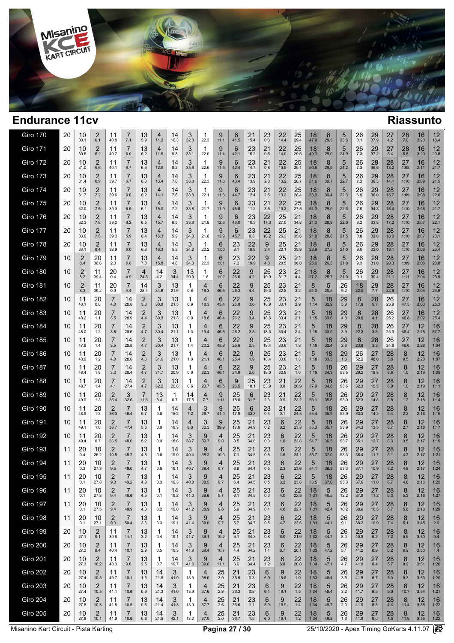

| Giro 170        | 20 | 10<br>30.1            | 2<br>6.1               | 11<br>40.8             | 7.1        | 13<br>5.9  | 4<br>11.2  | 14<br>10.3 | 3<br>32.8  | 22.3       | 9<br>11.1              | 6<br>41.5            | 21<br>15.4    | 23<br>0.3     | 22<br>14.4   | 25<br>29.4    | 18<br>47.9 | 8<br>29.5          | 5<br>25.6     | 26<br>8.1            | 29<br>37.9     | 27<br>4.2       | 28<br>7.0  | 16<br>3:20                | 12<br>18.4                |
|-----------------|----|-----------------------|------------------------|------------------------|------------|------------|------------|------------|------------|------------|------------------------|----------------------|---------------|---------------|--------------|---------------|------------|--------------------|---------------|----------------------|----------------|-----------------|------------|---------------------------|---------------------------|
| <b>Giro 171</b> | 20 | 10<br>30.5            | $\overline{2}$<br>6.2  | 11<br>40.7             | 7<br>6.9   | 13<br>6.2  | 4<br>11.5  | 14<br>9.8  | 3<br>33.1  | -1<br>22.0 | 9<br>11.4              | 6<br>42.1            | 23<br>15.2    | 21<br>0.5     | 22<br>14.0   | 25<br>29.6    | 18<br>49.3 | 8<br>29.9          | 5<br>24.9     | 26<br>7.3            | 29<br>37.2     | 27<br>6.4       | 28<br>5.8  | 16<br>3:20                | 12<br>20.8                |
| <b>Giro 172</b> | 20 | 10<br>31.0            | 2<br>6.6               | 11<br>40.1             | 7<br>6.7   | 13<br>6.3  | 4<br>12.9  | 14<br>8.2  | 3<br>33.6  | 1<br>22.6  | 9<br>11.5              | 6<br>42.4            | 23<br>14.7    | 21<br>0.8     | 22<br>13.9   | 25<br>29.1    | 18<br>50.6 | 8<br>29.9          | 5<br>24.2     | 26<br>7.3            | 29<br>36.6     | 28<br>13.2      | 27<br>1:08 | 16<br>2:11                | 12<br>21.7                |
| <b>Giro 173</b> | 20 | 10<br>31.4            | 2<br>6.9               | 11<br>39.7             | 7<br>6.7   | 13<br>6.3  | 4<br>13.4  | 14<br>7.8  | 3<br>33.8  | 1<br>22.3  | 9<br>11.6              | 6<br>43.4            | 23<br>13.9    | 21<br>2.0     | 22<br>13.2   | 25<br>28.7    | 18<br>51.6 | 8<br>30.7          | 5<br>22.7     | 26<br>7.2            | 29<br>36.3     | 28<br>14.1      | 27<br>1:10 | 16<br>2:09                | 12<br>21.5                |
| <b>Giro 174</b> | 20 | 10<br>31.7            | 2<br>7.2               | 11<br>39.6             | 7<br>6.6   | 13<br>6.2  | 4<br>14.1  | 14<br>7.6  | 3<br>33.8  | 1<br>22.1  | 9<br>11.6              | 6<br>44.7            | 23<br>12.4    | 21<br>2.5     | 22<br>13.2   | 25<br>28.4    | 18<br>53.0 | 8<br>30.4          | 5<br>22.3     | 26<br>6.9            | 29<br>36.0     | 28<br>15.7      | 27<br>1:09 | 16<br>2:08                | 12<br>22.0                |
| <b>Giro 175</b> | 20 | 10<br>32.0            | 2<br>7.5               | 11<br>39.3             | 7<br>6.5   | 13<br>6.1  | 4<br>15.0  | 14<br>7.2  | 3<br>33.8  | 1<br>21.7  | 9<br>11.9              | 6<br>45.8            | 23<br>11.2    | 21<br>3.5     | 22<br>13.3   | 25<br>27.5    | 18<br>54.3 | 8<br>29.9          | 5<br>22.3     | 26<br>7.9            | 29<br>34.3     | 28<br>16.4      | 27<br>1:10 | 16<br>2:08                | 12<br>21.7                |
| <b>Giro 176</b> | 20 | 10<br>32.3            | 2<br>7.8               | 11<br>39.2             | 7<br>6.2   | 13<br>6.5  | 4<br>15.7  | 14<br>6.5  | 3<br>33.8  | 1<br>21.8  | 9<br>12.6              | 6<br>46.0            | 23<br>10.3    | 22<br>17.3    | 25<br>27.0   | 21<br>34.8    | 18<br>21.3 | 8<br>28.9          | 5<br>22.0     | 26<br>8.2            | 29<br>33.8     | 28<br>17.2      | 27<br>1:10 | 16<br>2:07                | 12<br>22.1                |
| <b>Giro 177</b> | 20 | 10<br>33.0            | 2<br>7.8               | 11<br>39.3             | 7<br>5.9   | 13<br>6.4  | 4<br>16.3  | 14<br>5.9  | 3<br>34.0  | 1<br>21.8  | 9<br>13.9              | 6<br>45.7            | 23<br>9.3     | 22<br>18.2    | 25<br>26.3   | 21<br>35.6    | 18<br>21.8 | 8<br>28.8          | 5<br>21.5     | 26<br>8.8            | 29<br>32.6     | 28<br>18.0      | 27<br>1:10 | 16<br>2:07                | 12<br>23.1                |
| <b>Giro 178</b> | 20 | 10<br>33.1            | 2<br>8.4               | 11<br>38.9             | 7<br>6.0   | 13<br>6.8  | 4<br>16.3  | 14<br>5.3  | 3<br>34.2  | 1<br>22.2  | 6<br>1:00              | 23<br>8.1            | 22<br>18.9    | 9<br>3.4      | 25<br>22.1   | 21<br>35.9    | 18<br>23.9 | 8<br>27.5          | 5<br>21.0     | 26<br>9.0            | 29<br>32.0     | 28<br>19.1      | 27<br>1:10 | 16<br>2:06                | 12<br>23.4                |
| Giro 179        | 10 | $\overline{2}$<br>8.4 | 20<br>36.6             | 11<br>2.3              | 7<br>6.0   | 13<br>7.8  | 4<br>15.8  | 14<br>4.8  | 3<br>34.3  | 1<br>22.3  | 6<br>1:01              | 23<br>7.2            | 22<br>19.9    | 9<br>$4.0$    | 25<br>20.5   | 21<br>36.0    | 18<br>25.6 | 8<br>26.5          | 5<br>21.0     | 26<br>9.3            | 29<br>31.0     | 28<br>20.3      | 27<br>1:09 | 16<br>2:06                | 12<br>23.8                |
| <b>Giro 180</b> | 10 | 2<br>8.2              | 11<br>39.4             | 20<br>0.4              | 7<br>4.9   | 4<br>24.3  | 14<br>4.2  | 3<br>34.4  | 13<br>20.9 | 1<br>1.6   | 6<br>1:02              | 22<br>26.6           | 9<br>4.2      | 25<br>19.9    | 23<br>31.7   | 21<br>4.4     | 18<br>27.2 | 8<br>25.7          | 5<br>21.0     | 26<br>9.1            | 29<br>30.4     | 28<br>21.1      | 27<br>1:11 | 16<br>2:04                | $12 \overline{ }$<br>23.9 |
| <b>Giro 181</b> | 10 | $\overline{2}$<br>8.3 | 11<br>39.2             | 20<br>0.9              | 7<br>4.4   | 14<br>28.4 | 3<br>34.6  | 13<br>21.6 | 1<br>0.8   | 4<br>16.3  | 6<br>46.5              | 22<br>26.3           | 9<br>4.4      | 25<br>19.3    | 23<br>32.8   | 21<br>3.2     | 8<br>54.0  | 5<br>20.5          | 26<br>9.2     | 18<br>22.0           | 29<br>7.7      | 28<br>22.8      | 27<br>1:10 | 16<br>2:04                | $12 \overline{ }$<br>24.8 |
| <b>Giro 182</b> | 10 | 11<br>48.1            | 20<br>0.8              | 7<br>4.0               | 14<br>28.6 | 2<br>3.8   | 3<br>30.8  | 13<br>21.5 | 1<br>0.9   | 4<br>18.3  | 6<br>45.4              | 22<br>26.8           | 9<br>3.6      | 25<br>18.9    | 23<br>33.1   | 21<br>2.9     | 5<br>1:14  | 18<br>32.9         | 29<br>5.9     | 8<br>17.9            | 28<br>5.7      | 26<br>23.9      | 27<br>47.5 | 16<br>2:03                | 12<br>25.3                |
| <b>Giro 183</b> | 10 | 11<br>48.2            | 20<br>1.1              | $\overline{7}$<br>3.5  | 14<br>28.9 | 2<br>4.4   | 3<br>30.3  | 13<br>21.3 | 1<br>0.9   | 4<br>18.8  | 6<br>46.4              | 22<br>26.2           | 9<br>3.4      | 25<br>18.6    | 23<br>33.4   | 21<br>2.1     | 5<br>1:15  | 18<br>33.6         | 29<br>4.8     | 8<br>20.6            | 28<br>4.1      | 26<br>25.2      | 27<br>46.8 | 16<br>2:02                | 12<br>25.4                |
| <b>Giro 184</b> | 10 | 11<br>48.0            | 20<br>1.2              | 7<br>3.6               | 14<br>28.6 | 2<br>4.7   | 3<br>30.4  | 13<br>21.1 | 1<br>1.3   | 4<br>19.4  | 6<br>46.5              | 22<br>26.2           | 9<br>2.8      | 25<br>18.3    | 23<br>33.4   | 21<br>2.4     | 5<br>1:15  | 18<br>33.9         | 29<br>3.9     | 8<br>22.3            | 28<br>3.5      | 26<br>25.3      | 27<br>46.4 | 12<br>2:28                | 16<br>57.7                |
| <b>Giro 185</b> | 10 | 11<br>47.9            | 20<br>1.4              | 7<br>3.5               | 14<br>28.8 | 2<br>4.7   | 3<br>30.4  | 13<br>21.7 | 1<br>1.4   | 4<br>20.2  | 6<br>45.9              | 22<br>25.6           | 9<br>2.5      | 25<br>18.4    | 23<br>33.6   | 21<br>1.9     | 5<br>1:18  | 18<br>32.4         | 29<br>2.8     | 8<br>23.8            | 28<br>3.3      | 26<br>24.6      | 27<br>46.6 | 12<br>2:28                | 16<br>1:04                |
| Giro 186        | 10 | 11<br>48.0            | 20<br>1.2              | 7<br>4.0               | 14<br>28.6 | 2<br>4.6   | 3<br>31.6  | 13<br>21.0 | 1<br>1.0   | 4<br>21.1  | 6<br>46.1              | 22<br>25.4           | 9<br>1.9      | 25<br>18.4    | 23<br>33.8   | 21<br>1.3     | 5<br>1:18  | 18<br>33.5         | 29<br>1.6     | $26$ <sub>52.2</sub> | 27<br>48.0     | 28<br>5.6       | 8<br>0.5   | 12<br>2:20                | 16<br>1:07                |
| <b>Giro 187</b> | 10 | 11<br>48.4            | 20<br>1.8              | 7<br>3.3               | 14<br>28.4 | 2<br>4.7   | 3<br>31.7  | 13<br>20.9 | 1<br>0.9   | 4<br>22.3  | 6<br>46.1              | 22<br>24.9           | 9<br>2.0      | 25<br>18.0    | 23<br>33.9   | 21<br>1.0     | 5<br>1:18  | 18<br>34.3         | 26<br>53.5    | 29.2                 | 27<br>18.8     | 28<br>6.6       | 8<br>1.0   | 12<br>2:19                | 16<br>1:09                |
| Giro 188        | 10 | 11<br>48.7            | 20<br>1.4              | 7<br>4.1               | 14<br>27.4 | 2<br>4.7   | 3<br>32.2  | 13<br>20.6 | 1<br>0.6   | 4<br>23.7  | 6<br>45.5              | 9<br>26.5            | 25<br>18.1    | 23<br>33.9    | 21<br>0.8    | 22<br>20.9    | 5<br>57.9  | 18<br>34.8         | 26<br>53.6    | 29<br>32.3           | 27<br>15.5     | 28<br>6.9       | 8<br>1.0   | 12<br>2:19                | 16<br>1:11                |
| <b>Giro 189</b> | 10 | 11<br>49.0            | 20<br>1.3              | $\overline{2}$<br>36.4 | 3<br>32.6  | 7<br>11.6  | 13<br>8.4  | 1<br>0.7   | 14<br>17.5 | 4<br>7.7   | 9<br>1:11              | 25<br>18.0           | 6<br>31.5     | 23<br>2.3     | 21<br>0.5    | 22<br>23.2    | 5<br>56.1  | 18<br>35.6         | 26<br>53.9    | 29<br>32.3           | 27<br>14.8     | 28<br>6.8       | 8<br>1.2   | 12<br>2:18                | 16<br>1:14                |
| <b>Giro 190</b> | 10 | 11<br>48.9            | 20<br>1.3              | 2<br>36.3              | 7<br>46.4  | 13<br>6.7  | 1<br>0.8   | 14<br>18.2 | 4<br>7.2   | 3<br>29.7  | 9<br>41.0              | $25$ <sub>17.9</sub> | 6<br>33.3     | 23<br>0.4     | 21<br>0.1    | 22<br>24.5    | 5<br>55.4  | 18<br>35.9         | 26<br>53.9    | $29$ <sub>33.3</sub> | 27<br>14.3     | 28<br>6.4       | 8<br>2.2   | 12<br>2:18                | 16<br>1:16                |
| <b>Giro 191</b> | 10 | 11<br>49.1            | 20<br>1.0              | 2<br>36.7              | 7<br>47.4  | 13<br>5.6  | 1<br>0.9   | 14<br>18.3 | 4<br>8.0   | 3<br>30.3  | 9<br>39.9              | $25$ <sub>17.6</sub> | 21<br>34.9    | 23<br>0.2     | 6<br>0.2     | 22<br>23.8    | 5<br>55.3  | 18<br>35.7         | 26<br>53.9    | $29_{34.3}$          | 27<br>13.3     | 28<br>6.7       | 8<br>2.7   | 12<br>2:18                | 16<br>1:17                |
| <b>Giro 192</b> | 10 | 11<br>49.4            | 20<br>0.7              | $\overline{2}$<br>36.5 | 7<br>48.0  | 13<br>5.2  | 1<br>0.9   | 14<br>18.6 | 3<br>38.7  | 9<br>39.7  | 4<br>9.0               | 25<br>8.5            | 21<br>34.6    | 23<br>0.3     | 6<br>1.0     | 22<br>23.6    | 5<br>54.7  | 18<br>36.3         | 26<br>53.7    | 29<br>35.1           | 27<br>12.7     | 28<br>6.3       | 8<br>3.5   | 12<br>2:17                | 16<br>1:19                |
| <b>Giro 193</b> | 11 | 20<br>0.4             | 10<br>26.2             | 2<br>10.5              | 7<br>48.7  | 13<br>4.8  | 1<br>0.6   | 14<br>19.0 | 3<br>40.4  | 9<br>38.2  | 4<br>10.0              | 25<br>7.1            | 21<br>34.5    | 23<br>0.5     | 6<br>1.6     | 22<br>24.1    | 5<br>53.7  | 18<br>37.0         | 26<br>53.3    | 29<br>36.4           | 27<br>11.7     | 28<br>6.1       | 8<br>4.2   | 12<br>2:17                | 16<br>1:21                |
| <b>Giro 194</b> | 11 | 20<br>0.3             | 10<br>27.3             | 2<br>9.5               | 49.0       | 13<br>4.7  | 1<br>0.6   | 14<br>19.1 | 3<br>40.7  | 9<br>38.4  | 4<br>9.7               | 25<br>6.8            | 21<br>34.4    | 23<br>0.5     | 6<br>2.3     | 22<br>23.6    | 5<br>54.1  | 18<br>36.8         | 26<br>53.3    | 29<br>37.1           | 27<br>10.9     | 28<br>6.2       | 8<br>4.8   | 12<br>2:17                | 16<br>1:24                |
| Giro 195        | 11 | 20<br>0.1             | 10<br>27.8             | 2<br>9.3               | 49.2       | 13<br>4.8  | 0.3        | 14<br>19.3 | J<br>40.8  | 9<br>38.5  | 4<br>9.7               | $25$ <sub>6.4</sub>  | 21<br>34.5    | 23<br>0.5     | 6<br>$3.2\,$ | 22<br>23.6    | 5<br>53.5  | $\frac{18}{37.0}$  | 26<br>53.3    | $\frac{29}{37.6}$    | $^{27}_{11.0}$ | $^{28}_{6.7}$   | 8<br>4.6   | 12<br>2:16                | 16<br>1:25                |
| Giro 196        | 11 | 20<br>0.1             | 10<br>27.8             | $\overline{2}$<br>9.4  | 7<br>49.6  | 13<br>4.5  | -1<br>0.1  | 14<br>19.2 | 3<br>41.0  | 9<br>38.6  | 4<br>9.7               | 25<br>6.1            | 21<br>34.5    | 23<br>0.3     | 6<br>4.0     | 22<br>22.9    | 18<br>1:31 | 5<br>40.5          | 26<br>12.2    | 29<br>37.8           | 27<br>11.2     | 28<br>6.3       | 8<br>5.3   | 12<br>2:16                | 16<br>1:27                |
| <b>Giro 197</b> | 11 | 20<br>0.1             | 10<br>27.5             | 2<br>9.4               | 7<br>49.9  | 13<br>4.3  | 1<br>0.2   | 14<br>19.0 | 3<br>41.2  | 9<br>38.9  | 4<br>9.6               | 25<br>5.9            | 21<br>34.9    | 23<br>0.1     | 6<br>4.0     | 22<br>22.7    | 18<br>1:31 | 5<br>42.4          | 26<br>10.2    | 29<br>38.6           | 27<br>10.5     | 28<br>6.7       | 8<br>5.8   | $12 \overline{ }$<br>2:16 | 16<br>1:29                |
| Giro 198        | 11 | 20<br>0.1             | 10<br>27.1             | $\overline{2}$<br>9.3  | 7<br>50.4  | 13<br>3.6  | 1<br>0.3   | 14<br>19.1 | 3<br>41.4  | 9<br>39.0  | 4<br>9.7               | 25<br>$5.7\,$        | 21<br>34.7    | 23<br>0.5     | 6<br>4.7     | 22<br>22.6    | 18<br>1:31 | 5<br>44.1          | 26<br>9.1     | 29<br>38.2           | 27<br>10.9     | 28<br>7.4       | 8<br>5.1   | 12<br>3:45                | 16<br>2.0                 |
| <b>Giro 199</b> | 20 | 10<br>27.1            | $\overline{2}$<br>9.1  | 11<br>39.6             | 7<br>11.1  | 13<br>3.2  | 1<br>0.4   | 14<br>19.1 | 3<br>41.7  | 9<br>39.1  | 4<br>10.2              | 25<br>5.1            | 21<br>34.3    | 23<br>0.8     | 6<br>6.0     | 22<br>21.0    | 18<br>1:32 | 5<br>44.7          | 26<br>8.0     | 29<br>40.9           | 27<br>8.2      | 28<br>7.2       | 8<br>$5.5$ | $12 \overline{ }$<br>3:50 | 16<br>0.4                 |
| <b>Giro 200</b> | 20 | 10<br>27.2            | $\overline{2}$<br>9.4  | 11<br>40.4             | 7<br>10.1  | 13<br>2.9  | 1<br>0.5   | 14<br>19.3 | 3<br>41.9  | 9<br>39.4  | $\overline{4}$<br>10.7 | 25<br>4.4            | 21<br>34.2    | 23<br>1.1     | 6<br>6.7     | 22<br>20.1    | 18<br>1:33 | 5<br>47.2          | 26<br>5.1     | 29<br>41.2           | 27<br>8.9      | 28<br>6.2       | 8<br>6.9   | 12<br>3:50                | 16<br>1.4                 |
| <b>Giro 201</b> | 20 | 10<br>27.3            | $\overline{2}$<br>10.2 | 11<br>40.3             | 7<br>9.8   | 13<br>2.5  | 1<br>0.7   | 14<br>19.7 | 3<br>41.6  | 9<br>39.6  | 4<br>11.1              | 25<br>3.6            | 21<br>34.4    | $^{23}_{1.2}$ | 6<br>6.8     | 22<br>20.0    | 18<br>1:34 | 5<br>47.1          | 26<br>4.7     | 29<br>41.8           | 27<br>8.4      | $^{28}_{\,5.7}$ | 8<br>8.2   | 12<br>3:51                | 16<br>1:20                |
| <b>Giro 202</b> | 20 | 10<br>27.4            | $\overline{2}$<br>10.5 | 11<br>40.7             | 7<br>10.1  | 13<br>1.5  | 14<br>21.5 | 3<br>41.0  | 1<br>13.3  | 4<br>38.0  | 25<br>3.0              | 21<br>35.5           | 23<br>0.3     | 6<br>6.9      | 9<br>18.8    | 22<br>1.9     | 18<br>1:33 | 5<br>48.4          | 26<br>3.5     | 29<br>41.5           | $^{27}_{8.7}$  | $^{28}_{\,5.3}$ | 8<br>9.3   | 12<br>3:53                | 16<br>1:20                |
| <b>Giro 203</b> | 20 | 10<br>27.4            | $\overline{2}$<br>10.5 | 11<br>41.1             | 7<br>10.6  | 13<br>0.9  | 14<br>21.3 | 3<br>41.0  | 1<br>13.9  | 4<br>37.6  | 25<br>2.8              | 21<br>36.3           | 23<br>0.8     | 6<br>6.1      | 9<br>19.1    | 22<br>1.5     | 18<br>1:34 | $\sqrt{5}$<br>48.4 | 26<br>3.2     | 29<br>41.7           | 27<br>8.5      | 28<br>5.0       | 8<br>10.7  | 12<br>3:54                | 16<br>1:21                |
| <b>Giro 204</b> | 20 | 10<br>27.8            | $\overline{2}$<br>10.3 | 11<br>41.5             | 7<br>10.5  | 13<br>0.6  | 14<br>21.4 | 3<br>41.3  | 1<br>13.9  | 4<br>37.7  | 25<br>2.6              | 21<br>36.6           | 23<br>1.1     | 6<br>5.9      | 9<br>18.9    | 22<br>1.4     | 18<br>1:34 | 5<br>49.7          | 26<br>2.0     | 29<br>41.9           | 27<br>8.8      | 28<br>4.4       | 8<br>11.4  | 12<br>3:55                | 16<br>1:22                |
| <b>Giro 205</b> | 20 | 10<br>27.8            | 2<br>10.1              | 11<br>41.9             | 7<br>10.6  | 13<br>0.6  | 14<br>21.5 | 3<br>42.1  | 1<br>13.2  | 4<br>37.9  | $^{25}_{2.0}$          | 21<br>36.7           | $^{23}_{1.5}$ | 6<br>6.0      | 9<br>19.1    | $^{22}_{1.2}$ | 18<br>1:34 | 5<br>49.8          | $^{26}_{1.6}$ | $^{29}_{41.8}$       | $^{27}_{9.0}$  | $^{28}_{4.5}$   | 8<br>11.9  | $12 \overline{ }$<br>3:55 | 16<br>1:22                |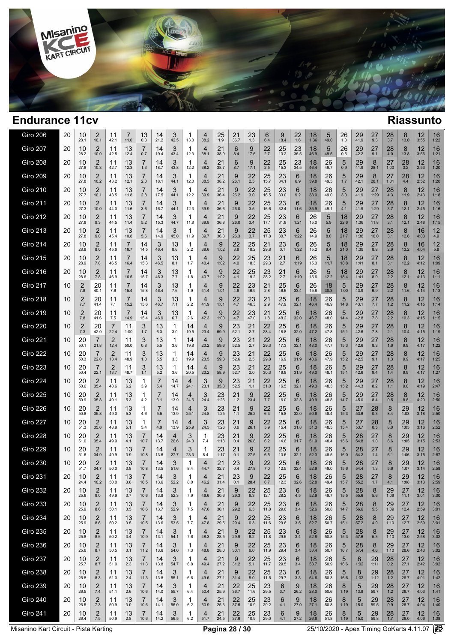

| Giro 206        | 20 | 10<br>28.1            | 2<br>10.1              | 11<br>42.1             | 7<br>11.0  | 13<br>0.3             | 14<br>21.2 | 3<br>42.5  | 1<br>13.0  | 4<br>38.2              | 25<br>1.9  | 21<br>36.7           | 23<br>1.3            | 6<br>6.4          | 9<br>18.4    | 22<br>1.6  | 18<br>1:36 | 5<br>49.0  | 26<br>1.0  | 29<br>41.9     | 27<br>9.3              | $\frac{28}{3.7}$ | 8<br>13.0  | 12<br>3:55 | 16<br>1:22 |
|-----------------|----|-----------------------|------------------------|------------------------|------------|-----------------------|------------|------------|------------|------------------------|------------|----------------------|----------------------|-------------------|--------------|------------|------------|------------|------------|----------------|------------------------|------------------|------------|------------|------------|
| <b>Giro 207</b> | 20 | 10<br>28.2            | 2<br>10.0              | 11<br>42.5             | 13<br>12.4 | 7<br>0.7              | 14<br>19.4 | 3<br>43.4  | 1<br>12.3  | $\overline{4}$<br>38.1 | 21<br>38.9 | 6<br>8.4             | 9<br>17.6            | $22$<br>2.7       | 25<br>13.2   | 23<br>35.5 | 18<br>46.9 | 5<br>49.5  | 26<br>0.5  | 29<br>42.2     | 27<br>9.1              | 28<br>4.0        | 8<br>13.8  | 12<br>3:56 | 16<br>1:21 |
| <b>Giro 208</b> | 20 | 10<br>27.8            | 2<br>10.3              | 11<br>42.7             | 13<br>12.3 | $\overline{7}$<br>1.3 | 14<br>18.7 | 3<br>43.8  | 1<br>12.2  | 4<br>38.2              | 21<br>38.7 | 6<br>8.7             | 9<br>17.1            | 22<br>2.5         | 25<br>15.3   | 23<br>34.5 | 18<br>46.4 | 26<br>49.7 | 5<br>0.9   | 29<br>41.9     | 8<br>28.1              | 27<br>1:00       | 28<br>3.2  | 12<br>2:53 | 16<br>1:20 |
| <b>Giro 209</b> | 20 | 10<br>27.8            | $\overline{2}$<br>10.2 | 11<br>43.2             | 13<br>12.1 | 7<br>2.0              | 14<br>18.1 | 3<br>44.1  | 1<br>12.0  | 4<br>38.5              | 21<br>38.2 | 9<br>26.1            | 22<br>2.5            | 25<br>15.7        | 23<br>34.1   | 6<br>6.9   | 18<br>39.8 | 26<br>49.5 | 5<br>1.7   | 29<br>42.1     | 8<br>28.1              | 27<br>1:01       | 28<br>4.4  | 12<br>2:52 | 16<br>1:20 |
| <b>Giro 210</b> | 20 | 10<br>27.7            | 2<br>10.1              | 11<br>43.5             | 13<br>11.8 | 7<br>2.8              | 14<br>17.5 | 3<br>44.1  | 1<br>12.2  | 4<br>39.9              | 21<br>36.4 | 9<br>26.2            | 22<br>3.0            | 25<br>16.5        | 23<br>33.0   | 6<br>9.2   | 18<br>38.0 | 26<br>49.0 | 5<br>3.0   | 29<br>41.9     | 27<br>1:29             | 28<br>4.3        | 8<br>11.9  | 12<br>2:43 | 16<br>1:18 |
| <b>Giro 211</b> | 20 | 10<br>27.3            | $\overline{2}$<br>10.0 | 11<br>44.0             | 13<br>11.6 | 7<br>3.6              | 14<br>16.7 | 3<br>44.1  | 1<br>12.3  | 4<br>39.9              | 21<br>36.6 | 9<br>26.0            | 22<br>3.5            | 25<br>16.6        | 23<br>32.4   | 6<br>11.6  | 18<br>35.9 | 26<br>49.1 | 5<br>4.1   | 29<br>41.9     | 27<br>1:29             | 28<br>3.7        | 8<br>12.1  | 12<br>2:45 | 16<br>1:16 |
| Giro 212        | 20 | 10<br>27.8            | 2<br>9.3               | 11<br>44.5             | 13<br>11.4 | $\overline{7}$<br>5.2 | 14<br>15.3 | 3<br>44.7  | 1<br>11.8  | 4<br>39.8              | 21<br>36.8 | 9<br>26.0            | 22<br>3.4            | 25<br>17.1        | 23<br>31.8   | 6<br>1:21  | 26<br>15.0 | 5<br>5.9   | 18<br>22.6 | 29<br>1:36     | 27<br>11.8             | 28<br>3.1        | 8<br>12.1  | 12<br>2:48 | 16<br>1:15 |
| <b>Giro 213</b> | 20 | 10<br>27.8            | 2<br>9.0               | 11<br>45.4             | 13<br>10.8 | 7<br>5.6              | 14<br>14.9 | 3<br>45.0  | 1<br>11.9  | 4<br>39.7              | 21<br>36.3 | 9<br>26.3            | 22<br>3.7            | 25<br>17.8        | 23<br>30.7   | 6<br>1:22  | 26<br>14.9 | 5<br>8.0   | 18<br>21.7 | 29<br>1:38     | 27<br>10.0             | 28<br>3.1        | 8<br>12.6  | 16<br>4:03 | 12<br>4.9  |
| Giro 214        | 20 | 10<br>28.8            | 2<br>8.0               | 11<br>45.6             | 7<br>16.7  | 14<br>14.5            | 3<br>46.4  | 13<br>8.6  | 1<br>2.2   | 4<br>39.6              | 9<br>1:02  | 22<br>3.8            | 25<br>18.2           | 21<br>29.8        | 23<br>0.1    | 6<br>1:22  | 26<br>15.2 | 5<br>9.4   | 18<br>21.0 | 29<br>1:39     | 27<br>8.8              | 28<br>2.9        | 8<br>13.2  | 16<br>4:04 | 12<br>5.8  |
| <b>Giro 215</b> | 20 | 10<br>28.9            | 2<br>7.8               | 11<br>46.5             | 7<br>16.4  | 14<br>15.3            | 3<br>46.5  | 13<br>8.1  | 1<br>1.7   | 4<br>40.4              | 9<br>1:02  | 22<br>4.0            | 25<br>18.3           | 23<br>29.3        | 21<br>2.7    | 6<br>1:19  | 26<br>15.3 | 5<br>11.7  | 18<br>18.8 | 29<br>1:41     | 27<br>8.1              | 28<br>3.1        | 8<br>12.2  | 12<br>4:12 | 16<br>1:09 |
| <b>Giro 216</b> | 20 | 10<br>28.6            | 2<br>7.8               | 11<br>46.9             | 7<br>16.5  | 14<br>15.7            | 3<br>46.3  | 13<br>7.7  | 1<br>1.8   | 4<br>40.7              | 9<br>1:02  | 22<br>4.1            | 25<br>19.2           | 23<br>28.2        | 21<br>2.7    | 6<br>1:19  | 26<br>15.6 | 5<br>12.2  | 18<br>18.4 | 29<br>1:41     | 27<br>8.9              | 28<br>2.2        | 8<br>12.1  | 12<br>4:13 | 16<br>1:11 |
| <b>Giro 217</b> | 10 | $\overline{2}$<br>7.8 | 20<br>40.1             | 11<br>7.6              | 7<br>15.4  | 14<br>15.8            | 3<br>46.4  | 13<br>7.6  | 1<br>1.9   | 4<br>41.4              | 9<br>1:01  | 22<br>4.6            | 23<br>46.9           | 21<br>2.8         | 25<br>46.6   | 6<br>33.4  | 26<br>15.8 | 18<br>30.3 | 5<br>1:00  | 29<br>43.9     | 27<br>6.9              | 28<br>2.2        | 8<br>11.6  | 12<br>4:14 | 16<br>1:13 |
| <b>Giro 218</b> | 10 | $\overline{2}$<br>7.7 | 20<br>41.4             | 11<br>7.1              | 7<br>15.2  | 14<br>15.6            | 3<br>46.7  | 13<br>7.1  | 1<br>2.2   | 4<br>41.9              | 9<br>1:01  | 22<br>4.7            | 23<br>46.3           | 21<br>2.9         | 25<br>47.9   | 6<br>32.1  | 18<br>46.4 | 26<br>46.9 | 5<br>14.8  | 29<br>43.1     | 27<br>7.7              | 28<br>1.2        | 8<br>11.2  | 12<br>4:15 | 16<br>1:14 |
| <b>Giro 219</b> | 10 | $\overline{2}$<br>7.8 | 20<br>41.6             | 11<br>7.5              | 7<br>14.9  | 14<br>15.4            | 3<br>46.9  | 13<br>6.7  | 1<br>2.6   | 4<br>42.3              | 9<br>1:00  | 22<br>4.7            | 23<br>47.0           | 21<br>1.8         | 25<br>48.2   | 6<br>32.0  | 18<br>46.7 | 26<br>48.0 | 5<br>14.4  | 29<br>42.8     | 27<br>7.8              | 28<br>2.2        | 8<br>10.3  | 12<br>4:15 | 16<br>1:15 |
| <b>Giro 220</b> | 10 | $\overline{2}$<br>7.3 | 20<br>42.0             | $\overline{7}$<br>22.4 | 11<br>1:00 | 3<br>1.7              | 13<br>6.3  | 1<br>3.0   | 14<br>19.5 | 4<br>23.4              | 9<br>59.9  | 23<br>52.1           | 21<br>2.7            | 22<br>28.4        | 25<br>18.8   | 6<br>32.0  | 18<br>47.2 | 26<br>47.8 | 5<br>15.1  | 29<br>42.6     | 27<br>7.8              | 28<br>2.1        | 8<br>10.4  | 12<br>4:15 | 16<br>1:19 |
| <b>Giro 221</b> | 10 | 20<br>50.1            | 7<br>21.8              | 2<br>12.4              | 11<br>50.0 | 3<br>0.8              | 13<br>5.5  | 1<br>3.6   | 14<br>19.8 | 4<br>23.2              | 9<br>59.6  | 23<br>52.5           | 21<br>2.7            | 22<br>29.3        | 25<br>17.3   | 6<br>32.1  | 18<br>48.0 | 26<br>47.7 | 5<br>15.3  | 29<br>42.6     | 27<br>8.3              | 28<br>1.6        | 8<br>9.9   | 12<br>4:17 | 16<br>1:22 |
| Giro 222        | 10 | 20<br>50.3            | 22.0                   | $\overline{2}$<br>13.4 | 11<br>48.9 | 3<br>1.0              | 13<br>5.5  | 1<br>3.3   | 14<br>19.9 | 23.5                   | 9<br>59.3  | 23<br>52.6           | $^{21}_{2.5}$        | $22$<br>$29.8$    | 25<br>16.9   | 6<br>31.9  | 18<br>48.6 | 26<br>47.9 | 5<br>15.2  | $29$<br>$42.5$ | 27<br>9.1              | 28<br>1.3        | 8<br>9.9   | 12<br>4:17 | 16<br>1:25 |
| <b>Giro 223</b> | 10 | 20<br>50.4            | 22.1                   | 2<br>13.7              | 11<br>48.7 | 3<br>1.1              | 13<br>5.2  | 1<br>3.6   | 14<br>20.5 | 4<br>23.2              | 9<br>58.9  | $23$ <sub>52.7</sub> | $^{21}_{2.0}$        | $\frac{22}{30.3}$ | 25<br>16.8   | 6<br>31.9  | 18<br>49.0 | 26<br>48.1 | 5<br>15.1  | 29<br>42.6     | 27<br>9.4              | 28<br>1.4        | 8<br>9.9   | 12<br>4:17 | 16<br>1:27 |
| Giro 224        | 10 | 20<br>50.6            | 2<br>35.4              | 11<br>48.6             | 13<br>6.2  | 1<br>3.9              | 7<br>5.4   | 14<br>14.7 | 4<br>24.1  | 3<br>23.1              | 9<br>35.8  | 23<br>52.5           | 21<br>1.1            | 22<br>31.0        | 25<br>16.5   | 6<br>32.1  | 18<br>49.3 | 26<br>48.3 | 5<br>15.2  | 29<br>44.3     | 27<br>8.2              | 28<br>1.1        | 8<br>9.0   | 12<br>4:19 | 16<br>2:47 |
| <b>Giro 225</b> | 10 | 20<br>50.9            | 2<br>35.8              | 11<br>49.1             | 13<br>5.3  | 1<br>4.2              | 7<br>6.1   | 14<br>13.9 | 4<br>24.6  | 3<br>24.4              | 23<br>1:26 | 21<br>1.2            | 9<br>23.4            | 22<br>7.7         | 25<br>16.0   | 6<br>32.3  | 18<br>49.9 | 26<br>48.8 | 5<br>14.7  | 29<br>45.0     | 27<br>8.4              | 28<br>0.5        | 8<br>8.8   | 12<br>4:20 | 16<br>2:50 |
| <b>Giro 226</b> | 10 | 20<br>50.8            | 2<br>35.8              | 11<br>49.0             | 13<br>5.3  | 1<br>4.6              | 7<br>5.5   | 14<br>13.9 | 4<br>25.1  | 3<br>24.8              | 23<br>1:25 | 21<br>1.1            | 9<br>25.2            | 22<br>6.3         | 25<br>15.8   | 6<br>32.0  | 18<br>50.6 | 26<br>48.4 | 5<br>15.3  | 27<br>53.6     | 28<br>0.3              | 8<br>8.4         | 29<br>1:03 | 12<br>3:18 | 16<br>2:50 |
| <b>Giro 227</b> | 10 | 20<br>51.3            | $\overline{2}$<br>35.6 | 11<br>48.9             | 13<br>5.1  | 1<br>5.4              | 7<br>4.9   | 14<br>13.9 | 4<br>25.9  | 3<br>24.5              | 23<br>1:26 | 21<br>0.6            | 9<br>26.1            | 22<br>5.9         | 25<br>15.4   | 6<br>31.8  | 18<br>51.3 | 26<br>48.5 | 5<br>15.4  | 27<br>53.7     | 28<br>$0.\overline{5}$ | 8<br>8.0         | 29<br>1:05 | 12<br>3:16 | 16<br>2:52 |
| <b>Giro 228</b> | 10 | 20<br>51.0            | 2<br>35.4              | 11<br>49.9             | 13<br>4.1  | 7<br>10.7             | 14<br>13.7 | 4<br>26.6  | 3<br>24.0  | 1<br>7.4               | 23<br>1:18 | 21<br>0.4            | 9<br>26.8            | 22<br>6.2         | 25<br>14.6   | 6<br>31.7  | 18<br>51.9 | 26<br>48.4 | 5<br>15.6  | 28<br>54.8     | 27<br>1.0              | 8<br>6.6         | 29<br>1:05 | 12<br>3:15 | 16<br>2:53 |
| <b>Giro 229</b> | 10 | 20<br>51.6            | $\overline{2}$<br>34.9 | 11<br>49.9             | 13<br>3.9  | 7<br>10.8             | 14<br>13.6 | 4<br>27.7  | 3<br>23.3  | 1<br>8.4               | 23<br>1:17 | 21<br>0.1            | 9<br>27.5            | 22<br>6.5         | 25<br>13.6   | 6<br>32.1  | 18<br>52.3 | 26<br>48.5 | 5<br>16.0  | 28<br>54.2     | 27<br>1.4              | 8<br>6.1         | 29<br>1:06 | 12<br>3:15 | 16<br>2:57 |
| <b>Giro 230</b> | 10 | 20<br>51.7            | $\overline{2}$<br>34.7 | 11<br>50.0             | 13<br>3.8  | 10.8                  | 14<br>13.5 | 3<br>51.6  | 1<br>8.4   | 4<br>44.7              | 21<br>32.7 | 23<br>0.4            | 9<br>27.8            | 22<br>7.0         | 25<br>12.5   | 6<br>32.4  | 18<br>52.9 | 26<br>49.0 | 5<br>15.6  | 28<br>54.4     | 27<br>1.3              | 8<br>5.6         | 29<br>1:07 | 12<br>3:14 | 16<br>2:58 |
| Giro 231        | 20 | 10<br>24.4            | 2<br>10.2              | 11<br>50.0             | 13<br>3.8  | 10.5                  | 14<br>13.6 | J<br>52.2  | 1<br>8.0   | 4<br>46.2              | 21<br>31.4 | 23<br>0.1            | 9<br>28.4            | 22<br>6.7         | $25$<br>12.3 | 6<br>32.6  | 18<br>52.8 | 26<br>49.4 | 5<br>15.7  | 28<br>55.2     | $^{27}_{1.7}$          | 8<br>4.1         | 29<br>1:08 | 12<br>3:13 | 16<br>2:59 |
| <b>Giro 232</b> | 20 | 10<br>25.6            | 2<br>9.0               | 11<br>49.9             | 13<br>3.7  | 7<br>10.6             | 14<br>13.8 | 3<br>52.3  | 1<br>7.9   | 4<br>46.6              | 21<br>30.6 | 9<br>29.3            | 22<br>6.3            | 25<br>12.1        | 23<br>28.2   | 6<br>4.5   | 18<br>52.9 | 26<br>49.7 | 5<br>15.5  | 28<br>55.6     | 8<br>5.6               | 29<br>1:09       | 27<br>11.1 | 12<br>3:01 | 16<br>3:00 |
| <b>Giro 233</b> | 20 | 10<br>25.9            | 2<br>8.6               | 11<br>50.1             | 13<br>3.5  | 7<br>10.6             | 14<br>13.7 | 3<br>52.9  | 1<br>7.5   | 4<br>47.6              | 21<br>30.1 | 9<br>29.2            | 22<br>6.3            | 25<br>11.8        | 23<br>29.6   | 6<br>3.4   | 18<br>52.6 | 26<br>50.8 | 5<br>14.7  | 28<br>56.6     | 8<br>5.5               | 29<br>1:09       | 27<br>12.4 | 12<br>2:59 | 16<br>3:01 |
| <b>Giro 234</b> | 20 | 10<br>25.9            | $\overline{2}$<br>8.6  | 11<br>50.2             | 13<br>3.5  | 7<br>10.5             | 14<br>13.6 | 3<br>53.5  | 1<br>7.7   | 4<br>47.8              | 21<br>29.5 | 9<br>29.4            | 22<br>6.3            | 25<br>11.6        | 23<br>29.6   | 6<br>3.5   | 18<br>52.7 | 26<br>50.7 | 5<br>15.1  | 28<br>57.2     | 8<br>4.9               | 29<br>1:10       | 27<br>12.7 | 12<br>2:59 | 16<br>3:01 |
| <b>Giro 235</b> | 20 | 10<br>25.8            | 2<br>8.6               | 11<br>50.2             | 13<br>3.4  | 7<br>10.9             | 14<br>13.1 | 3<br>54.1  | 1<br>7.6   | 4<br>48.3              | 21<br>28.5 | 9<br>29.9            | 22<br>6.2            | 25<br>11.8        | 23<br>29.5   | 6<br>3.4   | 18<br>52.8 | 26<br>50.8 | 5<br>15.3  | 28<br>57.6     | 8<br>5.3               | 29<br>1:10       | 27<br>13.0 | 12<br>2:58 | 16<br>3:02 |
| <b>Giro 236</b> | 20 | 10<br>25.6            | $\overline{2}$<br>8.7  | 11<br>50.5             | 13<br>3.1  | 7<br>11.2             | 14<br>13.6 | 3<br>54.0  | 1<br>7.3   | $\overline{4}$<br>48.8 | 21<br>28.0 | 9<br>30.1            | 22<br>6.0            | 25<br>11.9        | 23<br>29.4   | 6<br>3.4   | 18<br>53.4 | 26<br>50.7 | 5<br>16.7  | 28<br>57.4     | 8<br>4.6               | 29<br>1:10       | 27<br>28.6 | 12<br>2:43 | 16<br>3:02 |
| <b>Giro 237</b> | 20 | 10<br>25.7            | $\overline{2}$<br>8.7  | 11<br>51.0             | 13<br>2.3  | 7<br>11.3             | 14<br>13.8 | 3<br>54.7  | 1<br>6.8   | 4<br>49.4              | 21<br>27.2 | 9<br>31.2            | 22<br>5.1            | 25<br>11.7        | 23<br>29.5   | 6<br>3.4   | 18<br>53.7 | 26<br>50.9 | 5<br>16.6  | 8<br>1:02      | 29<br>1:11             | $^{28}_{0.2}$    | 27<br>27.1 | 12<br>2:42 | 16<br>3:02 |
| <b>Giro 238</b> | 20 | 10<br>25.8            | $\overline{2}$<br>8.3  | 11<br>51.0             | 13<br>2.4  | 7<br>11.3             | 14<br>13.8 | 3<br>55.1  | 1<br>6.6   | 4<br>49.6              | 21<br>27.1 | 9<br>31.4            | 22<br>5.0            | 25<br>11.5        | 23<br>29.7   | 6<br>3.3   | 18<br>54.6 | 26<br>50.3 | 5<br>16.6  | 8<br>1:02      | 29<br>1:12             | $^{28}_{1.2}$    | 27<br>26.7 | 12<br>4:01 | 16<br>1:42 |
| <b>Giro 239</b> | 20 | 10<br>26.5            | $\overline{2}$<br>7.4  | 11<br>51.1             | 13<br>2.6  | 7<br>10.6             | 14<br>14.0 | 3<br>55.7  | 1<br>6.4   | 4<br>50.4              | 21<br>25.9 | 22<br>36.7           | 25<br>11.6           | 23<br>29.5        | 6<br>3.7     | 9<br>26.2  | 18<br>28.0 | 26<br>50.6 | 8<br>1:19  | 5<br>13.8      | 29<br>59.7             | 28<br>1.2        | 27<br>26.7 | 12<br>4:03 | 16<br>1:41 |
| <b>Giro 240</b> | 20 | 10<br>26.5            | $\overline{2}$<br>7.3  | 11<br>50.9             | 13<br>3.0  | 7<br>10.6             | 14<br>14.1 | 3<br>56.0  | 1<br>6.2   | 4<br>50.9              | 21<br>25.3 | 22<br>37.5           | 25<br>10.9           | 23<br>29.2        | 6<br>4.1     | 9<br>27.0  | 18<br>27.1 | 26<br>50.8 | 8<br>1:19  | 5<br>15.0      | 29<br>59.5             | 28<br>0.9        | 27<br>26.7 | 12<br>4:04 | 16<br>1:40 |
| <b>Giro 241</b> | 20 | 10<br>26.4            | $\overline{2}$<br>7.5  | 11<br>50.9             | 13<br>2.8  | 7<br>10.6             | 14<br>14.2 | 3<br>56.5  | 1<br>6.2   | 4<br>51.7              | 21<br>24.5 | 22<br>37.6           | $25$ <sub>10.9</sub> | 23<br>29.0        | 6<br>4.1     | 9<br>27.2  | 18<br>26.6 | 26<br>51.8 | 8<br>1:19  | 5<br>15.0      | $^{29}_{59.8}$         | $^{28}_{1.7}$    | 27<br>26.0 | 12<br>4:06 | 16<br>1:38 |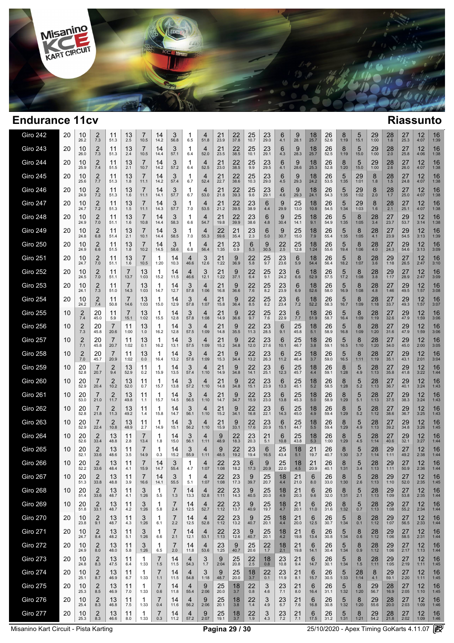

| <b>Giro 242</b> | 20 | 10<br>26.2            | 2<br>7.3               | 11<br>51.3             | 13<br>2.5  | 10.5                   | 14<br>14.2 | 3<br>56.8  | 1<br>6.5   | 4<br>51.8              | 21<br>23.9 | 22<br>37.8 | 25<br>10.7       | 23<br>29.0           | 6<br>4.1      | 9<br>28.1        | 18<br>25.7 | 26<br>52.6 | 8<br>1:19 | 5<br>15.1  | 29<br>1:00  | 28<br>1.6            | 27<br>25.3 | 12<br>4:07 | 16<br>1:39 |
|-----------------|----|-----------------------|------------------------|------------------------|------------|------------------------|------------|------------|------------|------------------------|------------|------------|------------------|----------------------|---------------|------------------|------------|------------|-----------|------------|-------------|----------------------|------------|------------|------------|
| <b>Giro 243</b> | 20 | 10<br>26.0            | $\overline{2}$<br>7.3  | 11<br>51.3             | 13<br>2.4  | 7<br>10.5              | 14<br>14.4 | 3<br>57.1  | 1<br>6.4   | 4<br>52.0              | 21<br>23.5 | 22<br>38.5 | 25<br>10.1       | 23<br>29.1           | 6<br>4.3      | 9<br>28.3        | 18<br>25.7 | 26<br>52.5 | 8<br>1:19 | 5<br>15.0  | 29<br>1:00  | $^{28}_{2.0}$        | 27<br>25.8 | 12<br>4:06 | 16<br>1:38 |
| <b>Giro 244</b> | 20 | 10<br>25.9            | 2<br>7.4               | 11<br>51.5             | 13<br>2.1  | 7<br>10.7              | 14<br>14.2 | 3<br>57.2  | 1<br>6.4   | 4<br>52.5              | 21<br>23.0 | 22<br>38.5 | 25<br>9.9        | 23<br>29.5           | 6<br>4.1      | 9<br>28.6        | 18<br>25.3 | 26<br>52.8 | 8<br>1:20 | 5<br>15.0  | 29<br>1:00  | 28<br>2.6            | 27<br>26.0 | 12<br>4:07 | 16<br>1:38 |
| <b>Giro 245</b> | 20 | 10<br>25.6            | $\overline{2}$<br>7.7  | 11<br>51.3             | 13<br>1.8  | 7<br>11.1              | 14<br>14.2 | 3<br>57.4  | 1<br>6.7   | 4<br>52.4              | 21<br>22.7 | 22<br>38.6 | 25<br>10.3       | 23<br>29.0           | 6<br>4.5      | 9<br>29.3        | 18<br>24.2 | 26<br>53.5 | 5<br>1:35 | 29<br>1:01 | 8<br>1.8    | 28<br>1.5            | 27<br>24.8 | 12<br>4:07 | 16<br>1:38 |
| Giro 246        | 20 | 10<br>24.9            | $\overline{2}$<br>7.2  | 11<br>51.3             | 13<br>1.6  | 7<br>11.1              | 14<br>14.1 | 3<br>57.7  | 1<br>6.7   | 4<br>53.0              | 21<br>21.8 | 22<br>39.3 | 25<br>9.6        | 23<br>29.1           | 6<br>4.6      | 9<br>29.3        | 18<br>24.1 | 26<br>54.3 | 5<br>1:35 | 29<br>1:02 | 8<br>2.0    | 28<br>1.7            | 27<br>25.0 | 12<br>4:07 | 16<br>1:38 |
| <b>Giro 247</b> | 20 | 10<br>24.7            | 2<br>7.2               | 11<br>51.3             | 13<br>1.5  | 7<br>11.1              | 14<br>14.3 | 3<br>57.7  | 1<br>7.0   | 4<br>53.5              | 21<br>21.2 | 22<br>39.5 | 23<br>38.9       | 6<br>4.4             | 9<br>29.9     | 25<br>13.0       | 18<br>10.8 | 26<br>54.5 | 5<br>1:34 | 29<br>1:03 | 8<br>1.6    | 28<br>2.1            | 27<br>25.1 | 12<br>4:07 | 16<br>1:38 |
| <b>Giro 248</b> | 20 | 10<br>24.9            | $\overline{2}$<br>7.0  | 11<br>51.1             | 13<br>1.6  | $\overline{7}$<br>10.8 | 14<br>14.4 | 3<br>58.3  | 1<br>6.6   | $\overline{4}$<br>54.7 | 21<br>19.8 | 22<br>39.9 | 23<br>38.6       | 6<br>4.8             | 9<br>30.4     | 25<br>14.1       | 18<br>9.1  | 26<br>54.9 | 5<br>1:35 | 8<br>1:05  | 28<br>3.4   | 27<br>23.7           | 29<br>53.7 | 12<br>3:14 | 16<br>1:38 |
| Giro 249        | 20 | 10<br>24.8            | 2<br>6.8               | 11<br>51.4             | 13<br>2.1  | 7<br>10.1              | 14<br>14.4 | 3<br>58.5  | 1<br>7.0   | $\overline{4}$<br>55.3 | 22<br>59.6 | 21<br>35.4 | 23<br>2.3        | 6<br>5.0             | 9<br>30.7     | 25<br>15.0       | 18<br>7.9  | 26<br>55.4 | 5<br>1:35 | 8<br>1:05  | 28<br>4.1   | 27<br>23.9           | 29<br>54.5 | 12<br>3:13 | 16<br>1:39 |
| Giro 250        | 20 | 10<br>24.9            | 2<br>6.6               | 11<br>51.5             | 13<br>1.8  | 7<br>10.2              | 14<br>14.5 | 3<br>58.6  | 1<br>6.8   | 4<br>56.4              | 21<br>1:35 | 23<br>0.9  | 6<br>5.3         | 9<br>30.5            | 22<br>2.5     | 25<br>12.8       | 18<br>1:24 | 26<br>55.6 | 5<br>19.4 | 8<br>1:06  | 28<br>4.0   | 27<br>24.3           | 29<br>54.6 | 12<br>3:13 | 16<br>3:09 |
| Giro 251        | 20 | 10<br>24.7            | 2<br>$7.0$             | 11<br>51.1             | 13<br>1.6  | 7<br>10.5              | 1<br>1:20  | 14<br>10.3 | 4<br>46.6  | 3<br>12.6              | 21<br>1:22 | 9<br>36.9  | 22<br>5.8        | 25<br>9.7            | 23<br>23.6    | 6<br>5.9         | 18<br>54.4 | 26<br>56.4 | 5<br>18.2 | 8<br>1:07  | 28<br>3.6   | 29<br>1:18           | 27<br>26.5 | 12<br>2:47 | 16<br>3:10 |
| <b>Giro 252</b> | 20 | 10<br>24.5            | 2<br>7.0               | 11<br>51.1             | 7<br>13.7  | 13<br>1:03             | 1<br>15.2  | 14<br>11.5 | 4<br>46.6  | 3<br>12.1              | 21<br>1:22 | 9<br>37.1  | 22<br>6.4        | 25<br>9.1            | 23<br>24.2    | 6<br>6.6         | 18<br>52.9 | 26<br>57.5 | 5<br>17.2 | 8<br>1:08  | 28<br>3.8   | 29<br>1:17           | 27<br>28.9 | 12<br>2:47 | 16<br>3:09 |
| <b>Giro 253</b> | 20 | 10<br>24.1            | 2<br>7.3               | 11<br>51.0             | 7<br>14.3  | 13<br>1:03             | 1<br>14.7  | 14<br>12.7 | 3<br>57.8  | 4<br>1:06              | 21<br>16.8 | 9<br>36.6  | 22<br>7.6        | 25<br>8.2            | 23<br>23.9    | 6<br>6.9         | 18<br>52.6 | 26<br>58.0 | 5<br>16.9 | 8<br>1:08  | 28<br>4.8   | 27<br>1:46           | 29<br>49.5 | 12<br>1:57 | 16<br>3:08 |
| <b>Giro 254</b> | 20 | 10<br>24.2            | 2<br>7.4               | 11<br>50.8             | 7<br>14.6  | 13<br>1:03             | 1<br>15.0  | 14<br>12.9 | 3<br>57.8  | 4<br>1:07              | 21<br>15.8 | 9<br>36.4  | 22<br>8.5        | 25<br>8.2            | 23<br>23.4    | 6<br>7.2         | 18<br>52.2 | 26<br>58.3 | 5<br>16.7 | 8<br>1:09  | 28<br>1:18  | 27<br>33.7           | 29<br>49.3 | 12<br>1:57 | 16<br>3:07 |
| <b>Giro 255</b> | 10 | $\overline{c}$<br>7.4 | 20<br>45.0             | 11<br>5.9              | 7<br>15.1  | 13<br>1:02             | 1<br>15.5  | 14<br>12.8 | 3<br>57.8  | 4<br>1:08              | 21<br>14.9 | 9<br>36.6  | 22<br>9.7        | 25<br>7.6            | 23<br>22.9    | 6<br>7.7         | 18<br>51.9 | 26<br>58.7 | 5<br>16.4 | 8<br>1:09  | 28<br>1:19  | 27<br>32.6           | 29<br>47.9 | 12<br>1:59 | 16<br>3:06 |
| Giro 256        | 10 | $\overline{2}$<br>7.3 | 20<br>45.8             | $\overline{7}$<br>20.6 | 11<br>1:00 | 13<br>1.0              | 1<br>16.2  | 14<br>12.8 | 3<br>57.5  | 4<br>1:09              | 21<br>14.8 | 9<br>35.5  | 22<br>11.3       | 23<br>28.5           | 6<br>9.1      | 25<br>45.8       | 18<br>5.1  | 26<br>58.9 | 5<br>16.8 | 8<br>1:09  | 28<br>1:20  | 27<br>31.6           | 29<br>47.9 | 12<br>1:59 | 16<br>3:06 |
| <b>Giro 257</b> | 10 | $\overline{2}$<br>7.1 | 20<br>45.8             | $\overline{7}$<br>20.7 | 11<br>1:02 | 13<br>0.1              | 1<br>16.2  | 14<br>13.1 | 3<br>57.5  | 4<br>1:09              | 21<br>15.2 | 9<br>34.8  | 22<br>12.0       | 23<br>27.6           | 6<br>10.1     | 25<br>46.7       | 18<br>3.8  | 26<br>59.1 | 5<br>16.5 | 8<br>1:10  | 28<br>1:20  | 27<br>34.0           | 29<br>45.0 | 12<br>2:00 | 16<br>3:05 |
| <b>Giro 258</b> | 10 | 2<br>7.0              | 20<br>45.7             | 7<br>20.9              | 11<br>1:02 | 13<br>0.0              | 1<br>16.4  | 14<br>13.2 | 3<br>57.6  | 4<br>1:09              | 21<br>15.3 | 9<br>34.4  | 22<br>13.2       | 23<br>26.3           | 6<br>11.2     | 25<br>46.4       | 18<br>3.7  | 26<br>59.0 | 5<br>16.5 | 8<br>1:11  | 28<br>1:19  | 27<br>35.1           | 29<br>43.1 | 12<br>2:01 | 16<br>3:04 |
| <b>Giro 259</b> | 10 | 20<br>52.8            | 20.7                   | $\overline{2}$<br>9.4  | 13<br>52.9 | 11<br>0.2              | 1<br>15.9  | 14<br>13.5 | 3<br>57.4  | 4<br>1:10              | 21<br>14.9 | 9<br>34.8  | 22<br>14.1       | 23<br>25.1           | 6<br>12.3     | 25<br>45.7       | 18<br>4.4  | 26<br>59.1 | 8<br>1:28 | 5<br>4.9   | 28<br>1:13  | $\frac{27}{35.8}$    | 29<br>41.8 | 12<br>3:22 | 16<br>1:44 |
| Giro 260        | 10 | 20<br>52.9            | 7<br>20.4              | $\overline{2}$<br>10.2 | 13<br>52.0 | 11<br>0.7              | 1<br>15.7  | 14<br>13.8 | 3<br>57.2  | 4<br>1:10              | 21<br>14.8 | 9<br>34.8  | 22<br>15.1       | 23<br>23.9           | 6<br>13.3     | 25<br>45.1       | 18<br>5.2  | 26<br>58.5 | 8<br>1:28 | 5<br>5.2   | 28<br>1:13  | 27<br>36.7           | 29<br>40.1 | 12<br>3:24 | 16<br>1:43 |
| <b>Giro 261</b> | 10 | 20<br>53.0            | 7<br>21.0              | $\overline{2}$<br>11.7 | 13<br>49.8 | 11<br>1.1              | 1<br>15.7  | 14<br>14.5 | 3<br>56.5  | 4<br>1:10              | 21<br>14.7 | 9<br>34.7  | 22<br>15.9       | 23<br>23.0           | 6<br>13.8     | 25<br>45.3       | 18<br>5.0  | 26<br>58.9 | 8<br>1:29 | 5<br>5.1   | 28<br>1:13  | 27<br>37.5           | 29<br>38.3 | 12<br>3:24 | 16<br>1:43 |
| <b>Giro 262</b> | 10 | 20<br>52.8            | 21.8                   | $\overline{2}$<br>11.3 | 13<br>49.2 | 11<br>1.4              | 1<br>15.8  | 14<br>14.7 | 3<br>56.1  | 4<br>1:10              | 21<br>15.2 | 9<br>34.1  | 22<br>16.8       | 23<br>22.1           | 6<br>14.3     | 25<br>45.0       | 18<br>4.9  | 26<br>59.4 | 8<br>1:29 | 5<br>5.2   | 28<br>1:12  | 27<br>38.6           | 29<br>36.7 | 12<br>3:25 | 16<br>1:43 |
| <b>Giro 263</b> | 10 | 20<br>52.9            | 22.4                   | $\overline{2}$<br>10.8 | 13<br>48.9 | 11<br>2.7              | 1<br>14.9  | 14<br>15.1 | 3<br>56.2  | 4<br>1:10              | 21<br>15.9 | 9<br>33.1  | 22<br>17.6       | 23<br>20.9           | 6<br>15.1     | 25<br>44.7       | 18<br>5.5  | 26<br>59.4 | 8<br>1:29 | 5<br>4.9   | 28<br>1:13  | 27<br>39.2           | 29<br>34.8 | 12<br>3:26 | 16<br>1:45 |
| <b>Giro 264</b> | 10 | 20<br>52.6            | $\overline{2}$<br>33.4 | 13<br>48.8             | 11<br>2.8  | 7<br>13.4              | 1<br>1.8   | 14<br>15.0 | 3<br>56.1  | 4<br>1:11              | 9<br>48.9  | 22<br>18.3 | 23<br>20.3       | 21<br>5.1            | 6<br>10.8     | 25<br>43.8       | 18<br>5.3  | 26<br>1:00 | 8<br>1:29 | 5<br>4.5   | 28<br>1:14  | 27<br>40.6           | 29<br>32.1 | 12<br>3:27 | 16<br>1:44 |
| <b>Giro 265</b> | 10 | 20<br>52.1            | $\overline{2}$<br>33.6 | 13<br>48.6             | 11<br>3.5  | 7<br>14.9              | 1<br>0.3   | 14<br>15.2 | 3<br>55.9  | 4<br>1:11              | 9<br>48.5  | 22<br>19.2 | 23<br>19.4       | 6<br>16.5            | 25<br>43.4    | 18<br>5.1        | 21<br>19.7 | 26<br>40.7 | 8<br>1:30 | 5<br>3.7   | 28<br>1:14  | 29<br>1:11           | 27<br>49.2 | 12<br>2:38 | 16<br>1:44 |
| <b>Giro 266</b> | 10 | 20<br>52.2            | $\overline{2}$<br>33.6 | 13<br>48.4             | 11<br>4.1  | 15.9                   | 14<br>14.7 | 3<br>55.4  | 1<br>4.7   | 4<br>1:07              | 22<br>1:08 | 23<br>18.2 | 6<br>17.3        | 9<br>20.9            | 25<br>22.0    | 18<br>4.5        | 21<br>20.9 | 26<br>40.1 | 8<br>1:31 | 5<br>3.4   | 28<br>1:13  | 29<br>1:11           | 27<br>50.9 | 12<br>2:36 | 16<br>1:44 |
| Giro 267        | 10 | 20<br>51.3            | 2<br>33.8              | 13<br>48.8             | 11<br>3.9  | 16.6                   | 14<br>14.1 | 3<br>55.5  | 1<br>5.1   | 4<br>1:07              | 22<br>1:08 | 23<br>17.3 | 9<br>39.7        | $25$ <sub>20.7</sub> | 18<br>4.4     | 21<br>21.0       | O<br>8.0   | 26<br>33.0 | 8<br>1:30 | 5<br>2.6   | 28<br>1:13  | $29$ <sub>1:10</sub> | 27<br>52.0 | 12<br>2:35 | 16<br>1:45 |
| Giro 268        | 10 | 20<br>51.4            | $\overline{2}$<br>33.6 | 13<br>48.7             | 11<br>4.1  | 3<br>1:26              | -1<br>5.5  | 7<br>1.3   | 14<br>13.3 | 4<br>52.8              | 22<br>1:11 | 23<br>14.3 | 9<br>40.5        | 25<br>20.0           | 18<br>4.9     | 21<br>20.3       | 6<br>9.6   | 26<br>32.0 | 8<br>1:31 | 5<br>2.1   | 28<br>1:13  | 29<br>1:09           | 27<br>53.8 | 12<br>2:35 | 16<br>1:44 |
| <b>Giro 269</b> | 10 | 20<br>51.8            | 2<br>33.1              | 13<br>48.7             | 11<br>4.2  | 3<br>1:26              | -1<br>5.8  | 7<br>2.4   | 14<br>12.5 | 4<br>52.7              | 22<br>1:12 | 23<br>13.7 | 9<br>40.9        | 25<br>19.7           | 18<br>4.7     | 21<br>20.1       | 6<br>11.0  | 26<br>31.6 | 8<br>1:32 | 5<br>0.7   | 28<br>1:13  | 29<br>1:08           | 27<br>55.2 | 12<br>2:34 | 16<br>1:44 |
| <b>Giro 270</b> | 20 | 10<br>23.8            | $\overline{2}$<br>9.1  | 13<br>48.7             | 11<br>4.3  | 3<br>1:26              | -1<br>6.1  | 7<br>2.2   | 14<br>12.5 | 4<br>52.8              | 22<br>1:12 | 23<br>13.2 | 9<br>40.7        | 25<br>20.1           | 18<br>4.4     | 21<br>20.0       | 6<br>12.5  | 26<br>30.7 | 5<br>1:34 | 8<br>0.1   | 28<br>1:12  | 29<br>1:07           | 27<br>56.5 | 12<br>2:33 | 16<br>1:44 |
| <b>Giro 271</b> | 20 | 10<br>24.7            | $\overline{2}$<br>8.4  | 13<br>48.2             | 11<br>5.1  | 3<br>1:26              | 1<br>6.6   | 7<br>2.1   | 14<br>12.1 | 4<br>53.1              | 22<br>1:13 | 23<br>12.6 | 9<br>40.7        | 25<br>20.1           | 18<br>4.2     | 21<br>19.8       | 6<br>13.4  | 26<br>30.8 | 5<br>1:34 | 8<br>0.6   | 28<br>1:12  | 29<br>1:06           | 27<br>58.5 | 12<br>2:31 | 16<br>1:44 |
| <b>Giro 272</b> | 20 | 10<br>24.9            | $\overline{2}$<br>8.0  | 13<br>48.0             | 11<br>5.8  | 3<br>1:26              | -1<br>6.5  | 7<br>2.0   | 14<br>11.8 | 4<br>53.6              | 23<br>1:25 | 9<br>40.7  | 25<br>20.6       | 22<br>1.7            | 18<br>2.1     | 21<br>19.8       | 6<br>14.1  | 26<br>30.4 | 5<br>1:34 | 8<br>0.9   | 28<br>1:12  | 29<br>1:06           | 27<br>2:17 | 12<br>1:13 | 16<br>1:44 |
| <b>Giro 273</b> | 20 | 10<br>24.8            | $\overline{2}$<br>8.3  | 13<br>47.5             | 11<br>6.4  | 1<br>1:33              | 7<br>1.5   | 14<br>11.5 | 4<br>54.3  | 3<br>1.7               | 9<br>2:04  | 25<br>20.8 | 22<br>2.5        | $\frac{18}{0.8}$     | 23<br>10.8    | 21<br>9.4        | 6<br>14.7  | 26<br>30.1 | 5<br>1:34 | 8<br>1.5   | 28<br>1:11  | 29<br>1:05           | 27<br>2:19 | 12<br>1:11 | 16<br>1:45 |
| <b>Giro 274</b> | 20 | 10<br>25.1            | $\overline{2}$<br>8.7  | 13<br>46.9             | 11<br>6.7  | 1<br>1:33              | 7<br>1.1   | 14<br>11.5 | 4<br>54.8  | 3<br>1:18              | 9<br>48.7  | 25<br>20.0 | $\frac{18}{3.7}$ | 22<br>0.1            | 23<br>11.9    | 21<br>8.1        | 6<br>15.7  | 26<br>30.5 | 5<br>1:33 | 28<br>1:14 | 8<br>4.1    | $29$ <sub>59.1</sub> | 27<br>2:20 | 12<br>1:11 | 16<br>1:45 |
| <b>Giro 275</b> | 20 | 10<br>25.3            | $\overline{2}$<br>8.5  | 13<br>46.9             | 11<br>7.0  | 1<br>1:33              | 7<br>0.6   | 14<br>11.8 | 4<br>55.4  | 9<br>2:06              | 25<br>20.0 | 18<br>3.7  | 22<br>0.8        | 3<br>4.6             | 23<br>7.1     | 21<br>8.0        | 6<br>16.4  | 26<br>31.1 | 5<br>1:32 | 8<br>1:20  | 29<br>56.7  | 28<br>16.9           | 27<br>2:05 | 12<br>1:10 | 16<br>1:45 |
| <b>Giro 276</b> | 20 | 10<br>25.4            | $\overline{2}$<br>8.3  | 13<br>46.8             | 11<br>7.5  | 1<br>1:33              | 7<br>0.4   | 14<br>11.6 | 4<br>56.2  | 9<br>2:06              | 25<br>20.1 | 18<br>3.8  | 22<br>1.4        | 3<br>4.9             | 23<br>6.7     | 21<br>7.6        | 6<br>16.8  | 26<br>30.8 | 5<br>1:32 | 8<br>1:20  | 29<br>55.6  | 28<br>20.0           | 27<br>2:03 | 12<br>1:09 | 16<br>1:46 |
| <b>Giro 277</b> | 20 | 10<br>25.3            | $\overline{2}$<br>8.3  | 13<br>46.6             | 11<br>8.0  | 1<br>1:33              | 7<br>0.3   | 14<br>11.2 | 4<br>57.2  | 9<br>2:07              | 25<br>19.1 | 18<br>3.7  | $^{22}_{1.9}$    | 3<br>4.3             | $^{23}_{7.2}$ | $\frac{21}{7.1}$ | 6<br>17.5  | 26<br>31.2 | 5<br>1:31 | 8<br>1:21  | $29_{54.2}$ | 28<br>21.8           | 27<br>2:02 | 12<br>1:09 | 16<br>1:46 |